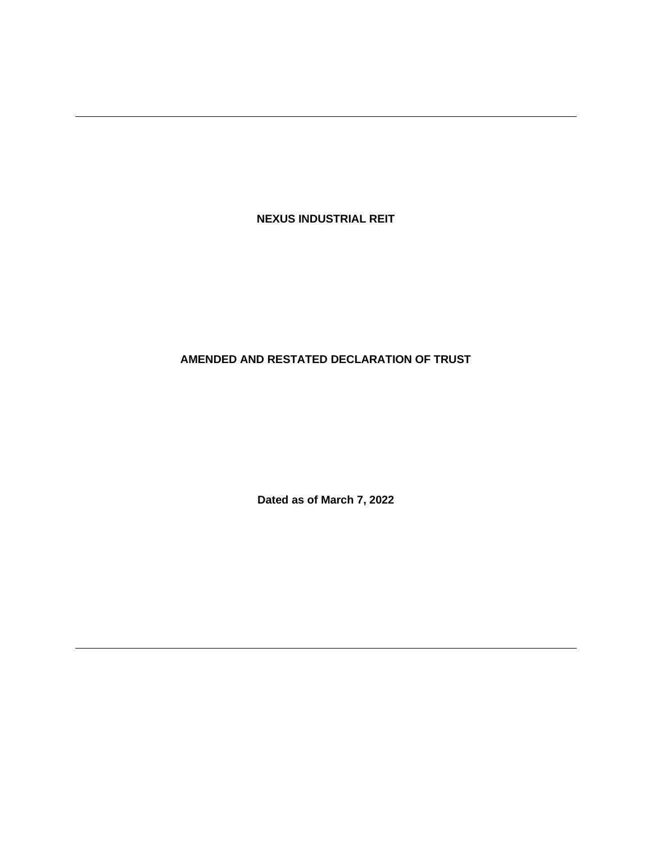**NEXUS INDUSTRIAL REIT**

# **AMENDED AND RESTATED DECLARATION OF TRUST**

**Dated as of March 7, 2022**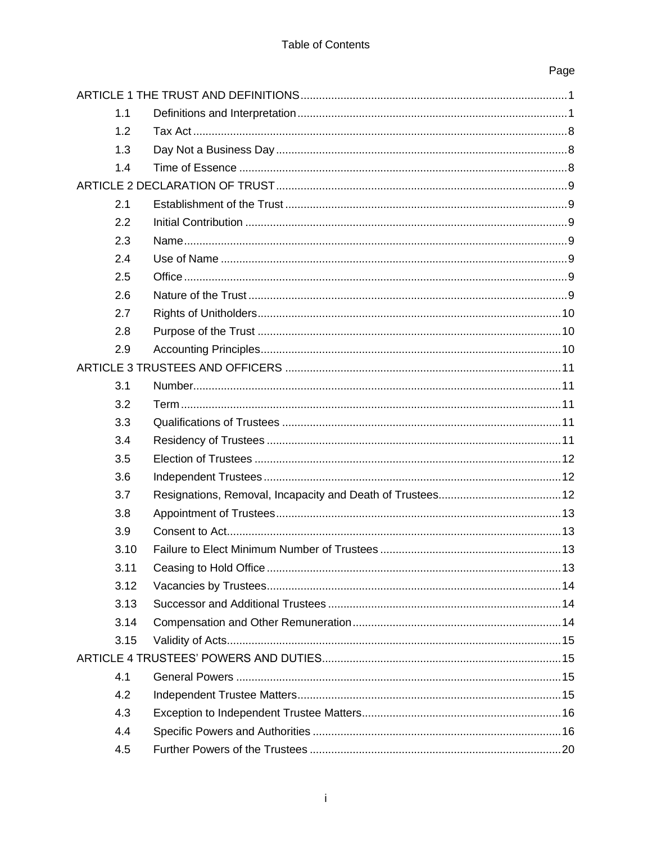# Page

|  | 1.1  |  |  |  |
|--|------|--|--|--|
|  | 1.2  |  |  |  |
|  | 1.3  |  |  |  |
|  | 1.4  |  |  |  |
|  |      |  |  |  |
|  | 2.1  |  |  |  |
|  | 2.2  |  |  |  |
|  | 2.3  |  |  |  |
|  | 2.4  |  |  |  |
|  | 2.5  |  |  |  |
|  | 2.6  |  |  |  |
|  | 2.7  |  |  |  |
|  | 2.8  |  |  |  |
|  | 2.9  |  |  |  |
|  |      |  |  |  |
|  | 3.1  |  |  |  |
|  | 3.2  |  |  |  |
|  | 3.3  |  |  |  |
|  | 3.4  |  |  |  |
|  | 3.5  |  |  |  |
|  | 3.6  |  |  |  |
|  | 3.7  |  |  |  |
|  | 3.8  |  |  |  |
|  | 3.9  |  |  |  |
|  | 3.10 |  |  |  |
|  | 3.11 |  |  |  |
|  | 3.12 |  |  |  |
|  | 3.13 |  |  |  |
|  | 3.14 |  |  |  |
|  | 3.15 |  |  |  |
|  |      |  |  |  |
|  | 4.1  |  |  |  |
|  | 4.2  |  |  |  |
|  | 4.3  |  |  |  |
|  | 4.4  |  |  |  |
|  | 4.5  |  |  |  |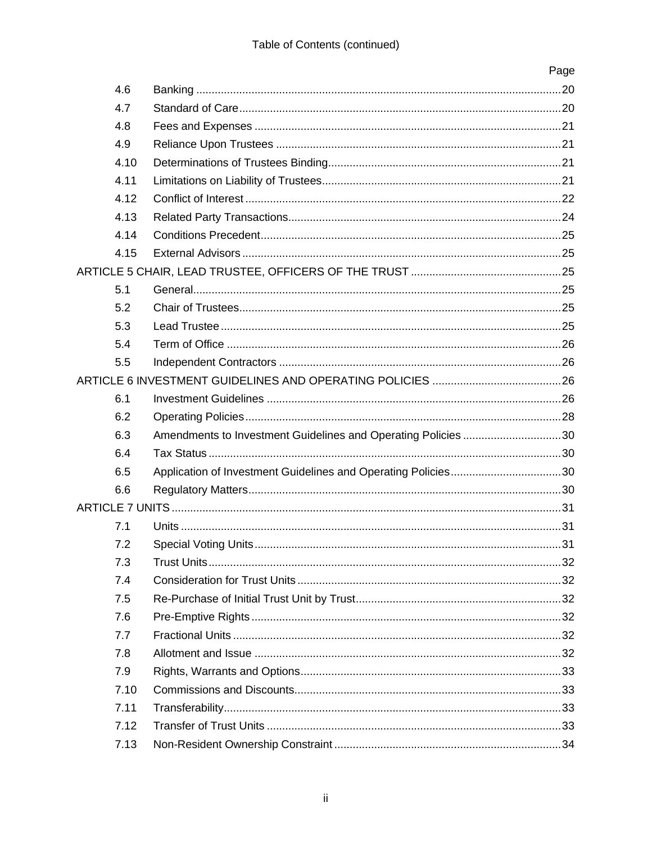|      |                                                               | Page |
|------|---------------------------------------------------------------|------|
| 4.6  |                                                               |      |
| 4.7  |                                                               |      |
| 4.8  |                                                               |      |
| 4.9  |                                                               |      |
| 4.10 |                                                               |      |
| 4.11 |                                                               |      |
| 4.12 |                                                               |      |
| 4.13 |                                                               |      |
| 4.14 |                                                               |      |
| 4.15 |                                                               |      |
|      |                                                               |      |
| 5.1  |                                                               |      |
| 5.2  |                                                               |      |
| 5.3  |                                                               |      |
| 5.4  |                                                               |      |
| 5.5  |                                                               |      |
|      |                                                               |      |
| 6.1  |                                                               |      |
| 6.2  |                                                               |      |
| 6.3  | Amendments to Investment Guidelines and Operating Policies 30 |      |
| 6.4  |                                                               |      |
| 6.5  |                                                               |      |
| 6.6  |                                                               |      |
|      |                                                               |      |
| 7.1  |                                                               |      |
| 7.2  |                                                               |      |
| 7.3  |                                                               |      |
| 7.4  |                                                               |      |
| 7.5  |                                                               |      |
| 7.6  |                                                               |      |
| 7.7  |                                                               |      |
| 7.8  |                                                               |      |
| 7.9  |                                                               |      |
| 7.10 |                                                               |      |
| 7.11 |                                                               |      |
| 7.12 |                                                               |      |
| 7.13 |                                                               |      |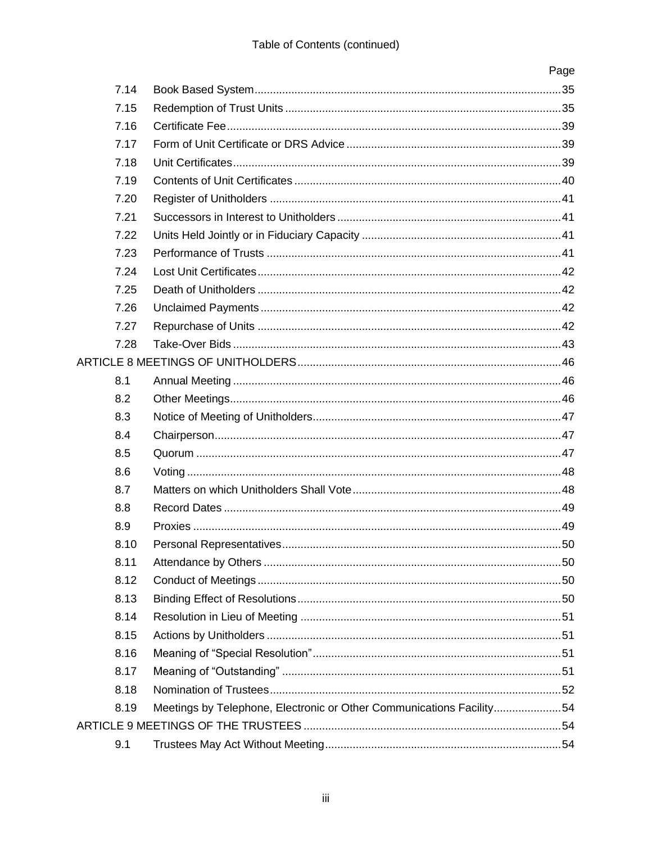|      |                                                                      | Page |
|------|----------------------------------------------------------------------|------|
| 7.14 |                                                                      |      |
| 7.15 |                                                                      |      |
| 7.16 |                                                                      |      |
| 7.17 |                                                                      |      |
| 7.18 |                                                                      |      |
| 7.19 |                                                                      |      |
| 7.20 |                                                                      |      |
| 7.21 |                                                                      |      |
| 7.22 |                                                                      |      |
| 7.23 |                                                                      |      |
| 7.24 |                                                                      |      |
| 7.25 |                                                                      |      |
| 7.26 |                                                                      |      |
| 7.27 |                                                                      |      |
| 7.28 |                                                                      |      |
|      |                                                                      |      |
| 8.1  |                                                                      |      |
| 8.2  |                                                                      |      |
| 8.3  |                                                                      |      |
| 8.4  |                                                                      |      |
| 8.5  |                                                                      |      |
| 8.6  |                                                                      |      |
| 8.7  |                                                                      |      |
| 8.8  |                                                                      |      |
| 8.9  |                                                                      |      |
| 8.10 |                                                                      |      |
| 8.11 |                                                                      |      |
| 8.12 |                                                                      |      |
| 8.13 |                                                                      |      |
| 8.14 |                                                                      |      |
| 8.15 |                                                                      |      |
| 8.16 |                                                                      |      |
| 8.17 |                                                                      |      |
| 8.18 |                                                                      |      |
| 8.19 | Meetings by Telephone, Electronic or Other Communications Facility54 |      |
|      |                                                                      |      |
| 9.1  |                                                                      |      |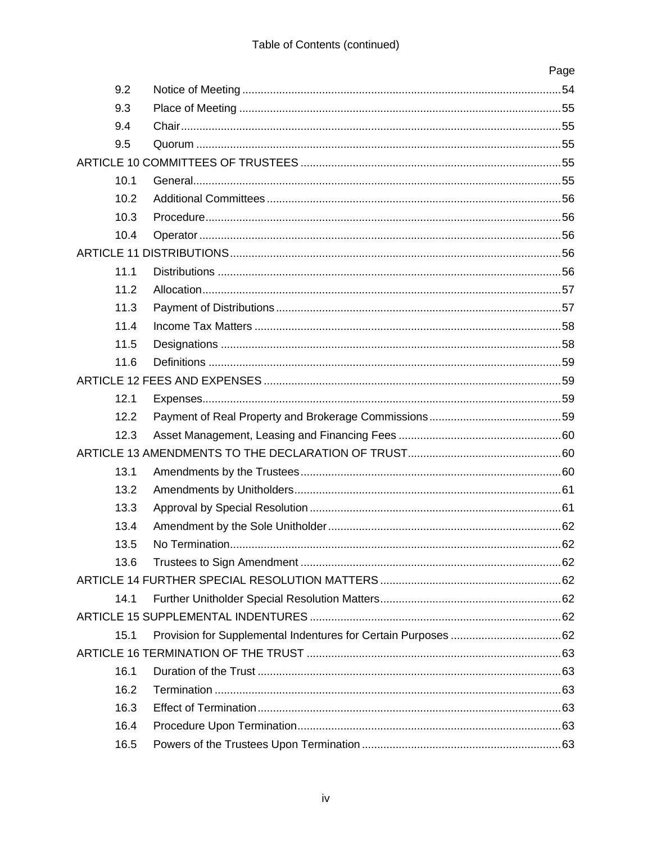|      | Page |
|------|------|
| 9.2  |      |
| 9.3  |      |
| 9.4  |      |
| 9.5  |      |
|      |      |
| 10.1 |      |
| 10.2 |      |
| 10.3 |      |
| 10.4 |      |
|      |      |
| 11.1 |      |
| 11.2 |      |
| 11.3 |      |
| 11.4 |      |
| 11.5 |      |
| 11.6 |      |
|      |      |
| 12.1 |      |
| 12.2 |      |
| 12.3 |      |
|      |      |
| 13.1 |      |
| 13.2 |      |
| 13.3 |      |
| 13.4 |      |
| 13.5 |      |
| 13.6 |      |
|      |      |
| 14.1 |      |
|      |      |
| 15.1 |      |
|      |      |
| 16.1 |      |
| 16.2 |      |
| 16.3 |      |
| 16.4 |      |
| 16.5 |      |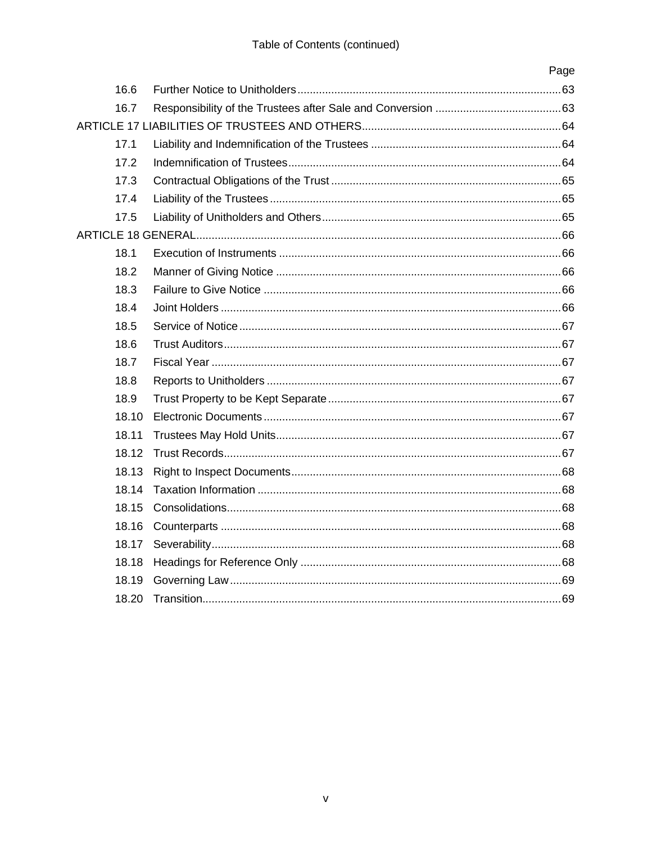|       | Page |
|-------|------|
| 16.6  |      |
| 16.7  |      |
|       |      |
| 17.1  |      |
| 17.2  |      |
| 17.3  |      |
| 17.4  |      |
| 17.5  |      |
|       |      |
| 18.1  |      |
| 18.2  |      |
| 18.3  |      |
| 18.4  |      |
| 18.5  |      |
| 18.6  |      |
| 18.7  |      |
| 18.8  |      |
| 18.9  |      |
| 18.10 |      |
| 18.11 |      |
| 18.12 |      |
| 18.13 |      |
| 18.14 |      |
| 18.15 |      |
| 18.16 |      |
| 18.17 |      |
| 18.18 |      |
| 18.19 |      |
| 18.20 |      |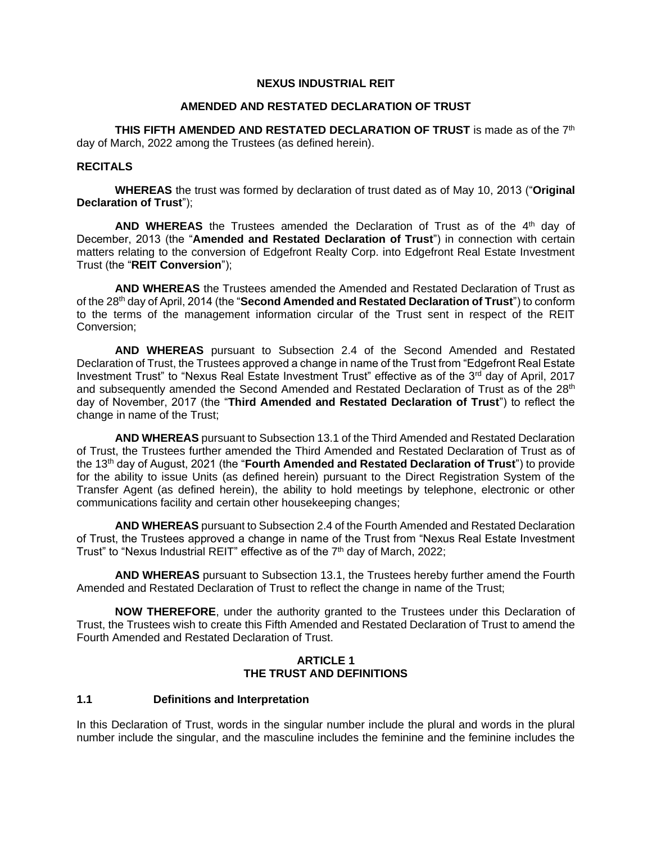#### **NEXUS INDUSTRIAL REIT**

#### **AMENDED AND RESTATED DECLARATION OF TRUST**

THIS FIFTH AMENDED AND RESTATED DECLARATION OF TRUST is made as of the 7<sup>th</sup> day of March, 2022 among the Trustees (as defined herein).

## **RECITALS**

**WHEREAS** the trust was formed by declaration of trust dated as of May 10, 2013 ("**Original Declaration of Trust**");

AND WHEREAS the Trustees amended the Declaration of Trust as of the 4<sup>th</sup> day of December, 2013 (the "**Amended and Restated Declaration of Trust**") in connection with certain matters relating to the conversion of Edgefront Realty Corp. into Edgefront Real Estate Investment Trust (the "**REIT Conversion**");

**AND WHEREAS** the Trustees amended the Amended and Restated Declaration of Trust as of the 28th day of April, 2014 (the "**Second Amended and Restated Declaration of Trust**") to conform to the terms of the management information circular of the Trust sent in respect of the REIT Conversion;

**AND WHEREAS** pursuant to Subsection 2.4 of the Second Amended and Restated Declaration of Trust, the Trustees approved a change in name of the Trust from "Edgefront Real Estate Investment Trust" to "Nexus Real Estate Investment Trust" effective as of the 3<sup>rd</sup> day of April, 2017 and subsequently amended the Second Amended and Restated Declaration of Trust as of the 28<sup>th</sup> day of November, 2017 (the "**Third Amended and Restated Declaration of Trust**") to reflect the change in name of the Trust;

**AND WHEREAS** pursuant to Subsection 13.1 of the Third Amended and Restated Declaration of Trust, the Trustees further amended the Third Amended and Restated Declaration of Trust as of the 13th day of August, 2021 (the "**Fourth Amended and Restated Declaration of Trust**") to provide for the ability to issue Units (as defined herein) pursuant to the Direct Registration System of the Transfer Agent (as defined herein), the ability to hold meetings by telephone, electronic or other communications facility and certain other housekeeping changes;

**AND WHEREAS** pursuant to Subsection 2.4 of the Fourth Amended and Restated Declaration of Trust, the Trustees approved a change in name of the Trust from "Nexus Real Estate Investment Trust" to "Nexus Industrial REIT" effective as of the 7<sup>th</sup> day of March, 2022;

**AND WHEREAS** pursuant to Subsection 13.1, the Trustees hereby further amend the Fourth Amended and Restated Declaration of Trust to reflect the change in name of the Trust;

**NOW THEREFORE**, under the authority granted to the Trustees under this Declaration of Trust, the Trustees wish to create this Fifth Amended and Restated Declaration of Trust to amend the Fourth Amended and Restated Declaration of Trust.

#### **ARTICLE 1 THE TRUST AND DEFINITIONS**

## **1.1 Definitions and Interpretation**

In this Declaration of Trust, words in the singular number include the plural and words in the plural number include the singular, and the masculine includes the feminine and the feminine includes the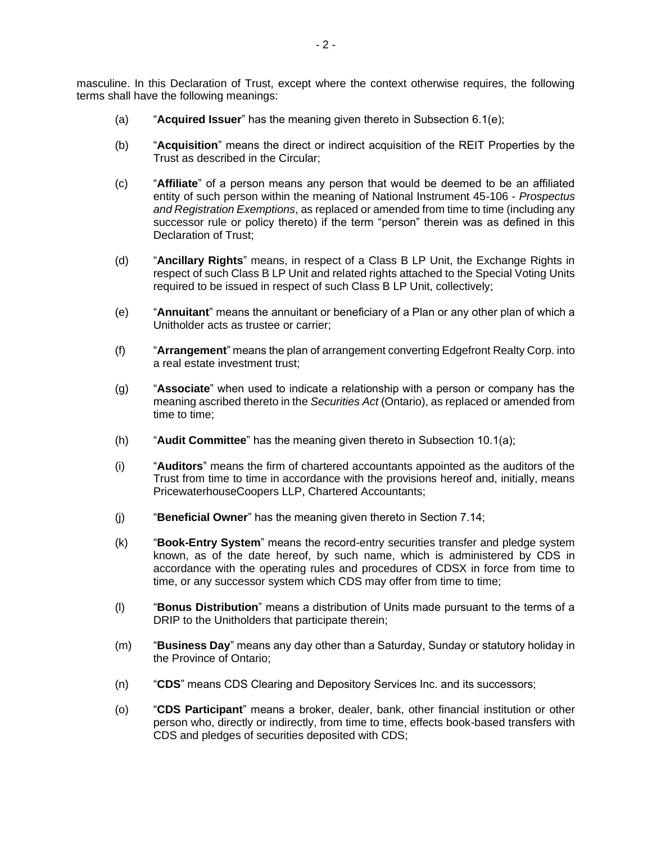masculine. In this Declaration of Trust, except where the context otherwise requires, the following terms shall have the following meanings:

- (a) "**Acquired Issuer**" has the meaning given thereto in Subsection 6.1(e);
- (b) "**Acquisition**" means the direct or indirect acquisition of the REIT Properties by the Trust as described in the Circular;
- (c) "**Affiliate**" of a person means any person that would be deemed to be an affiliated entity of such person within the meaning of National Instrument 45-106 - *Prospectus and Registration Exemptions*, as replaced or amended from time to time (including any successor rule or policy thereto) if the term "person" therein was as defined in this Declaration of Trust;
- (d) "**Ancillary Rights**" means, in respect of a Class B LP Unit, the Exchange Rights in respect of such Class B LP Unit and related rights attached to the Special Voting Units required to be issued in respect of such Class B LP Unit, collectively;
- (e) "**Annuitant**" means the annuitant or beneficiary of a Plan or any other plan of which a Unitholder acts as trustee or carrier;
- (f) "**Arrangement**" means the plan of arrangement converting Edgefront Realty Corp. into a real estate investment trust;
- (g) "**Associate**" when used to indicate a relationship with a person or company has the meaning ascribed thereto in the *Securities Act* (Ontario), as replaced or amended from time to time;
- (h) "**Audit Committee**" has the meaning given thereto in Subsection 10.1(a);
- (i) "**Auditors**" means the firm of chartered accountants appointed as the auditors of the Trust from time to time in accordance with the provisions hereof and, initially, means PricewaterhouseCoopers LLP, Chartered Accountants;
- (j) "**Beneficial Owner**" has the meaning given thereto in Section 7.14;
- (k) "**Book-Entry System**" means the record-entry securities transfer and pledge system known, as of the date hereof, by such name, which is administered by CDS in accordance with the operating rules and procedures of CDSX in force from time to time, or any successor system which CDS may offer from time to time;
- (l) "**Bonus Distribution**" means a distribution of Units made pursuant to the terms of a DRIP to the Unitholders that participate therein;
- (m) "**Business Day**" means any day other than a Saturday, Sunday or statutory holiday in the Province of Ontario;
- (n) "**CDS**" means CDS Clearing and Depository Services Inc. and its successors;
- (o) "**CDS Participant**" means a broker, dealer, bank, other financial institution or other person who, directly or indirectly, from time to time, effects book-based transfers with CDS and pledges of securities deposited with CDS;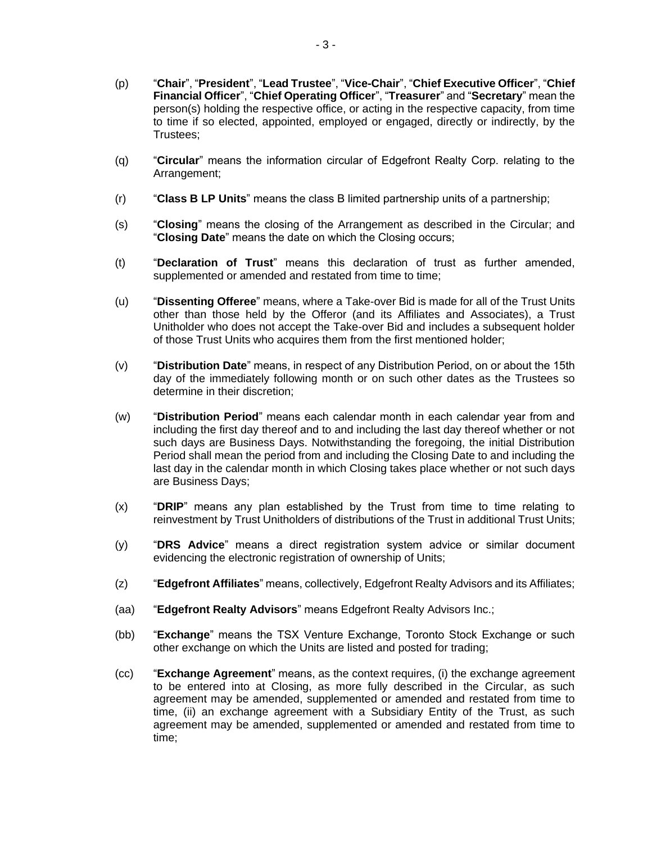- (p) "**Chair**", "**President**", "**Lead Trustee**", "**Vice-Chair**", "**Chief Executive Officer**", "**Chief Financial Officer**", "**Chief Operating Officer**", "**Treasurer**" and "**Secretary**" mean the person(s) holding the respective office, or acting in the respective capacity, from time to time if so elected, appointed, employed or engaged, directly or indirectly, by the Trustees;
- (q) "**Circular**" means the information circular of Edgefront Realty Corp. relating to the Arrangement;
- (r) "**Class B LP Units**" means the class B limited partnership units of a partnership;
- (s) "**Closing**" means the closing of the Arrangement as described in the Circular; and "**Closing Date**" means the date on which the Closing occurs;
- (t) "**Declaration of Trust**" means this declaration of trust as further amended, supplemented or amended and restated from time to time;
- (u) "**Dissenting Offeree**" means, where a Take-over Bid is made for all of the Trust Units other than those held by the Offeror (and its Affiliates and Associates), a Trust Unitholder who does not accept the Take-over Bid and includes a subsequent holder of those Trust Units who acquires them from the first mentioned holder;
- (v) "**Distribution Date**" means, in respect of any Distribution Period, on or about the 15th day of the immediately following month or on such other dates as the Trustees so determine in their discretion;
- (w) "**Distribution Period**" means each calendar month in each calendar year from and including the first day thereof and to and including the last day thereof whether or not such days are Business Days. Notwithstanding the foregoing, the initial Distribution Period shall mean the period from and including the Closing Date to and including the last day in the calendar month in which Closing takes place whether or not such days are Business Days;
- (x) "**DRIP**" means any plan established by the Trust from time to time relating to reinvestment by Trust Unitholders of distributions of the Trust in additional Trust Units;
- (y) "**DRS Advice**" means a direct registration system advice or similar document evidencing the electronic registration of ownership of Units;
- (z) "**Edgefront Affiliates**" means, collectively, Edgefront Realty Advisors and its Affiliates;
- (aa) "**Edgefront Realty Advisors**" means Edgefront Realty Advisors Inc.;
- (bb) "**Exchange**" means the TSX Venture Exchange, Toronto Stock Exchange or such other exchange on which the Units are listed and posted for trading;
- (cc) "**Exchange Agreement**" means, as the context requires, (i) the exchange agreement to be entered into at Closing, as more fully described in the Circular, as such agreement may be amended, supplemented or amended and restated from time to time, (ii) an exchange agreement with a Subsidiary Entity of the Trust, as such agreement may be amended, supplemented or amended and restated from time to time;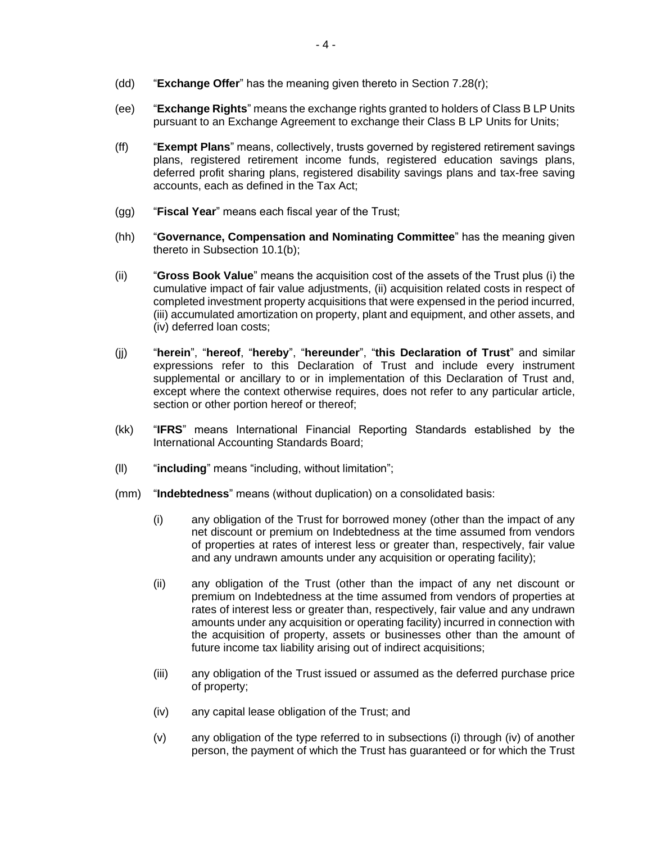- (dd) "**Exchange Offer**" has the meaning given thereto in Section 7.28(r);
- (ee) "**Exchange Rights**" means the exchange rights granted to holders of Class B LP Units pursuant to an Exchange Agreement to exchange their Class B LP Units for Units;
- (ff) "**Exempt Plans**" means, collectively, trusts governed by registered retirement savings plans, registered retirement income funds, registered education savings plans, deferred profit sharing plans, registered disability savings plans and tax-free saving accounts, each as defined in the Tax Act;
- (gg) "**Fiscal Year**" means each fiscal year of the Trust;
- (hh) "**Governance, Compensation and Nominating Committee**" has the meaning given thereto in Subsection 10.1(b);
- (ii) "**Gross Book Value**" means the acquisition cost of the assets of the Trust plus (i) the cumulative impact of fair value adjustments, (ii) acquisition related costs in respect of completed investment property acquisitions that were expensed in the period incurred, (iii) accumulated amortization on property, plant and equipment, and other assets, and (iv) deferred loan costs;
- (jj) "**herein**", "**hereof**, "**hereby**", "**hereunder**", "**this Declaration of Trust**" and similar expressions refer to this Declaration of Trust and include every instrument supplemental or ancillary to or in implementation of this Declaration of Trust and, except where the context otherwise requires, does not refer to any particular article, section or other portion hereof or thereof;
- (kk) "**IFRS**" means International Financial Reporting Standards established by the International Accounting Standards Board;
- (ll) "**including**" means "including, without limitation";
- (mm) "**Indebtedness**" means (without duplication) on a consolidated basis:
	- (i) any obligation of the Trust for borrowed money (other than the impact of any net discount or premium on Indebtedness at the time assumed from vendors of properties at rates of interest less or greater than, respectively, fair value and any undrawn amounts under any acquisition or operating facility);
	- (ii) any obligation of the Trust (other than the impact of any net discount or premium on Indebtedness at the time assumed from vendors of properties at rates of interest less or greater than, respectively, fair value and any undrawn amounts under any acquisition or operating facility) incurred in connection with the acquisition of property, assets or businesses other than the amount of future income tax liability arising out of indirect acquisitions;
	- (iii) any obligation of the Trust issued or assumed as the deferred purchase price of property;
	- (iv) any capital lease obligation of the Trust; and
	- (v) any obligation of the type referred to in subsections (i) through (iv) of another person, the payment of which the Trust has guaranteed or for which the Trust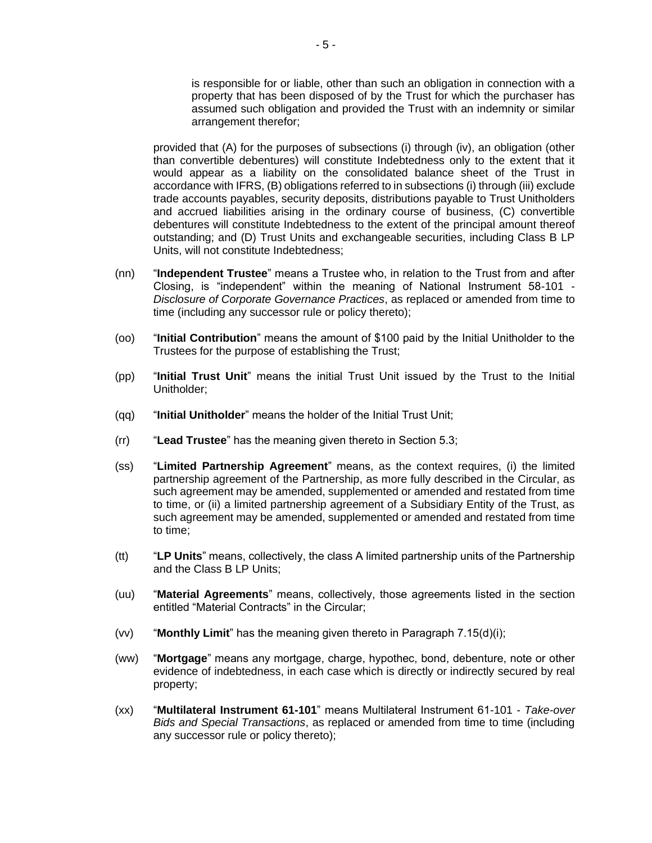is responsible for or liable, other than such an obligation in connection with a property that has been disposed of by the Trust for which the purchaser has assumed such obligation and provided the Trust with an indemnity or similar arrangement therefor;

provided that (A) for the purposes of subsections (i) through (iv), an obligation (other than convertible debentures) will constitute Indebtedness only to the extent that it would appear as a liability on the consolidated balance sheet of the Trust in accordance with IFRS, (B) obligations referred to in subsections (i) through (iii) exclude trade accounts payables, security deposits, distributions payable to Trust Unitholders and accrued liabilities arising in the ordinary course of business, (C) convertible debentures will constitute Indebtedness to the extent of the principal amount thereof outstanding; and (D) Trust Units and exchangeable securities, including Class B LP Units, will not constitute Indebtedness;

- (nn) "**Independent Trustee**" means a Trustee who, in relation to the Trust from and after Closing, is "independent" within the meaning of National Instrument 58-101 - *Disclosure of Corporate Governance Practices*, as replaced or amended from time to time (including any successor rule or policy thereto);
- (oo) "**Initial Contribution**" means the amount of \$100 paid by the Initial Unitholder to the Trustees for the purpose of establishing the Trust;
- (pp) "**Initial Trust Unit**" means the initial Trust Unit issued by the Trust to the Initial Unitholder;
- (qq) "**Initial Unitholder**" means the holder of the Initial Trust Unit;
- (rr) "**Lead Trustee**" has the meaning given thereto in Section 5.3;
- (ss) "**Limited Partnership Agreement**" means, as the context requires, (i) the limited partnership agreement of the Partnership, as more fully described in the Circular, as such agreement may be amended, supplemented or amended and restated from time to time, or (ii) a limited partnership agreement of a Subsidiary Entity of the Trust, as such agreement may be amended, supplemented or amended and restated from time to time;
- (tt) "**LP Units**" means, collectively, the class A limited partnership units of the Partnership and the Class B LP Units;
- (uu) "**Material Agreements**" means, collectively, those agreements listed in the section entitled "Material Contracts" in the Circular;
- (vv) "**Monthly Limit**" has the meaning given thereto in Paragraph 7.15(d)(i);
- (ww) "**Mortgage**" means any mortgage, charge, hypothec, bond, debenture, note or other evidence of indebtedness, in each case which is directly or indirectly secured by real property;
- (xx) "**Multilateral Instrument 61-101**" means Multilateral Instrument 61-101 *Take-over Bids and Special Transactions*, as replaced or amended from time to time (including any successor rule or policy thereto);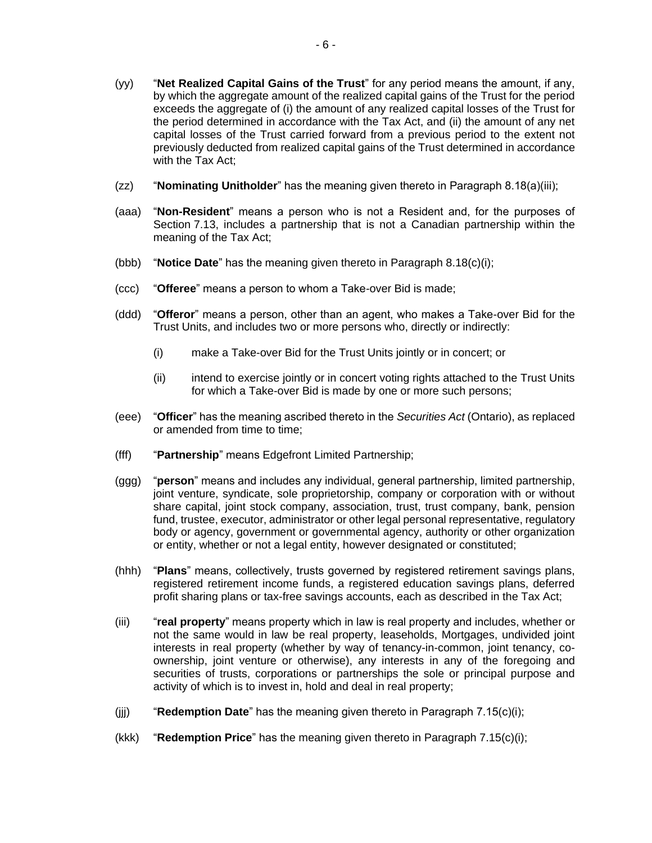- (yy) "**Net Realized Capital Gains of the Trust**" for any period means the amount, if any, by which the aggregate amount of the realized capital gains of the Trust for the period exceeds the aggregate of (i) the amount of any realized capital losses of the Trust for the period determined in accordance with the Tax Act, and (ii) the amount of any net capital losses of the Trust carried forward from a previous period to the extent not previously deducted from realized capital gains of the Trust determined in accordance with the Tax Act;
- (zz) "**Nominating Unitholder**" has the meaning given thereto in Paragraph 8.18(a)(iii);
- (aaa) "**Non-Resident**" means a person who is not a Resident and, for the purposes of Section 7.13, includes a partnership that is not a Canadian partnership within the meaning of the Tax Act;
- (bbb) "**Notice Date**" has the meaning given thereto in Paragraph 8.18(c)(i);
- (ccc) "**Offeree**" means a person to whom a Take-over Bid is made;
- (ddd) "**Offeror**" means a person, other than an agent, who makes a Take-over Bid for the Trust Units, and includes two or more persons who, directly or indirectly:
	- (i) make a Take-over Bid for the Trust Units jointly or in concert; or
	- (ii) intend to exercise jointly or in concert voting rights attached to the Trust Units for which a Take-over Bid is made by one or more such persons;
- (eee) "**Officer**" has the meaning ascribed thereto in the *Securities Act* (Ontario), as replaced or amended from time to time;
- (fff) "**Partnership**" means Edgefront Limited Partnership;
- (ggg) "**person**" means and includes any individual, general partnership, limited partnership, joint venture, syndicate, sole proprietorship, company or corporation with or without share capital, joint stock company, association, trust, trust company, bank, pension fund, trustee, executor, administrator or other legal personal representative, regulatory body or agency, government or governmental agency, authority or other organization or entity, whether or not a legal entity, however designated or constituted;
- (hhh) "**Plans**" means, collectively, trusts governed by registered retirement savings plans, registered retirement income funds, a registered education savings plans, deferred profit sharing plans or tax-free savings accounts, each as described in the Tax Act;
- (iii) "**real property**" means property which in law is real property and includes, whether or not the same would in law be real property, leaseholds, Mortgages, undivided joint interests in real property (whether by way of tenancy-in-common, joint tenancy, coownership, joint venture or otherwise), any interests in any of the foregoing and securities of trusts, corporations or partnerships the sole or principal purpose and activity of which is to invest in, hold and deal in real property;
- (jjj) "**Redemption Date**" has the meaning given thereto in Paragraph 7.15(c)(i);
- (kkk) "**Redemption Price**" has the meaning given thereto in Paragraph 7.15(c)(i);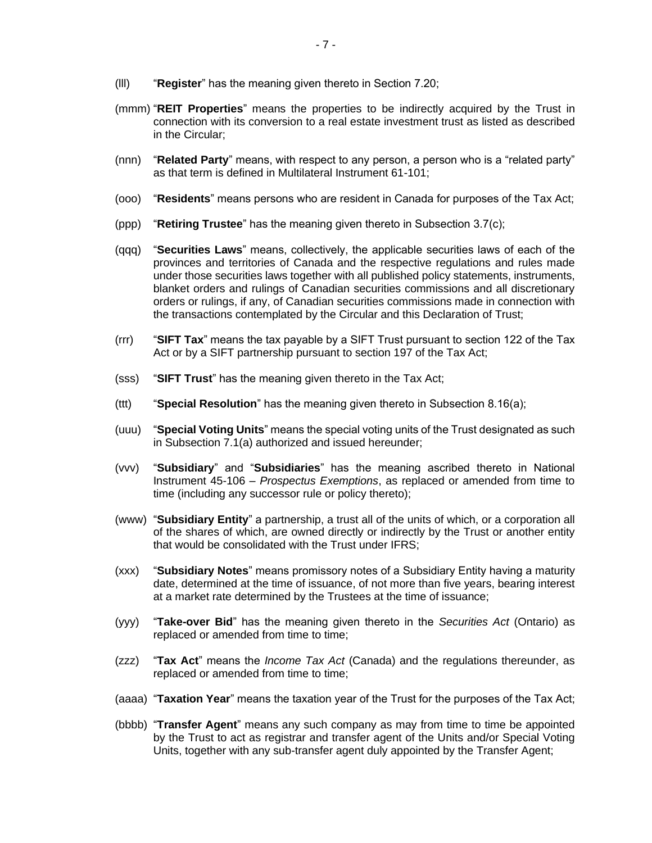- (lll) "**Register**" has the meaning given thereto in Section 7.20;
- (mmm) "**REIT Properties**" means the properties to be indirectly acquired by the Trust in connection with its conversion to a real estate investment trust as listed as described in the Circular;
- (nnn) "**Related Party**" means, with respect to any person, a person who is a "related party" as that term is defined in Multilateral Instrument 61-101;
- (ooo) "**Residents**" means persons who are resident in Canada for purposes of the Tax Act;
- (ppp) "**Retiring Trustee**" has the meaning given thereto in Subsection 3.7(c);
- (qqq) "**Securities Laws**" means, collectively, the applicable securities laws of each of the provinces and territories of Canada and the respective regulations and rules made under those securities laws together with all published policy statements, instruments, blanket orders and rulings of Canadian securities commissions and all discretionary orders or rulings, if any, of Canadian securities commissions made in connection with the transactions contemplated by the Circular and this Declaration of Trust;
- (rrr) "**SIFT Tax**" means the tax payable by a SIFT Trust pursuant to section 122 of the Tax Act or by a SIFT partnership pursuant to section 197 of the Tax Act;
- (sss) "**SIFT Trust**" has the meaning given thereto in the Tax Act;
- (ttt) "**Special Resolution**" has the meaning given thereto in Subsection 8.16(a);
- (uuu) "**Special Voting Units**" means the special voting units of the Trust designated as such in Subsection 7.1(a) authorized and issued hereunder;
- (vvv) "**Subsidiary**" and "**Subsidiaries**" has the meaning ascribed thereto in National Instrument 45-106 – *Prospectus Exemptions*, as replaced or amended from time to time (including any successor rule or policy thereto);
- (www) "**Subsidiary Entity**" a partnership, a trust all of the units of which, or a corporation all of the shares of which, are owned directly or indirectly by the Trust or another entity that would be consolidated with the Trust under IFRS;
- (xxx) "**Subsidiary Notes**" means promissory notes of a Subsidiary Entity having a maturity date, determined at the time of issuance, of not more than five years, bearing interest at a market rate determined by the Trustees at the time of issuance;
- (yyy) "**Take-over Bid**" has the meaning given thereto in the *Securities Act* (Ontario) as replaced or amended from time to time;
- (zzz) "**Tax Act**" means the *Income Tax Act* (Canada) and the regulations thereunder, as replaced or amended from time to time;
- (aaaa) "**Taxation Year**" means the taxation year of the Trust for the purposes of the Tax Act;
- (bbbb) "**Transfer Agent**" means any such company as may from time to time be appointed by the Trust to act as registrar and transfer agent of the Units and/or Special Voting Units, together with any sub-transfer agent duly appointed by the Transfer Agent;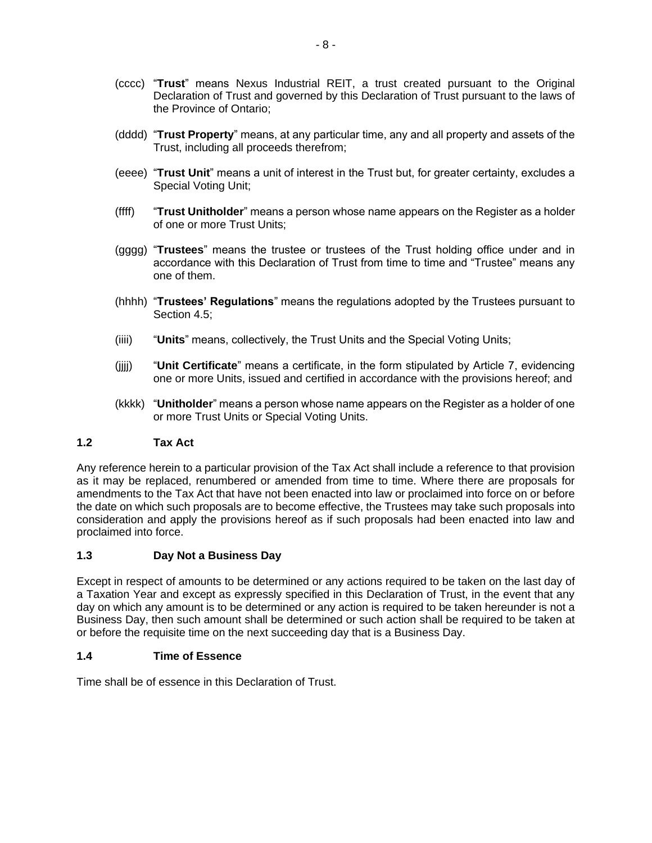- (cccc) "**Trust**" means Nexus Industrial REIT, a trust created pursuant to the Original Declaration of Trust and governed by this Declaration of Trust pursuant to the laws of the Province of Ontario;
- (dddd) "**Trust Property**" means, at any particular time, any and all property and assets of the Trust, including all proceeds therefrom;
- (eeee) "**Trust Unit**" means a unit of interest in the Trust but, for greater certainty, excludes a Special Voting Unit;
- (ffff) "**Trust Unitholder**" means a person whose name appears on the Register as a holder of one or more Trust Units;
- (gggg) "**Trustees**" means the trustee or trustees of the Trust holding office under and in accordance with this Declaration of Trust from time to time and "Trustee" means any one of them.
- (hhhh) "**Trustees' Regulations**" means the regulations adopted by the Trustees pursuant to Section 4.5;
- (iiii) "**Units**" means, collectively, the Trust Units and the Special Voting Units;
- (jjjj) "**Unit Certificate**" means a certificate, in the form stipulated by Article 7, evidencing one or more Units, issued and certified in accordance with the provisions hereof; and
- (kkkk) "**Unitholder**" means a person whose name appears on the Register as a holder of one or more Trust Units or Special Voting Units.

# **1.2 Tax Act**

Any reference herein to a particular provision of the Tax Act shall include a reference to that provision as it may be replaced, renumbered or amended from time to time. Where there are proposals for amendments to the Tax Act that have not been enacted into law or proclaimed into force on or before the date on which such proposals are to become effective, the Trustees may take such proposals into consideration and apply the provisions hereof as if such proposals had been enacted into law and proclaimed into force.

## **1.3 Day Not a Business Day**

Except in respect of amounts to be determined or any actions required to be taken on the last day of a Taxation Year and except as expressly specified in this Declaration of Trust, in the event that any day on which any amount is to be determined or any action is required to be taken hereunder is not a Business Day, then such amount shall be determined or such action shall be required to be taken at or before the requisite time on the next succeeding day that is a Business Day.

## **1.4 Time of Essence**

Time shall be of essence in this Declaration of Trust.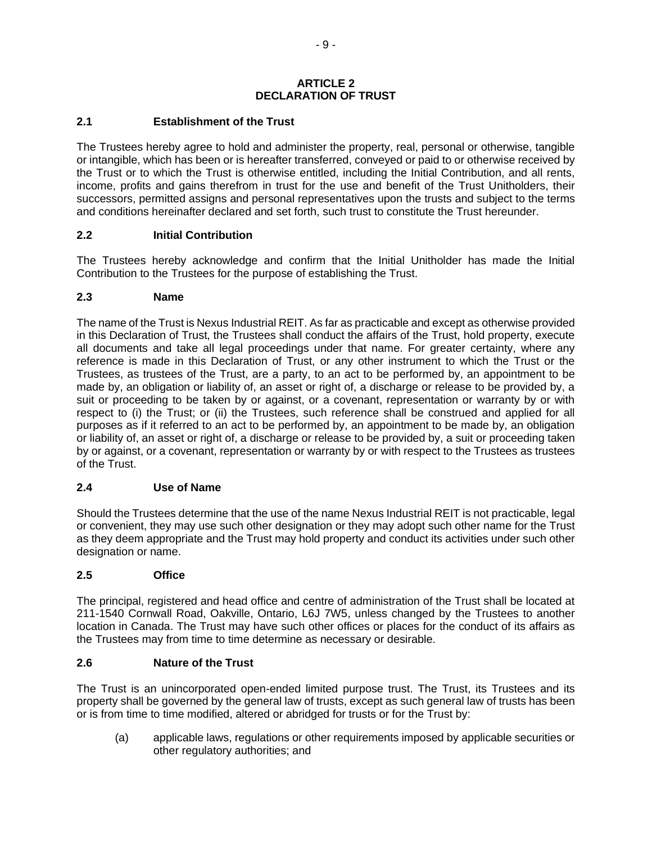#### **ARTICLE 2 DECLARATION OF TRUST**

## **2.1 Establishment of the Trust**

The Trustees hereby agree to hold and administer the property, real, personal or otherwise, tangible or intangible, which has been or is hereafter transferred, conveyed or paid to or otherwise received by the Trust or to which the Trust is otherwise entitled, including the Initial Contribution, and all rents, income, profits and gains therefrom in trust for the use and benefit of the Trust Unitholders, their successors, permitted assigns and personal representatives upon the trusts and subject to the terms and conditions hereinafter declared and set forth, such trust to constitute the Trust hereunder.

## **2.2 Initial Contribution**

The Trustees hereby acknowledge and confirm that the Initial Unitholder has made the Initial Contribution to the Trustees for the purpose of establishing the Trust.

## **2.3 Name**

The name of the Trust is Nexus Industrial REIT. As far as practicable and except as otherwise provided in this Declaration of Trust, the Trustees shall conduct the affairs of the Trust, hold property, execute all documents and take all legal proceedings under that name. For greater certainty, where any reference is made in this Declaration of Trust, or any other instrument to which the Trust or the Trustees, as trustees of the Trust, are a party, to an act to be performed by, an appointment to be made by, an obligation or liability of, an asset or right of, a discharge or release to be provided by, a suit or proceeding to be taken by or against, or a covenant, representation or warranty by or with respect to (i) the Trust; or (ii) the Trustees, such reference shall be construed and applied for all purposes as if it referred to an act to be performed by, an appointment to be made by, an obligation or liability of, an asset or right of, a discharge or release to be provided by, a suit or proceeding taken by or against, or a covenant, representation or warranty by or with respect to the Trustees as trustees of the Trust.

## **2.4 Use of Name**

Should the Trustees determine that the use of the name Nexus Industrial REIT is not practicable, legal or convenient, they may use such other designation or they may adopt such other name for the Trust as they deem appropriate and the Trust may hold property and conduct its activities under such other designation or name.

## **2.5 Office**

The principal, registered and head office and centre of administration of the Trust shall be located at 211-1540 Cornwall Road, Oakville, Ontario, L6J 7W5, unless changed by the Trustees to another location in Canada. The Trust may have such other offices or places for the conduct of its affairs as the Trustees may from time to time determine as necessary or desirable.

## **2.6 Nature of the Trust**

The Trust is an unincorporated open-ended limited purpose trust. The Trust, its Trustees and its property shall be governed by the general law of trusts, except as such general law of trusts has been or is from time to time modified, altered or abridged for trusts or for the Trust by:

(a) applicable laws, regulations or other requirements imposed by applicable securities or other regulatory authorities; and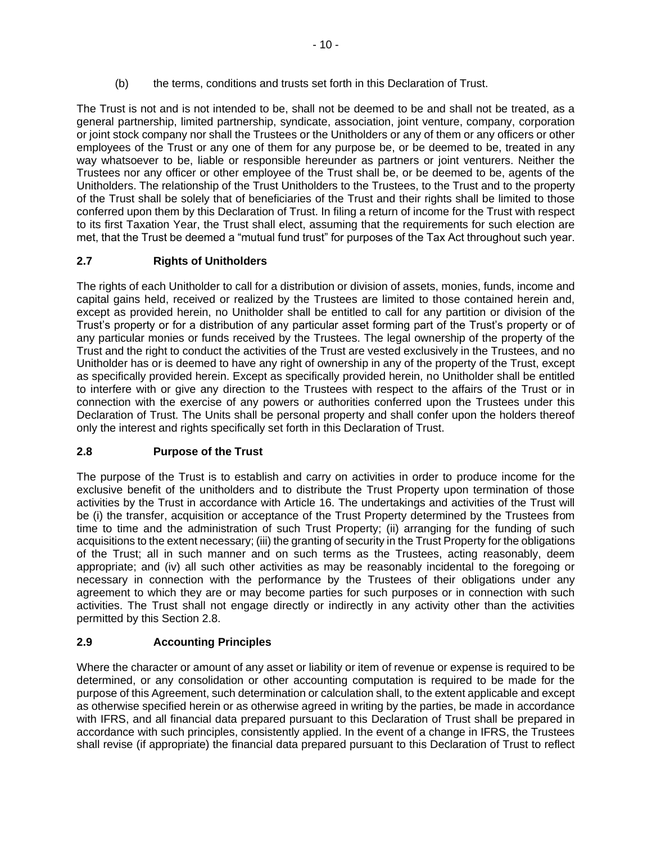(b) the terms, conditions and trusts set forth in this Declaration of Trust.

The Trust is not and is not intended to be, shall not be deemed to be and shall not be treated, as a general partnership, limited partnership, syndicate, association, joint venture, company, corporation or joint stock company nor shall the Trustees or the Unitholders or any of them or any officers or other employees of the Trust or any one of them for any purpose be, or be deemed to be, treated in any way whatsoever to be, liable or responsible hereunder as partners or joint venturers. Neither the Trustees nor any officer or other employee of the Trust shall be, or be deemed to be, agents of the Unitholders. The relationship of the Trust Unitholders to the Trustees, to the Trust and to the property of the Trust shall be solely that of beneficiaries of the Trust and their rights shall be limited to those conferred upon them by this Declaration of Trust. In filing a return of income for the Trust with respect to its first Taxation Year, the Trust shall elect, assuming that the requirements for such election are met, that the Trust be deemed a "mutual fund trust" for purposes of the Tax Act throughout such year.

# **2.7 Rights of Unitholders**

The rights of each Unitholder to call for a distribution or division of assets, monies, funds, income and capital gains held, received or realized by the Trustees are limited to those contained herein and, except as provided herein, no Unitholder shall be entitled to call for any partition or division of the Trust's property or for a distribution of any particular asset forming part of the Trust's property or of any particular monies or funds received by the Trustees. The legal ownership of the property of the Trust and the right to conduct the activities of the Trust are vested exclusively in the Trustees, and no Unitholder has or is deemed to have any right of ownership in any of the property of the Trust, except as specifically provided herein. Except as specifically provided herein, no Unitholder shall be entitled to interfere with or give any direction to the Trustees with respect to the affairs of the Trust or in connection with the exercise of any powers or authorities conferred upon the Trustees under this Declaration of Trust. The Units shall be personal property and shall confer upon the holders thereof only the interest and rights specifically set forth in this Declaration of Trust.

# **2.8 Purpose of the Trust**

The purpose of the Trust is to establish and carry on activities in order to produce income for the exclusive benefit of the unitholders and to distribute the Trust Property upon termination of those activities by the Trust in accordance with Article 16. The undertakings and activities of the Trust will be (i) the transfer, acquisition or acceptance of the Trust Property determined by the Trustees from time to time and the administration of such Trust Property; (ii) arranging for the funding of such acquisitions to the extent necessary; (iii) the granting of security in the Trust Property for the obligations of the Trust; all in such manner and on such terms as the Trustees, acting reasonably, deem appropriate; and (iv) all such other activities as may be reasonably incidental to the foregoing or necessary in connection with the performance by the Trustees of their obligations under any agreement to which they are or may become parties for such purposes or in connection with such activities. The Trust shall not engage directly or indirectly in any activity other than the activities permitted by this Section 2.8.

# **2.9 Accounting Principles**

Where the character or amount of any asset or liability or item of revenue or expense is required to be determined, or any consolidation or other accounting computation is required to be made for the purpose of this Agreement, such determination or calculation shall, to the extent applicable and except as otherwise specified herein or as otherwise agreed in writing by the parties, be made in accordance with IFRS, and all financial data prepared pursuant to this Declaration of Trust shall be prepared in accordance with such principles, consistently applied. In the event of a change in IFRS, the Trustees shall revise (if appropriate) the financial data prepared pursuant to this Declaration of Trust to reflect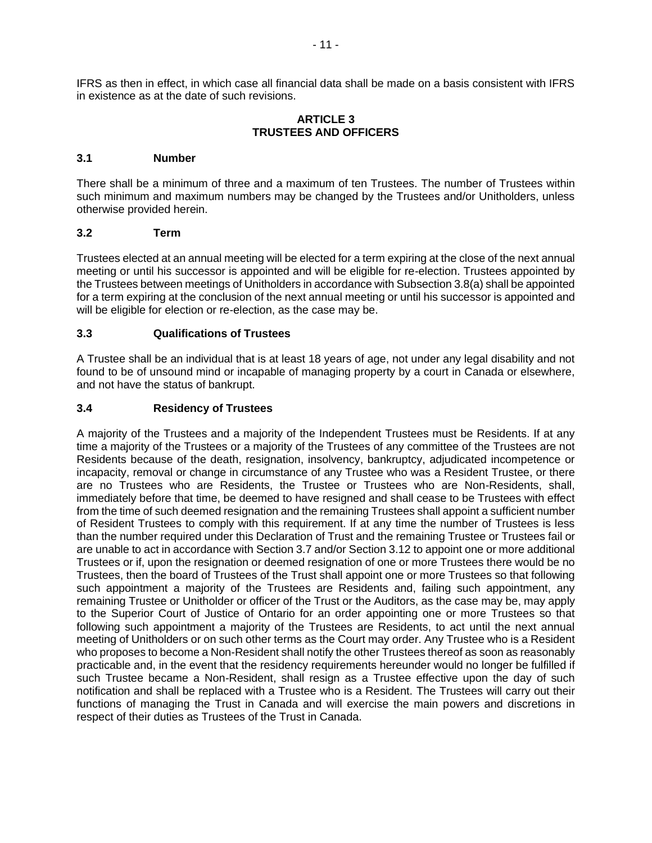IFRS as then in effect, in which case all financial data shall be made on a basis consistent with IFRS in existence as at the date of such revisions.

### **ARTICLE 3 TRUSTEES AND OFFICERS**

#### **3.1 Number**

There shall be a minimum of three and a maximum of ten Trustees. The number of Trustees within such minimum and maximum numbers may be changed by the Trustees and/or Unitholders, unless otherwise provided herein.

#### **3.2 Term**

Trustees elected at an annual meeting will be elected for a term expiring at the close of the next annual meeting or until his successor is appointed and will be eligible for re-election. Trustees appointed by the Trustees between meetings of Unitholders in accordance with Subsection 3.8(a) shall be appointed for a term expiring at the conclusion of the next annual meeting or until his successor is appointed and will be eligible for election or re-election, as the case may be.

## **3.3 Qualifications of Trustees**

A Trustee shall be an individual that is at least 18 years of age, not under any legal disability and not found to be of unsound mind or incapable of managing property by a court in Canada or elsewhere, and not have the status of bankrupt.

#### **3.4 Residency of Trustees**

A majority of the Trustees and a majority of the Independent Trustees must be Residents. If at any time a majority of the Trustees or a majority of the Trustees of any committee of the Trustees are not Residents because of the death, resignation, insolvency, bankruptcy, adjudicated incompetence or incapacity, removal or change in circumstance of any Trustee who was a Resident Trustee, or there are no Trustees who are Residents, the Trustee or Trustees who are Non-Residents, shall, immediately before that time, be deemed to have resigned and shall cease to be Trustees with effect from the time of such deemed resignation and the remaining Trustees shall appoint a sufficient number of Resident Trustees to comply with this requirement. If at any time the number of Trustees is less than the number required under this Declaration of Trust and the remaining Trustee or Trustees fail or are unable to act in accordance with Section 3.7 and/or Section 3.12 to appoint one or more additional Trustees or if, upon the resignation or deemed resignation of one or more Trustees there would be no Trustees, then the board of Trustees of the Trust shall appoint one or more Trustees so that following such appointment a majority of the Trustees are Residents and, failing such appointment, any remaining Trustee or Unitholder or officer of the Trust or the Auditors, as the case may be, may apply to the Superior Court of Justice of Ontario for an order appointing one or more Trustees so that following such appointment a majority of the Trustees are Residents, to act until the next annual meeting of Unitholders or on such other terms as the Court may order. Any Trustee who is a Resident who proposes to become a Non-Resident shall notify the other Trustees thereof as soon as reasonably practicable and, in the event that the residency requirements hereunder would no longer be fulfilled if such Trustee became a Non-Resident, shall resign as a Trustee effective upon the day of such notification and shall be replaced with a Trustee who is a Resident. The Trustees will carry out their functions of managing the Trust in Canada and will exercise the main powers and discretions in respect of their duties as Trustees of the Trust in Canada.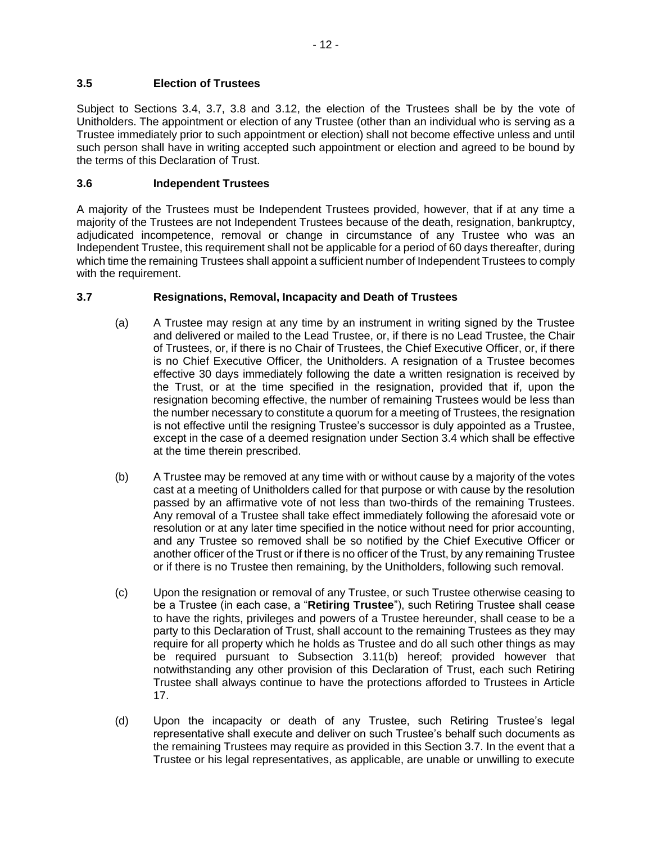Subject to Sections 3.4, 3.7, 3.8 and 3.12, the election of the Trustees shall be by the vote of Unitholders. The appointment or election of any Trustee (other than an individual who is serving as a Trustee immediately prior to such appointment or election) shall not become effective unless and until such person shall have in writing accepted such appointment or election and agreed to be bound by the terms of this Declaration of Trust.

# **3.6 Independent Trustees**

A majority of the Trustees must be Independent Trustees provided, however, that if at any time a majority of the Trustees are not Independent Trustees because of the death, resignation, bankruptcy, adjudicated incompetence, removal or change in circumstance of any Trustee who was an Independent Trustee, this requirement shall not be applicable for a period of 60 days thereafter, during which time the remaining Trustees shall appoint a sufficient number of Independent Trustees to comply with the requirement.

# **3.7 Resignations, Removal, Incapacity and Death of Trustees**

- (a) A Trustee may resign at any time by an instrument in writing signed by the Trustee and delivered or mailed to the Lead Trustee, or, if there is no Lead Trustee, the Chair of Trustees, or, if there is no Chair of Trustees, the Chief Executive Officer, or, if there is no Chief Executive Officer, the Unitholders. A resignation of a Trustee becomes effective 30 days immediately following the date a written resignation is received by the Trust, or at the time specified in the resignation, provided that if, upon the resignation becoming effective, the number of remaining Trustees would be less than the number necessary to constitute a quorum for a meeting of Trustees, the resignation is not effective until the resigning Trustee's successor is duly appointed as a Trustee, except in the case of a deemed resignation under Section 3.4 which shall be effective at the time therein prescribed.
- (b) A Trustee may be removed at any time with or without cause by a majority of the votes cast at a meeting of Unitholders called for that purpose or with cause by the resolution passed by an affirmative vote of not less than two-thirds of the remaining Trustees. Any removal of a Trustee shall take effect immediately following the aforesaid vote or resolution or at any later time specified in the notice without need for prior accounting, and any Trustee so removed shall be so notified by the Chief Executive Officer or another officer of the Trust or if there is no officer of the Trust, by any remaining Trustee or if there is no Trustee then remaining, by the Unitholders, following such removal.
- (c) Upon the resignation or removal of any Trustee, or such Trustee otherwise ceasing to be a Trustee (in each case, a "**Retiring Trustee**"), such Retiring Trustee shall cease to have the rights, privileges and powers of a Trustee hereunder, shall cease to be a party to this Declaration of Trust, shall account to the remaining Trustees as they may require for all property which he holds as Trustee and do all such other things as may be required pursuant to Subsection 3.11(b) hereof; provided however that notwithstanding any other provision of this Declaration of Trust, each such Retiring Trustee shall always continue to have the protections afforded to Trustees in Article 17.
- (d) Upon the incapacity or death of any Trustee, such Retiring Trustee's legal representative shall execute and deliver on such Trustee's behalf such documents as the remaining Trustees may require as provided in this Section 3.7. In the event that a Trustee or his legal representatives, as applicable, are unable or unwilling to execute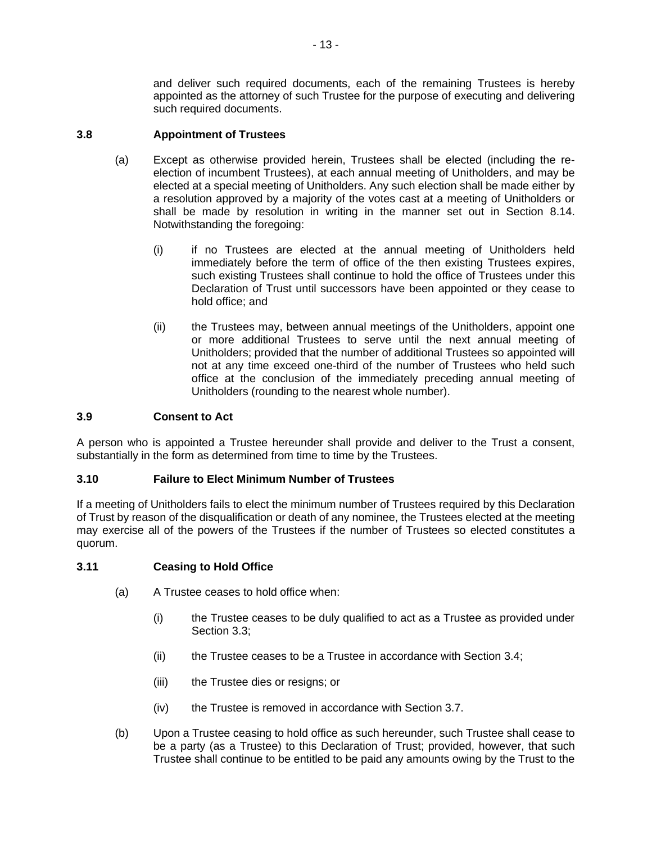and deliver such required documents, each of the remaining Trustees is hereby appointed as the attorney of such Trustee for the purpose of executing and delivering such required documents.

## **3.8 Appointment of Trustees**

- (a) Except as otherwise provided herein, Trustees shall be elected (including the reelection of incumbent Trustees), at each annual meeting of Unitholders, and may be elected at a special meeting of Unitholders. Any such election shall be made either by a resolution approved by a majority of the votes cast at a meeting of Unitholders or shall be made by resolution in writing in the manner set out in Section 8.14. Notwithstanding the foregoing:
	- (i) if no Trustees are elected at the annual meeting of Unitholders held immediately before the term of office of the then existing Trustees expires, such existing Trustees shall continue to hold the office of Trustees under this Declaration of Trust until successors have been appointed or they cease to hold office; and
	- (ii) the Trustees may, between annual meetings of the Unitholders, appoint one or more additional Trustees to serve until the next annual meeting of Unitholders; provided that the number of additional Trustees so appointed will not at any time exceed one-third of the number of Trustees who held such office at the conclusion of the immediately preceding annual meeting of Unitholders (rounding to the nearest whole number).

### **3.9 Consent to Act**

A person who is appointed a Trustee hereunder shall provide and deliver to the Trust a consent, substantially in the form as determined from time to time by the Trustees.

## **3.10 Failure to Elect Minimum Number of Trustees**

If a meeting of Unitholders fails to elect the minimum number of Trustees required by this Declaration of Trust by reason of the disqualification or death of any nominee, the Trustees elected at the meeting may exercise all of the powers of the Trustees if the number of Trustees so elected constitutes a quorum.

## **3.11 Ceasing to Hold Office**

- (a) A Trustee ceases to hold office when:
	- (i) the Trustee ceases to be duly qualified to act as a Trustee as provided under Section 3.3;
	- (ii) the Trustee ceases to be a Trustee in accordance with Section 3.4;
	- (iii) the Trustee dies or resigns; or
	- (iv) the Trustee is removed in accordance with Section 3.7.
- (b) Upon a Trustee ceasing to hold office as such hereunder, such Trustee shall cease to be a party (as a Trustee) to this Declaration of Trust; provided, however, that such Trustee shall continue to be entitled to be paid any amounts owing by the Trust to the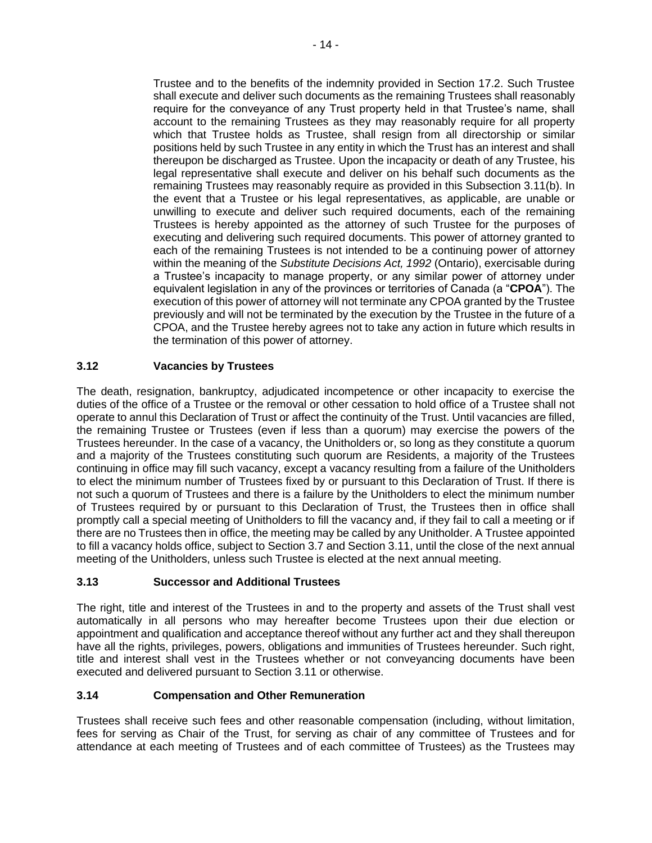Trustee and to the benefits of the indemnity provided in Section 17.2. Such Trustee shall execute and deliver such documents as the remaining Trustees shall reasonably require for the conveyance of any Trust property held in that Trustee's name, shall account to the remaining Trustees as they may reasonably require for all property which that Trustee holds as Trustee, shall resign from all directorship or similar positions held by such Trustee in any entity in which the Trust has an interest and shall thereupon be discharged as Trustee. Upon the incapacity or death of any Trustee, his legal representative shall execute and deliver on his behalf such documents as the remaining Trustees may reasonably require as provided in this Subsection 3.11(b). In the event that a Trustee or his legal representatives, as applicable, are unable or unwilling to execute and deliver such required documents, each of the remaining Trustees is hereby appointed as the attorney of such Trustee for the purposes of executing and delivering such required documents. This power of attorney granted to each of the remaining Trustees is not intended to be a continuing power of attorney within the meaning of the *Substitute Decisions Act, 1992* (Ontario), exercisable during a Trustee's incapacity to manage property, or any similar power of attorney under equivalent legislation in any of the provinces or territories of Canada (a "**CPOA**"). The execution of this power of attorney will not terminate any CPOA granted by the Trustee previously and will not be terminated by the execution by the Trustee in the future of a CPOA, and the Trustee hereby agrees not to take any action in future which results in the termination of this power of attorney.

# **3.12 Vacancies by Trustees**

The death, resignation, bankruptcy, adjudicated incompetence or other incapacity to exercise the duties of the office of a Trustee or the removal or other cessation to hold office of a Trustee shall not operate to annul this Declaration of Trust or affect the continuity of the Trust. Until vacancies are filled, the remaining Trustee or Trustees (even if less than a quorum) may exercise the powers of the Trustees hereunder. In the case of a vacancy, the Unitholders or, so long as they constitute a quorum and a majority of the Trustees constituting such quorum are Residents, a majority of the Trustees continuing in office may fill such vacancy, except a vacancy resulting from a failure of the Unitholders to elect the minimum number of Trustees fixed by or pursuant to this Declaration of Trust. If there is not such a quorum of Trustees and there is a failure by the Unitholders to elect the minimum number of Trustees required by or pursuant to this Declaration of Trust, the Trustees then in office shall promptly call a special meeting of Unitholders to fill the vacancy and, if they fail to call a meeting or if there are no Trustees then in office, the meeting may be called by any Unitholder. A Trustee appointed to fill a vacancy holds office, subject to Section 3.7 and Section 3.11, until the close of the next annual meeting of the Unitholders, unless such Trustee is elected at the next annual meeting.

# **3.13 Successor and Additional Trustees**

The right, title and interest of the Trustees in and to the property and assets of the Trust shall vest automatically in all persons who may hereafter become Trustees upon their due election or appointment and qualification and acceptance thereof without any further act and they shall thereupon have all the rights, privileges, powers, obligations and immunities of Trustees hereunder. Such right, title and interest shall vest in the Trustees whether or not conveyancing documents have been executed and delivered pursuant to Section 3.11 or otherwise.

# **3.14 Compensation and Other Remuneration**

Trustees shall receive such fees and other reasonable compensation (including, without limitation, fees for serving as Chair of the Trust, for serving as chair of any committee of Trustees and for attendance at each meeting of Trustees and of each committee of Trustees) as the Trustees may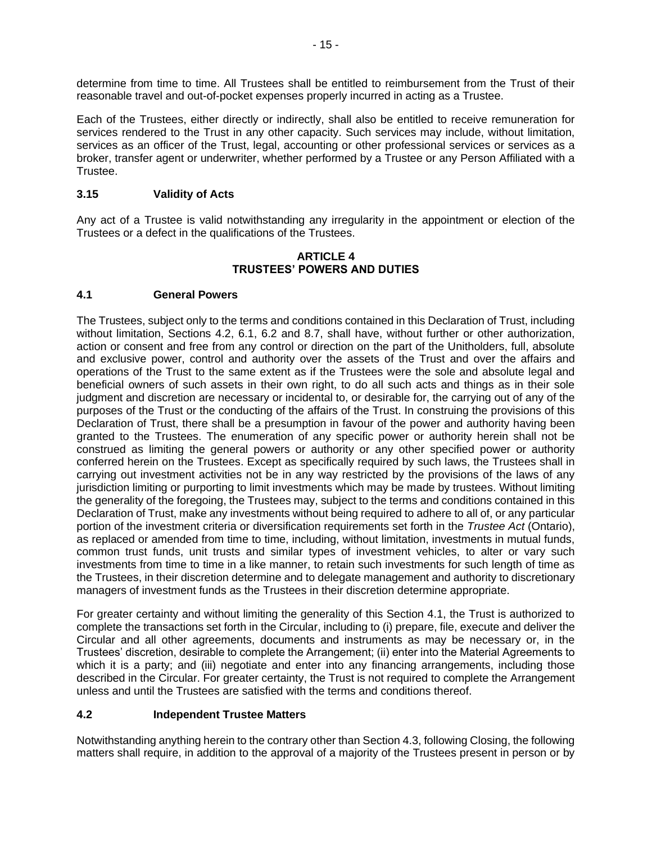determine from time to time. All Trustees shall be entitled to reimbursement from the Trust of their reasonable travel and out-of-pocket expenses properly incurred in acting as a Trustee.

Each of the Trustees, either directly or indirectly, shall also be entitled to receive remuneration for services rendered to the Trust in any other capacity. Such services may include, without limitation, services as an officer of the Trust, legal, accounting or other professional services or services as a broker, transfer agent or underwriter, whether performed by a Trustee or any Person Affiliated with a Trustee.

## **3.15 Validity of Acts**

Any act of a Trustee is valid notwithstanding any irregularity in the appointment or election of the Trustees or a defect in the qualifications of the Trustees.

#### **ARTICLE 4 TRUSTEES' POWERS AND DUTIES**

## **4.1 General Powers**

The Trustees, subject only to the terms and conditions contained in this Declaration of Trust, including without limitation, Sections 4.2, 6.1, 6.2 and 8.7, shall have, without further or other authorization, action or consent and free from any control or direction on the part of the Unitholders, full, absolute and exclusive power, control and authority over the assets of the Trust and over the affairs and operations of the Trust to the same extent as if the Trustees were the sole and absolute legal and beneficial owners of such assets in their own right, to do all such acts and things as in their sole judgment and discretion are necessary or incidental to, or desirable for, the carrying out of any of the purposes of the Trust or the conducting of the affairs of the Trust. In construing the provisions of this Declaration of Trust, there shall be a presumption in favour of the power and authority having been granted to the Trustees. The enumeration of any specific power or authority herein shall not be construed as limiting the general powers or authority or any other specified power or authority conferred herein on the Trustees. Except as specifically required by such laws, the Trustees shall in carrying out investment activities not be in any way restricted by the provisions of the laws of any jurisdiction limiting or purporting to limit investments which may be made by trustees. Without limiting the generality of the foregoing, the Trustees may, subject to the terms and conditions contained in this Declaration of Trust, make any investments without being required to adhere to all of, or any particular portion of the investment criteria or diversification requirements set forth in the *Trustee Act* (Ontario), as replaced or amended from time to time, including, without limitation, investments in mutual funds, common trust funds, unit trusts and similar types of investment vehicles, to alter or vary such investments from time to time in a like manner, to retain such investments for such length of time as the Trustees, in their discretion determine and to delegate management and authority to discretionary managers of investment funds as the Trustees in their discretion determine appropriate.

For greater certainty and without limiting the generality of this Section 4.1, the Trust is authorized to complete the transactions set forth in the Circular, including to (i) prepare, file, execute and deliver the Circular and all other agreements, documents and instruments as may be necessary or, in the Trustees' discretion, desirable to complete the Arrangement; (ii) enter into the Material Agreements to which it is a party; and (iii) negotiate and enter into any financing arrangements, including those described in the Circular. For greater certainty, the Trust is not required to complete the Arrangement unless and until the Trustees are satisfied with the terms and conditions thereof.

## **4.2 Independent Trustee Matters**

Notwithstanding anything herein to the contrary other than Section 4.3, following Closing, the following matters shall require, in addition to the approval of a majority of the Trustees present in person or by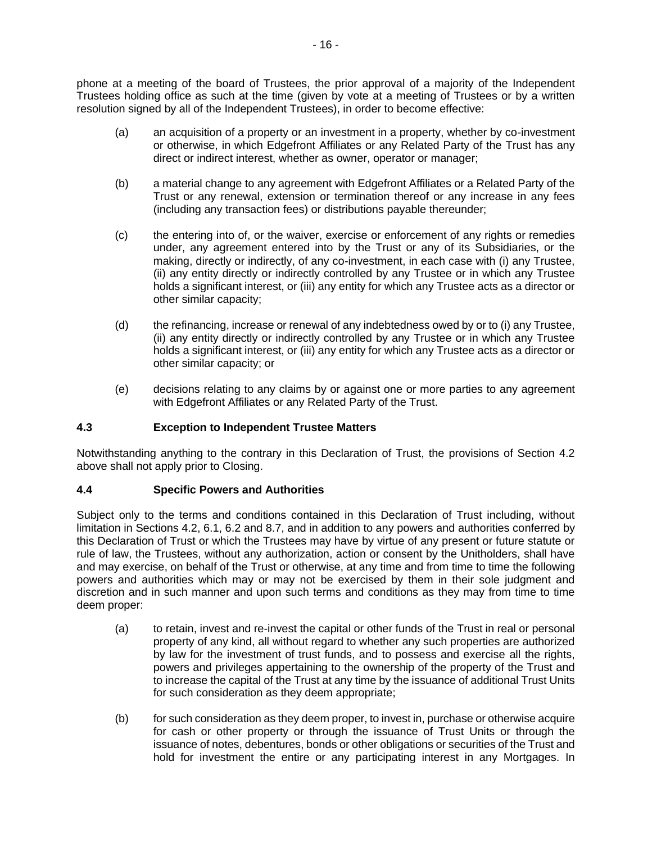phone at a meeting of the board of Trustees, the prior approval of a majority of the Independent Trustees holding office as such at the time (given by vote at a meeting of Trustees or by a written resolution signed by all of the Independent Trustees), in order to become effective:

- (a) an acquisition of a property or an investment in a property, whether by co-investment or otherwise, in which Edgefront Affiliates or any Related Party of the Trust has any direct or indirect interest, whether as owner, operator or manager;
- (b) a material change to any agreement with Edgefront Affiliates or a Related Party of the Trust or any renewal, extension or termination thereof or any increase in any fees (including any transaction fees) or distributions payable thereunder;
- (c) the entering into of, or the waiver, exercise or enforcement of any rights or remedies under, any agreement entered into by the Trust or any of its Subsidiaries, or the making, directly or indirectly, of any co-investment, in each case with (i) any Trustee, (ii) any entity directly or indirectly controlled by any Trustee or in which any Trustee holds a significant interest, or (iii) any entity for which any Trustee acts as a director or other similar capacity;
- (d) the refinancing, increase or renewal of any indebtedness owed by or to (i) any Trustee, (ii) any entity directly or indirectly controlled by any Trustee or in which any Trustee holds a significant interest, or (iii) any entity for which any Trustee acts as a director or other similar capacity; or
- (e) decisions relating to any claims by or against one or more parties to any agreement with Edgefront Affiliates or any Related Party of the Trust.

# **4.3 Exception to Independent Trustee Matters**

Notwithstanding anything to the contrary in this Declaration of Trust, the provisions of Section 4.2 above shall not apply prior to Closing.

## **4.4 Specific Powers and Authorities**

Subject only to the terms and conditions contained in this Declaration of Trust including, without limitation in Sections 4.2, 6.1, 6.2 and 8.7, and in addition to any powers and authorities conferred by this Declaration of Trust or which the Trustees may have by virtue of any present or future statute or rule of law, the Trustees, without any authorization, action or consent by the Unitholders, shall have and may exercise, on behalf of the Trust or otherwise, at any time and from time to time the following powers and authorities which may or may not be exercised by them in their sole judgment and discretion and in such manner and upon such terms and conditions as they may from time to time deem proper:

- (a) to retain, invest and re-invest the capital or other funds of the Trust in real or personal property of any kind, all without regard to whether any such properties are authorized by law for the investment of trust funds, and to possess and exercise all the rights, powers and privileges appertaining to the ownership of the property of the Trust and to increase the capital of the Trust at any time by the issuance of additional Trust Units for such consideration as they deem appropriate;
- (b) for such consideration as they deem proper, to invest in, purchase or otherwise acquire for cash or other property or through the issuance of Trust Units or through the issuance of notes, debentures, bonds or other obligations or securities of the Trust and hold for investment the entire or any participating interest in any Mortgages. In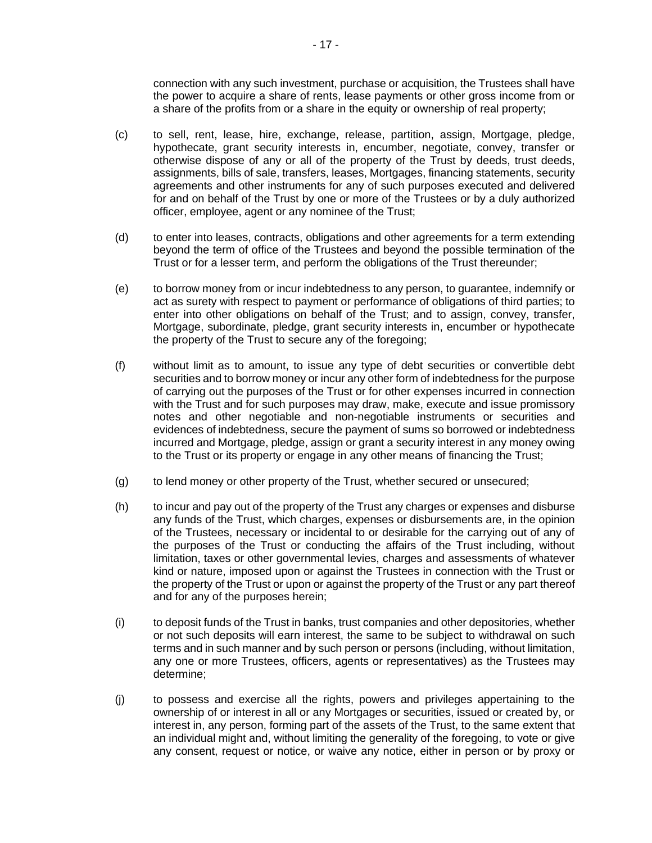connection with any such investment, purchase or acquisition, the Trustees shall have the power to acquire a share of rents, lease payments or other gross income from or a share of the profits from or a share in the equity or ownership of real property;

- (c) to sell, rent, lease, hire, exchange, release, partition, assign, Mortgage, pledge, hypothecate, grant security interests in, encumber, negotiate, convey, transfer or otherwise dispose of any or all of the property of the Trust by deeds, trust deeds, assignments, bills of sale, transfers, leases, Mortgages, financing statements, security agreements and other instruments for any of such purposes executed and delivered for and on behalf of the Trust by one or more of the Trustees or by a duly authorized officer, employee, agent or any nominee of the Trust;
- (d) to enter into leases, contracts, obligations and other agreements for a term extending beyond the term of office of the Trustees and beyond the possible termination of the Trust or for a lesser term, and perform the obligations of the Trust thereunder;
- (e) to borrow money from or incur indebtedness to any person, to guarantee, indemnify or act as surety with respect to payment or performance of obligations of third parties; to enter into other obligations on behalf of the Trust; and to assign, convey, transfer, Mortgage, subordinate, pledge, grant security interests in, encumber or hypothecate the property of the Trust to secure any of the foregoing;
- (f) without limit as to amount, to issue any type of debt securities or convertible debt securities and to borrow money or incur any other form of indebtedness for the purpose of carrying out the purposes of the Trust or for other expenses incurred in connection with the Trust and for such purposes may draw, make, execute and issue promissory notes and other negotiable and non-negotiable instruments or securities and evidences of indebtedness, secure the payment of sums so borrowed or indebtedness incurred and Mortgage, pledge, assign or grant a security interest in any money owing to the Trust or its property or engage in any other means of financing the Trust;
- (g) to lend money or other property of the Trust, whether secured or unsecured;
- (h) to incur and pay out of the property of the Trust any charges or expenses and disburse any funds of the Trust, which charges, expenses or disbursements are, in the opinion of the Trustees, necessary or incidental to or desirable for the carrying out of any of the purposes of the Trust or conducting the affairs of the Trust including, without limitation, taxes or other governmental levies, charges and assessments of whatever kind or nature, imposed upon or against the Trustees in connection with the Trust or the property of the Trust or upon or against the property of the Trust or any part thereof and for any of the purposes herein;
- (i) to deposit funds of the Trust in banks, trust companies and other depositories, whether or not such deposits will earn interest, the same to be subject to withdrawal on such terms and in such manner and by such person or persons (including, without limitation, any one or more Trustees, officers, agents or representatives) as the Trustees may determine;
- (j) to possess and exercise all the rights, powers and privileges appertaining to the ownership of or interest in all or any Mortgages or securities, issued or created by, or interest in, any person, forming part of the assets of the Trust, to the same extent that an individual might and, without limiting the generality of the foregoing, to vote or give any consent, request or notice, or waive any notice, either in person or by proxy or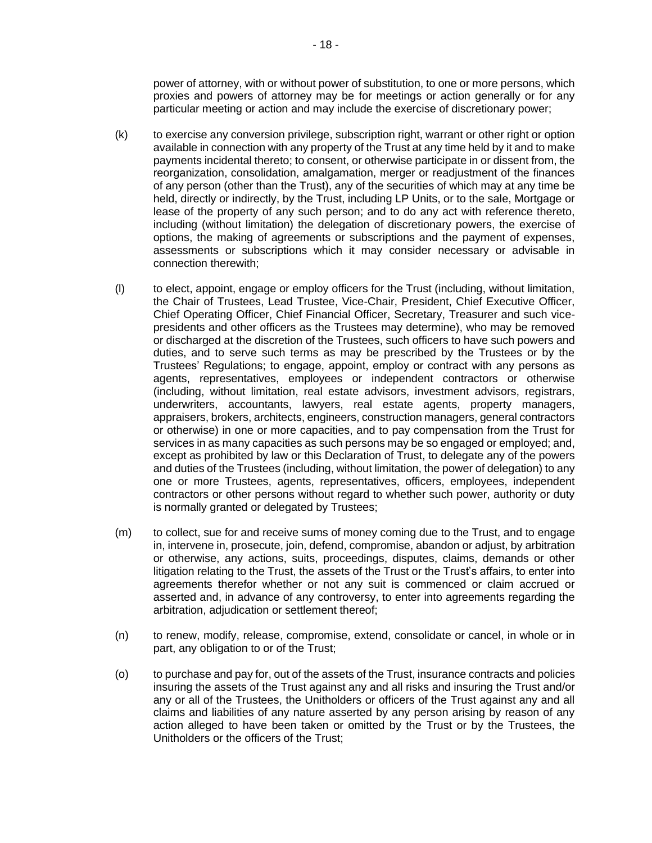power of attorney, with or without power of substitution, to one or more persons, which proxies and powers of attorney may be for meetings or action generally or for any particular meeting or action and may include the exercise of discretionary power;

- (k) to exercise any conversion privilege, subscription right, warrant or other right or option available in connection with any property of the Trust at any time held by it and to make payments incidental thereto; to consent, or otherwise participate in or dissent from, the reorganization, consolidation, amalgamation, merger or readjustment of the finances of any person (other than the Trust), any of the securities of which may at any time be held, directly or indirectly, by the Trust, including LP Units, or to the sale, Mortgage or lease of the property of any such person; and to do any act with reference thereto, including (without limitation) the delegation of discretionary powers, the exercise of options, the making of agreements or subscriptions and the payment of expenses, assessments or subscriptions which it may consider necessary or advisable in connection therewith;
- (l) to elect, appoint, engage or employ officers for the Trust (including, without limitation, the Chair of Trustees, Lead Trustee, Vice-Chair, President, Chief Executive Officer, Chief Operating Officer, Chief Financial Officer, Secretary, Treasurer and such vicepresidents and other officers as the Trustees may determine), who may be removed or discharged at the discretion of the Trustees, such officers to have such powers and duties, and to serve such terms as may be prescribed by the Trustees or by the Trustees' Regulations; to engage, appoint, employ or contract with any persons as agents, representatives, employees or independent contractors or otherwise (including, without limitation, real estate advisors, investment advisors, registrars, underwriters, accountants, lawyers, real estate agents, property managers, appraisers, brokers, architects, engineers, construction managers, general contractors or otherwise) in one or more capacities, and to pay compensation from the Trust for services in as many capacities as such persons may be so engaged or employed; and, except as prohibited by law or this Declaration of Trust, to delegate any of the powers and duties of the Trustees (including, without limitation, the power of delegation) to any one or more Trustees, agents, representatives, officers, employees, independent contractors or other persons without regard to whether such power, authority or duty is normally granted or delegated by Trustees;
- (m) to collect, sue for and receive sums of money coming due to the Trust, and to engage in, intervene in, prosecute, join, defend, compromise, abandon or adjust, by arbitration or otherwise, any actions, suits, proceedings, disputes, claims, demands or other litigation relating to the Trust, the assets of the Trust or the Trust's affairs, to enter into agreements therefor whether or not any suit is commenced or claim accrued or asserted and, in advance of any controversy, to enter into agreements regarding the arbitration, adjudication or settlement thereof;
- (n) to renew, modify, release, compromise, extend, consolidate or cancel, in whole or in part, any obligation to or of the Trust;
- (o) to purchase and pay for, out of the assets of the Trust, insurance contracts and policies insuring the assets of the Trust against any and all risks and insuring the Trust and/or any or all of the Trustees, the Unitholders or officers of the Trust against any and all claims and liabilities of any nature asserted by any person arising by reason of any action alleged to have been taken or omitted by the Trust or by the Trustees, the Unitholders or the officers of the Trust;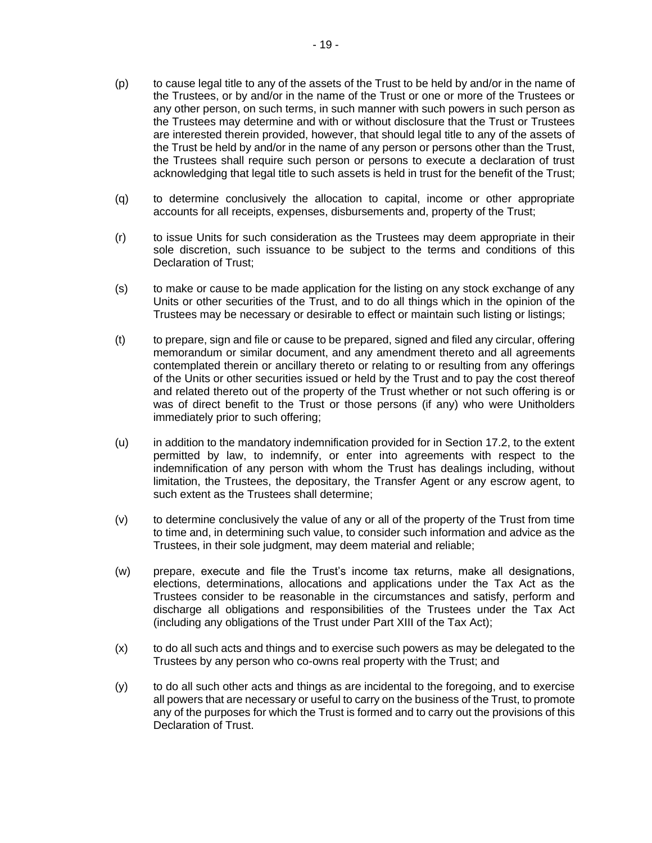- (p) to cause legal title to any of the assets of the Trust to be held by and/or in the name of the Trustees, or by and/or in the name of the Trust or one or more of the Trustees or any other person, on such terms, in such manner with such powers in such person as the Trustees may determine and with or without disclosure that the Trust or Trustees are interested therein provided, however, that should legal title to any of the assets of the Trust be held by and/or in the name of any person or persons other than the Trust, the Trustees shall require such person or persons to execute a declaration of trust acknowledging that legal title to such assets is held in trust for the benefit of the Trust;
- (q) to determine conclusively the allocation to capital, income or other appropriate accounts for all receipts, expenses, disbursements and, property of the Trust;
- (r) to issue Units for such consideration as the Trustees may deem appropriate in their sole discretion, such issuance to be subject to the terms and conditions of this Declaration of Trust;
- (s) to make or cause to be made application for the listing on any stock exchange of any Units or other securities of the Trust, and to do all things which in the opinion of the Trustees may be necessary or desirable to effect or maintain such listing or listings;
- (t) to prepare, sign and file or cause to be prepared, signed and filed any circular, offering memorandum or similar document, and any amendment thereto and all agreements contemplated therein or ancillary thereto or relating to or resulting from any offerings of the Units or other securities issued or held by the Trust and to pay the cost thereof and related thereto out of the property of the Trust whether or not such offering is or was of direct benefit to the Trust or those persons (if any) who were Unitholders immediately prior to such offering;
- (u) in addition to the mandatory indemnification provided for in Section 17.2, to the extent permitted by law, to indemnify, or enter into agreements with respect to the indemnification of any person with whom the Trust has dealings including, without limitation, the Trustees, the depositary, the Transfer Agent or any escrow agent, to such extent as the Trustees shall determine;
- (v) to determine conclusively the value of any or all of the property of the Trust from time to time and, in determining such value, to consider such information and advice as the Trustees, in their sole judgment, may deem material and reliable;
- (w) prepare, execute and file the Trust's income tax returns, make all designations, elections, determinations, allocations and applications under the Tax Act as the Trustees consider to be reasonable in the circumstances and satisfy, perform and discharge all obligations and responsibilities of the Trustees under the Tax Act (including any obligations of the Trust under Part XIII of the Tax Act);
- (x) to do all such acts and things and to exercise such powers as may be delegated to the Trustees by any person who co-owns real property with the Trust; and
- (y) to do all such other acts and things as are incidental to the foregoing, and to exercise all powers that are necessary or useful to carry on the business of the Trust, to promote any of the purposes for which the Trust is formed and to carry out the provisions of this Declaration of Trust.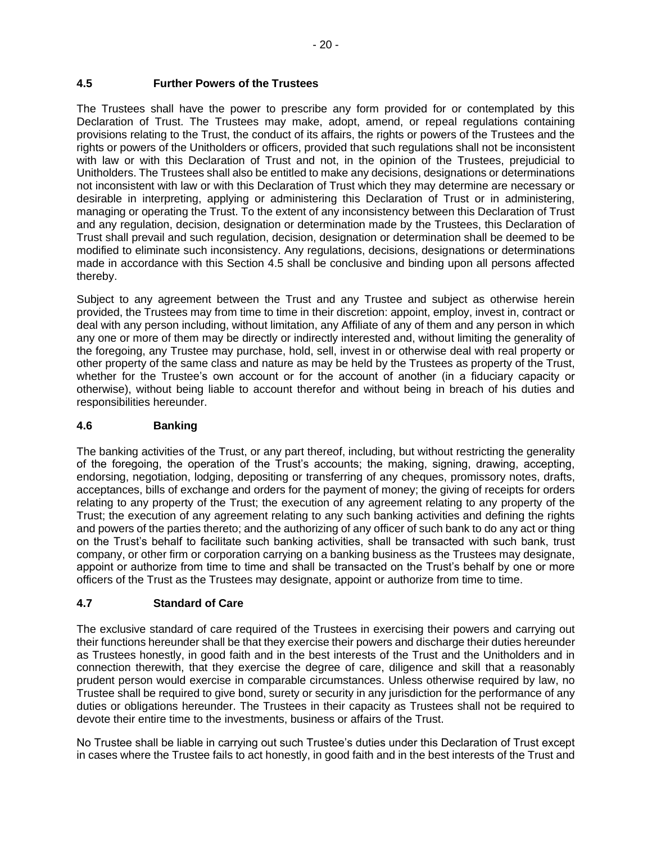## **4.5 Further Powers of the Trustees**

The Trustees shall have the power to prescribe any form provided for or contemplated by this Declaration of Trust. The Trustees may make, adopt, amend, or repeal regulations containing provisions relating to the Trust, the conduct of its affairs, the rights or powers of the Trustees and the rights or powers of the Unitholders or officers, provided that such regulations shall not be inconsistent with law or with this Declaration of Trust and not, in the opinion of the Trustees, prejudicial to Unitholders. The Trustees shall also be entitled to make any decisions, designations or determinations not inconsistent with law or with this Declaration of Trust which they may determine are necessary or desirable in interpreting, applying or administering this Declaration of Trust or in administering, managing or operating the Trust. To the extent of any inconsistency between this Declaration of Trust and any regulation, decision, designation or determination made by the Trustees, this Declaration of Trust shall prevail and such regulation, decision, designation or determination shall be deemed to be modified to eliminate such inconsistency. Any regulations, decisions, designations or determinations made in accordance with this Section 4.5 shall be conclusive and binding upon all persons affected thereby.

Subject to any agreement between the Trust and any Trustee and subject as otherwise herein provided, the Trustees may from time to time in their discretion: appoint, employ, invest in, contract or deal with any person including, without limitation, any Affiliate of any of them and any person in which any one or more of them may be directly or indirectly interested and, without limiting the generality of the foregoing, any Trustee may purchase, hold, sell, invest in or otherwise deal with real property or other property of the same class and nature as may be held by the Trustees as property of the Trust, whether for the Trustee's own account or for the account of another (in a fiduciary capacity or otherwise), without being liable to account therefor and without being in breach of his duties and responsibilities hereunder.

## **4.6 Banking**

The banking activities of the Trust, or any part thereof, including, but without restricting the generality of the foregoing, the operation of the Trust's accounts; the making, signing, drawing, accepting, endorsing, negotiation, lodging, depositing or transferring of any cheques, promissory notes, drafts, acceptances, bills of exchange and orders for the payment of money; the giving of receipts for orders relating to any property of the Trust; the execution of any agreement relating to any property of the Trust; the execution of any agreement relating to any such banking activities and defining the rights and powers of the parties thereto; and the authorizing of any officer of such bank to do any act or thing on the Trust's behalf to facilitate such banking activities, shall be transacted with such bank, trust company, or other firm or corporation carrying on a banking business as the Trustees may designate, appoint or authorize from time to time and shall be transacted on the Trust's behalf by one or more officers of the Trust as the Trustees may designate, appoint or authorize from time to time.

## **4.7 Standard of Care**

The exclusive standard of care required of the Trustees in exercising their powers and carrying out their functions hereunder shall be that they exercise their powers and discharge their duties hereunder as Trustees honestly, in good faith and in the best interests of the Trust and the Unitholders and in connection therewith, that they exercise the degree of care, diligence and skill that a reasonably prudent person would exercise in comparable circumstances. Unless otherwise required by law, no Trustee shall be required to give bond, surety or security in any jurisdiction for the performance of any duties or obligations hereunder. The Trustees in their capacity as Trustees shall not be required to devote their entire time to the investments, business or affairs of the Trust.

No Trustee shall be liable in carrying out such Trustee's duties under this Declaration of Trust except in cases where the Trustee fails to act honestly, in good faith and in the best interests of the Trust and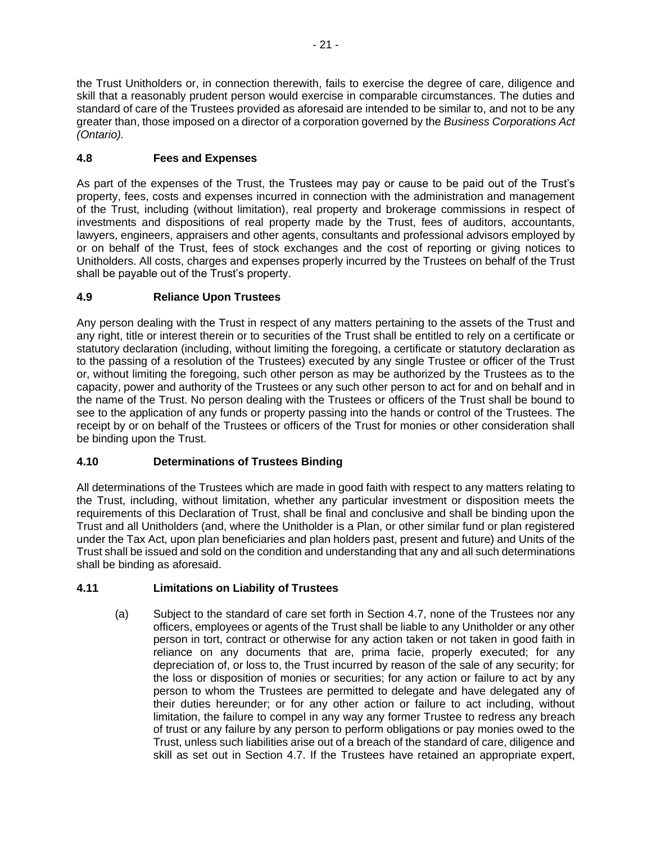the Trust Unitholders or, in connection therewith, fails to exercise the degree of care, diligence and skill that a reasonably prudent person would exercise in comparable circumstances. The duties and standard of care of the Trustees provided as aforesaid are intended to be similar to, and not to be any greater than, those imposed on a director of a corporation governed by the *Business Corporations Act (Ontario).*

# **4.8 Fees and Expenses**

As part of the expenses of the Trust, the Trustees may pay or cause to be paid out of the Trust's property, fees, costs and expenses incurred in connection with the administration and management of the Trust, including (without limitation), real property and brokerage commissions in respect of investments and dispositions of real property made by the Trust, fees of auditors, accountants, lawyers, engineers, appraisers and other agents, consultants and professional advisors employed by or on behalf of the Trust, fees of stock exchanges and the cost of reporting or giving notices to Unitholders. All costs, charges and expenses properly incurred by the Trustees on behalf of the Trust shall be payable out of the Trust's property.

# **4.9 Reliance Upon Trustees**

Any person dealing with the Trust in respect of any matters pertaining to the assets of the Trust and any right, title or interest therein or to securities of the Trust shall be entitled to rely on a certificate or statutory declaration (including, without limiting the foregoing, a certificate or statutory declaration as to the passing of a resolution of the Trustees) executed by any single Trustee or officer of the Trust or, without limiting the foregoing, such other person as may be authorized by the Trustees as to the capacity, power and authority of the Trustees or any such other person to act for and on behalf and in the name of the Trust. No person dealing with the Trustees or officers of the Trust shall be bound to see to the application of any funds or property passing into the hands or control of the Trustees. The receipt by or on behalf of the Trustees or officers of the Trust for monies or other consideration shall be binding upon the Trust.

# **4.10 Determinations of Trustees Binding**

All determinations of the Trustees which are made in good faith with respect to any matters relating to the Trust, including, without limitation, whether any particular investment or disposition meets the requirements of this Declaration of Trust, shall be final and conclusive and shall be binding upon the Trust and all Unitholders (and, where the Unitholder is a Plan, or other similar fund or plan registered under the Tax Act, upon plan beneficiaries and plan holders past, present and future) and Units of the Trust shall be issued and sold on the condition and understanding that any and all such determinations shall be binding as aforesaid.

# **4.11 Limitations on Liability of Trustees**

(a) Subject to the standard of care set forth in Section 4.7, none of the Trustees nor any officers, employees or agents of the Trust shall be liable to any Unitholder or any other person in tort, contract or otherwise for any action taken or not taken in good faith in reliance on any documents that are, prima facie, properly executed; for any depreciation of, or loss to, the Trust incurred by reason of the sale of any security; for the loss or disposition of monies or securities; for any action or failure to act by any person to whom the Trustees are permitted to delegate and have delegated any of their duties hereunder; or for any other action or failure to act including, without limitation, the failure to compel in any way any former Trustee to redress any breach of trust or any failure by any person to perform obligations or pay monies owed to the Trust, unless such liabilities arise out of a breach of the standard of care, diligence and skill as set out in Section 4.7. If the Trustees have retained an appropriate expert,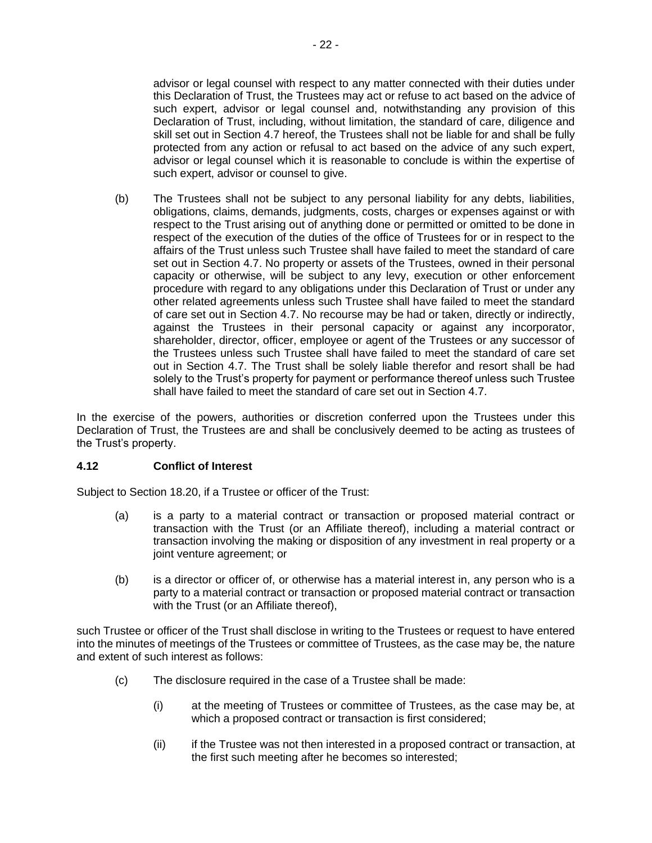advisor or legal counsel with respect to any matter connected with their duties under this Declaration of Trust, the Trustees may act or refuse to act based on the advice of such expert, advisor or legal counsel and, notwithstanding any provision of this Declaration of Trust, including, without limitation, the standard of care, diligence and skill set out in Section 4.7 hereof, the Trustees shall not be liable for and shall be fully protected from any action or refusal to act based on the advice of any such expert, advisor or legal counsel which it is reasonable to conclude is within the expertise of such expert, advisor or counsel to give.

(b) The Trustees shall not be subject to any personal liability for any debts, liabilities, obligations, claims, demands, judgments, costs, charges or expenses against or with respect to the Trust arising out of anything done or permitted or omitted to be done in respect of the execution of the duties of the office of Trustees for or in respect to the affairs of the Trust unless such Trustee shall have failed to meet the standard of care set out in Section 4.7. No property or assets of the Trustees, owned in their personal capacity or otherwise, will be subject to any levy, execution or other enforcement procedure with regard to any obligations under this Declaration of Trust or under any other related agreements unless such Trustee shall have failed to meet the standard of care set out in Section 4.7. No recourse may be had or taken, directly or indirectly, against the Trustees in their personal capacity or against any incorporator, shareholder, director, officer, employee or agent of the Trustees or any successor of the Trustees unless such Trustee shall have failed to meet the standard of care set out in Section 4.7. The Trust shall be solely liable therefor and resort shall be had solely to the Trust's property for payment or performance thereof unless such Trustee shall have failed to meet the standard of care set out in Section 4.7.

In the exercise of the powers, authorities or discretion conferred upon the Trustees under this Declaration of Trust, the Trustees are and shall be conclusively deemed to be acting as trustees of the Trust's property.

# **4.12 Conflict of Interest**

Subject to Section 18.20, if a Trustee or officer of the Trust:

- (a) is a party to a material contract or transaction or proposed material contract or transaction with the Trust (or an Affiliate thereof), including a material contract or transaction involving the making or disposition of any investment in real property or a joint venture agreement; or
- (b) is a director or officer of, or otherwise has a material interest in, any person who is a party to a material contract or transaction or proposed material contract or transaction with the Trust (or an Affiliate thereof),

such Trustee or officer of the Trust shall disclose in writing to the Trustees or request to have entered into the minutes of meetings of the Trustees or committee of Trustees, as the case may be, the nature and extent of such interest as follows:

- (c) The disclosure required in the case of a Trustee shall be made:
	- (i) at the meeting of Trustees or committee of Trustees, as the case may be, at which a proposed contract or transaction is first considered;
	- (ii) if the Trustee was not then interested in a proposed contract or transaction, at the first such meeting after he becomes so interested;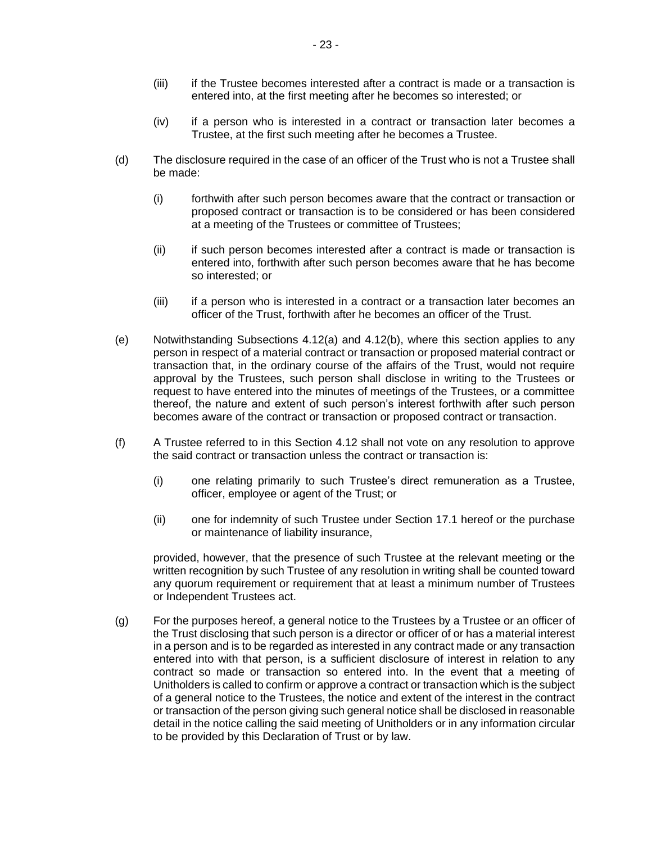- (iii) if the Trustee becomes interested after a contract is made or a transaction is entered into, at the first meeting after he becomes so interested; or
- (iv) if a person who is interested in a contract or transaction later becomes a Trustee, at the first such meeting after he becomes a Trustee.
- (d) The disclosure required in the case of an officer of the Trust who is not a Trustee shall be made:
	- (i) forthwith after such person becomes aware that the contract or transaction or proposed contract or transaction is to be considered or has been considered at a meeting of the Trustees or committee of Trustees;
	- (ii) if such person becomes interested after a contract is made or transaction is entered into, forthwith after such person becomes aware that he has become so interested; or
	- (iii) if a person who is interested in a contract or a transaction later becomes an officer of the Trust, forthwith after he becomes an officer of the Trust.
- (e) Notwithstanding Subsections 4.12(a) and 4.12(b), where this section applies to any person in respect of a material contract or transaction or proposed material contract or transaction that, in the ordinary course of the affairs of the Trust, would not require approval by the Trustees, such person shall disclose in writing to the Trustees or request to have entered into the minutes of meetings of the Trustees, or a committee thereof, the nature and extent of such person's interest forthwith after such person becomes aware of the contract or transaction or proposed contract or transaction.
- (f) A Trustee referred to in this Section 4.12 shall not vote on any resolution to approve the said contract or transaction unless the contract or transaction is:
	- (i) one relating primarily to such Trustee's direct remuneration as a Trustee, officer, employee or agent of the Trust; or
	- (ii) one for indemnity of such Trustee under Section 17.1 hereof or the purchase or maintenance of liability insurance,

provided, however, that the presence of such Trustee at the relevant meeting or the written recognition by such Trustee of any resolution in writing shall be counted toward any quorum requirement or requirement that at least a minimum number of Trustees or Independent Trustees act.

(g) For the purposes hereof, a general notice to the Trustees by a Trustee or an officer of the Trust disclosing that such person is a director or officer of or has a material interest in a person and is to be regarded as interested in any contract made or any transaction entered into with that person, is a sufficient disclosure of interest in relation to any contract so made or transaction so entered into. In the event that a meeting of Unitholders is called to confirm or approve a contract or transaction which is the subject of a general notice to the Trustees, the notice and extent of the interest in the contract or transaction of the person giving such general notice shall be disclosed in reasonable detail in the notice calling the said meeting of Unitholders or in any information circular to be provided by this Declaration of Trust or by law.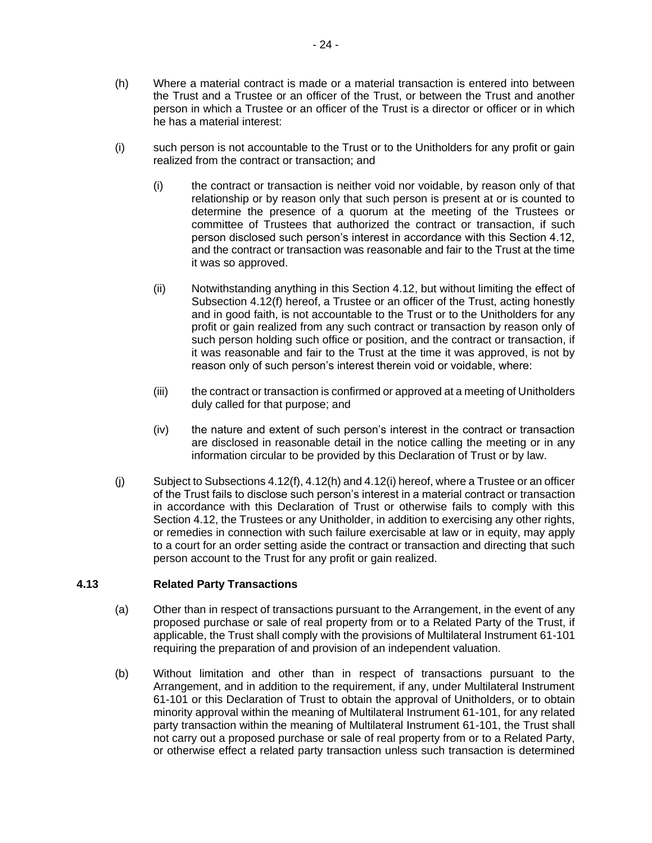- (h) Where a material contract is made or a material transaction is entered into between the Trust and a Trustee or an officer of the Trust, or between the Trust and another person in which a Trustee or an officer of the Trust is a director or officer or in which he has a material interest:
- (i) such person is not accountable to the Trust or to the Unitholders for any profit or gain realized from the contract or transaction; and
	- (i) the contract or transaction is neither void nor voidable, by reason only of that relationship or by reason only that such person is present at or is counted to determine the presence of a quorum at the meeting of the Trustees or committee of Trustees that authorized the contract or transaction, if such person disclosed such person's interest in accordance with this Section 4.12, and the contract or transaction was reasonable and fair to the Trust at the time it was so approved.
	- (ii) Notwithstanding anything in this Section 4.12, but without limiting the effect of Subsection 4.12(f) hereof, a Trustee or an officer of the Trust, acting honestly and in good faith, is not accountable to the Trust or to the Unitholders for any profit or gain realized from any such contract or transaction by reason only of such person holding such office or position, and the contract or transaction, if it was reasonable and fair to the Trust at the time it was approved, is not by reason only of such person's interest therein void or voidable, where:
	- (iii) the contract or transaction is confirmed or approved at a meeting of Unitholders duly called for that purpose; and
	- (iv) the nature and extent of such person's interest in the contract or transaction are disclosed in reasonable detail in the notice calling the meeting or in any information circular to be provided by this Declaration of Trust or by law.
- $(i)$  Subject to Subsections 4.12(f), 4.12(h) and 4.12(i) hereof, where a Trustee or an officer of the Trust fails to disclose such person's interest in a material contract or transaction in accordance with this Declaration of Trust or otherwise fails to comply with this Section 4.12, the Trustees or any Unitholder, in addition to exercising any other rights, or remedies in connection with such failure exercisable at law or in equity, may apply to a court for an order setting aside the contract or transaction and directing that such person account to the Trust for any profit or gain realized.

## **4.13 Related Party Transactions**

- (a) Other than in respect of transactions pursuant to the Arrangement, in the event of any proposed purchase or sale of real property from or to a Related Party of the Trust, if applicable, the Trust shall comply with the provisions of Multilateral Instrument 61-101 requiring the preparation of and provision of an independent valuation.
- (b) Without limitation and other than in respect of transactions pursuant to the Arrangement, and in addition to the requirement, if any, under Multilateral Instrument 61-101 or this Declaration of Trust to obtain the approval of Unitholders, or to obtain minority approval within the meaning of Multilateral Instrument 61-101, for any related party transaction within the meaning of Multilateral Instrument 61-101, the Trust shall not carry out a proposed purchase or sale of real property from or to a Related Party, or otherwise effect a related party transaction unless such transaction is determined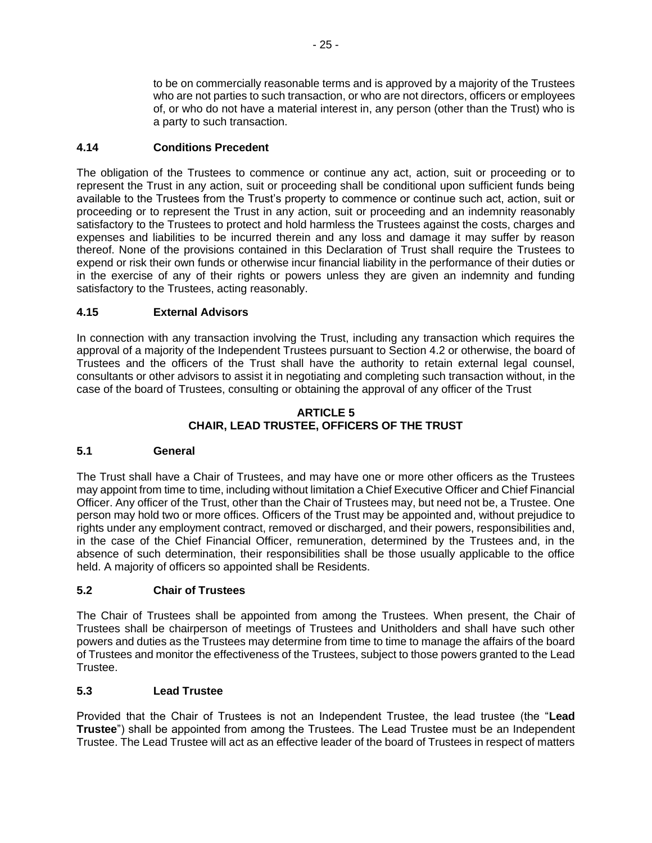to be on commercially reasonable terms and is approved by a majority of the Trustees who are not parties to such transaction, or who are not directors, officers or employees of, or who do not have a material interest in, any person (other than the Trust) who is a party to such transaction.

# **4.14 Conditions Precedent**

The obligation of the Trustees to commence or continue any act, action, suit or proceeding or to represent the Trust in any action, suit or proceeding shall be conditional upon sufficient funds being available to the Trustees from the Trust's property to commence or continue such act, action, suit or proceeding or to represent the Trust in any action, suit or proceeding and an indemnity reasonably satisfactory to the Trustees to protect and hold harmless the Trustees against the costs, charges and expenses and liabilities to be incurred therein and any loss and damage it may suffer by reason thereof. None of the provisions contained in this Declaration of Trust shall require the Trustees to expend or risk their own funds or otherwise incur financial liability in the performance of their duties or in the exercise of any of their rights or powers unless they are given an indemnity and funding satisfactory to the Trustees, acting reasonably.

# **4.15 External Advisors**

In connection with any transaction involving the Trust, including any transaction which requires the approval of a majority of the Independent Trustees pursuant to Section 4.2 or otherwise, the board of Trustees and the officers of the Trust shall have the authority to retain external legal counsel, consultants or other advisors to assist it in negotiating and completing such transaction without, in the case of the board of Trustees, consulting or obtaining the approval of any officer of the Trust

## **ARTICLE 5 CHAIR, LEAD TRUSTEE, OFFICERS OF THE TRUST**

# **5.1 General**

The Trust shall have a Chair of Trustees, and may have one or more other officers as the Trustees may appoint from time to time, including without limitation a Chief Executive Officer and Chief Financial Officer. Any officer of the Trust, other than the Chair of Trustees may, but need not be, a Trustee. One person may hold two or more offices. Officers of the Trust may be appointed and, without prejudice to rights under any employment contract, removed or discharged, and their powers, responsibilities and, in the case of the Chief Financial Officer, remuneration, determined by the Trustees and, in the absence of such determination, their responsibilities shall be those usually applicable to the office held. A majority of officers so appointed shall be Residents.

## **5.2 Chair of Trustees**

The Chair of Trustees shall be appointed from among the Trustees. When present, the Chair of Trustees shall be chairperson of meetings of Trustees and Unitholders and shall have such other powers and duties as the Trustees may determine from time to time to manage the affairs of the board of Trustees and monitor the effectiveness of the Trustees, subject to those powers granted to the Lead Trustee.

## **5.3 Lead Trustee**

Provided that the Chair of Trustees is not an Independent Trustee, the lead trustee (the "**Lead Trustee**") shall be appointed from among the Trustees. The Lead Trustee must be an Independent Trustee. The Lead Trustee will act as an effective leader of the board of Trustees in respect of matters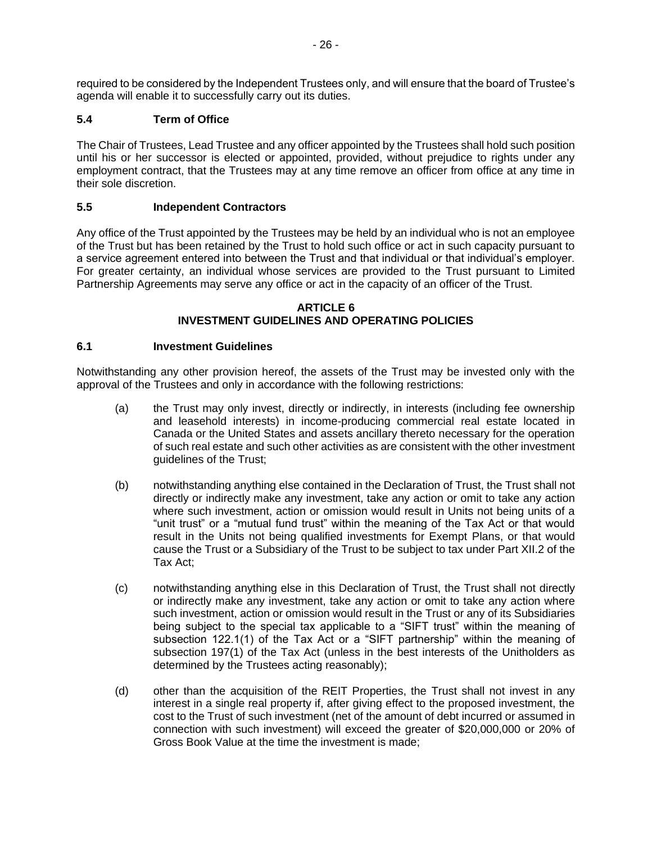required to be considered by the Independent Trustees only, and will ensure that the board of Trustee's agenda will enable it to successfully carry out its duties.

# **5.4 Term of Office**

The Chair of Trustees, Lead Trustee and any officer appointed by the Trustees shall hold such position until his or her successor is elected or appointed, provided, without prejudice to rights under any employment contract, that the Trustees may at any time remove an officer from office at any time in their sole discretion.

## **5.5 Independent Contractors**

Any office of the Trust appointed by the Trustees may be held by an individual who is not an employee of the Trust but has been retained by the Trust to hold such office or act in such capacity pursuant to a service agreement entered into between the Trust and that individual or that individual's employer. For greater certainty, an individual whose services are provided to the Trust pursuant to Limited Partnership Agreements may serve any office or act in the capacity of an officer of the Trust.

#### **ARTICLE 6 INVESTMENT GUIDELINES AND OPERATING POLICIES**

## **6.1 Investment Guidelines**

Notwithstanding any other provision hereof, the assets of the Trust may be invested only with the approval of the Trustees and only in accordance with the following restrictions:

- (a) the Trust may only invest, directly or indirectly, in interests (including fee ownership and leasehold interests) in income-producing commercial real estate located in Canada or the United States and assets ancillary thereto necessary for the operation of such real estate and such other activities as are consistent with the other investment guidelines of the Trust;
- (b) notwithstanding anything else contained in the Declaration of Trust, the Trust shall not directly or indirectly make any investment, take any action or omit to take any action where such investment, action or omission would result in Units not being units of a "unit trust" or a "mutual fund trust" within the meaning of the Tax Act or that would result in the Units not being qualified investments for Exempt Plans, or that would cause the Trust or a Subsidiary of the Trust to be subject to tax under Part XII.2 of the Tax Act;
- (c) notwithstanding anything else in this Declaration of Trust, the Trust shall not directly or indirectly make any investment, take any action or omit to take any action where such investment, action or omission would result in the Trust or any of its Subsidiaries being subject to the special tax applicable to a "SIFT trust" within the meaning of subsection 122.1(1) of the Tax Act or a "SIFT partnership" within the meaning of subsection 197(1) of the Tax Act (unless in the best interests of the Unitholders as determined by the Trustees acting reasonably);
- (d) other than the acquisition of the REIT Properties, the Trust shall not invest in any interest in a single real property if, after giving effect to the proposed investment, the cost to the Trust of such investment (net of the amount of debt incurred or assumed in connection with such investment) will exceed the greater of \$20,000,000 or 20% of Gross Book Value at the time the investment is made;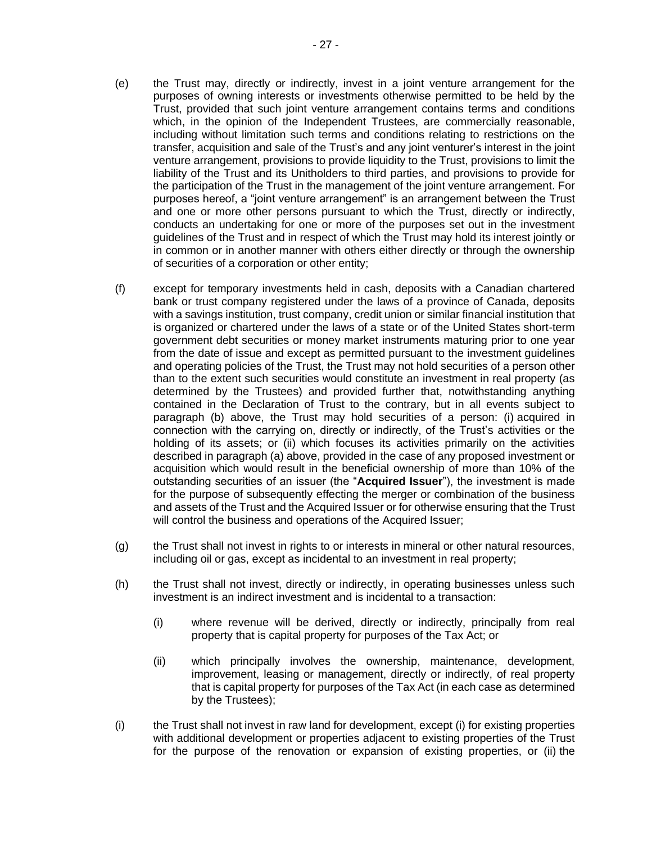- (e) the Trust may, directly or indirectly, invest in a joint venture arrangement for the purposes of owning interests or investments otherwise permitted to be held by the Trust, provided that such joint venture arrangement contains terms and conditions which, in the opinion of the Independent Trustees, are commercially reasonable, including without limitation such terms and conditions relating to restrictions on the transfer, acquisition and sale of the Trust's and any joint venturer's interest in the joint venture arrangement, provisions to provide liquidity to the Trust, provisions to limit the liability of the Trust and its Unitholders to third parties, and provisions to provide for the participation of the Trust in the management of the joint venture arrangement. For purposes hereof, a "joint venture arrangement" is an arrangement between the Trust and one or more other persons pursuant to which the Trust, directly or indirectly, conducts an undertaking for one or more of the purposes set out in the investment guidelines of the Trust and in respect of which the Trust may hold its interest jointly or in common or in another manner with others either directly or through the ownership of securities of a corporation or other entity;
- (f) except for temporary investments held in cash, deposits with a Canadian chartered bank or trust company registered under the laws of a province of Canada, deposits with a savings institution, trust company, credit union or similar financial institution that is organized or chartered under the laws of a state or of the United States short-term government debt securities or money market instruments maturing prior to one year from the date of issue and except as permitted pursuant to the investment guidelines and operating policies of the Trust, the Trust may not hold securities of a person other than to the extent such securities would constitute an investment in real property (as determined by the Trustees) and provided further that, notwithstanding anything contained in the Declaration of Trust to the contrary, but in all events subject to paragraph (b) above, the Trust may hold securities of a person: (i) acquired in connection with the carrying on, directly or indirectly, of the Trust's activities or the holding of its assets; or (ii) which focuses its activities primarily on the activities described in paragraph (a) above, provided in the case of any proposed investment or acquisition which would result in the beneficial ownership of more than 10% of the outstanding securities of an issuer (the "**Acquired Issuer**"), the investment is made for the purpose of subsequently effecting the merger or combination of the business and assets of the Trust and the Acquired Issuer or for otherwise ensuring that the Trust will control the business and operations of the Acquired Issuer;
- (g) the Trust shall not invest in rights to or interests in mineral or other natural resources, including oil or gas, except as incidental to an investment in real property;
- (h) the Trust shall not invest, directly or indirectly, in operating businesses unless such investment is an indirect investment and is incidental to a transaction:
	- (i) where revenue will be derived, directly or indirectly, principally from real property that is capital property for purposes of the Tax Act; or
	- (ii) which principally involves the ownership, maintenance, development, improvement, leasing or management, directly or indirectly, of real property that is capital property for purposes of the Tax Act (in each case as determined by the Trustees);
- (i) the Trust shall not invest in raw land for development, except (i) for existing properties with additional development or properties adjacent to existing properties of the Trust for the purpose of the renovation or expansion of existing properties, or (ii) the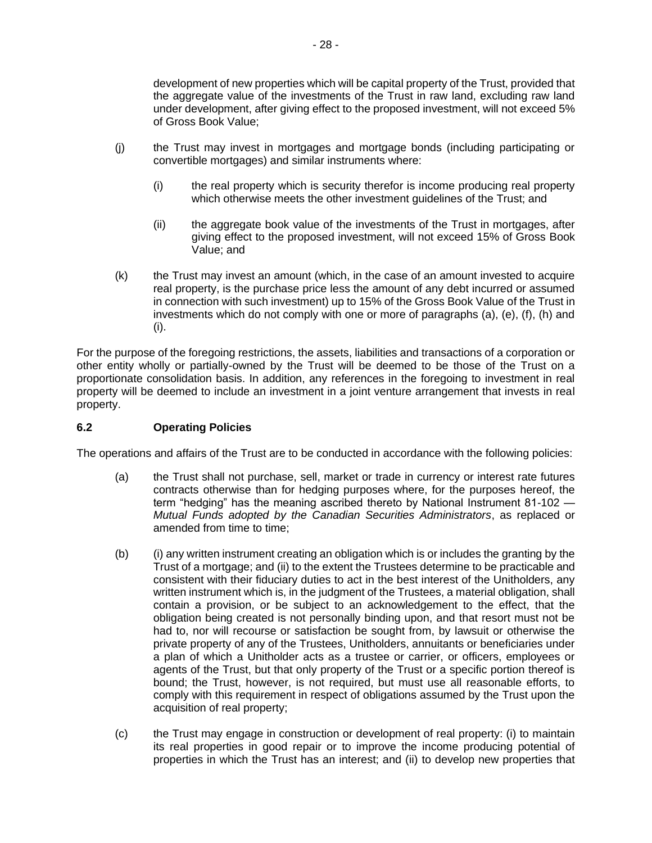development of new properties which will be capital property of the Trust, provided that the aggregate value of the investments of the Trust in raw land, excluding raw land under development, after giving effect to the proposed investment, will not exceed 5% of Gross Book Value;

- (j) the Trust may invest in mortgages and mortgage bonds (including participating or convertible mortgages) and similar instruments where:
	- (i) the real property which is security therefor is income producing real property which otherwise meets the other investment guidelines of the Trust; and
	- (ii) the aggregate book value of the investments of the Trust in mortgages, after giving effect to the proposed investment, will not exceed 15% of Gross Book Value; and
- (k) the Trust may invest an amount (which, in the case of an amount invested to acquire real property, is the purchase price less the amount of any debt incurred or assumed in connection with such investment) up to 15% of the Gross Book Value of the Trust in investments which do not comply with one or more of paragraphs (a), (e), (f), (h) and (i).

For the purpose of the foregoing restrictions, the assets, liabilities and transactions of a corporation or other entity wholly or partially-owned by the Trust will be deemed to be those of the Trust on a proportionate consolidation basis. In addition, any references in the foregoing to investment in real property will be deemed to include an investment in a joint venture arrangement that invests in real property.

## **6.2 Operating Policies**

The operations and affairs of the Trust are to be conducted in accordance with the following policies:

- (a) the Trust shall not purchase, sell, market or trade in currency or interest rate futures contracts otherwise than for hedging purposes where, for the purposes hereof, the term "hedging" has the meaning ascribed thereto by National Instrument 81-102 — *Mutual Funds adopted by the Canadian Securities Administrators*, as replaced or amended from time to time;
- (b) (i) any written instrument creating an obligation which is or includes the granting by the Trust of a mortgage; and (ii) to the extent the Trustees determine to be practicable and consistent with their fiduciary duties to act in the best interest of the Unitholders, any written instrument which is, in the judgment of the Trustees, a material obligation, shall contain a provision, or be subject to an acknowledgement to the effect, that the obligation being created is not personally binding upon, and that resort must not be had to, nor will recourse or satisfaction be sought from, by lawsuit or otherwise the private property of any of the Trustees, Unitholders, annuitants or beneficiaries under a plan of which a Unitholder acts as a trustee or carrier, or officers, employees or agents of the Trust, but that only property of the Trust or a specific portion thereof is bound; the Trust, however, is not required, but must use all reasonable efforts, to comply with this requirement in respect of obligations assumed by the Trust upon the acquisition of real property;
- (c) the Trust may engage in construction or development of real property: (i) to maintain its real properties in good repair or to improve the income producing potential of properties in which the Trust has an interest; and (ii) to develop new properties that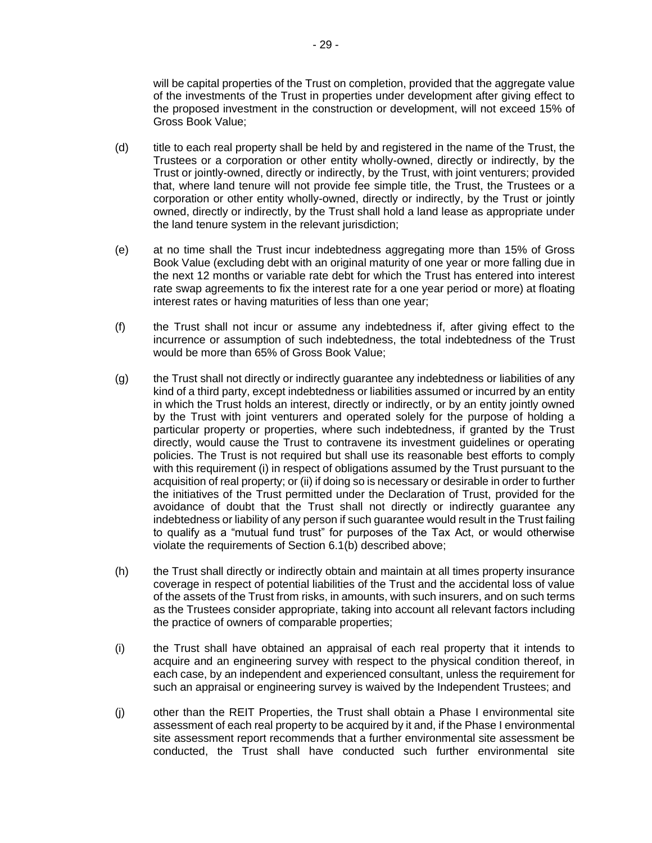will be capital properties of the Trust on completion, provided that the aggregate value of the investments of the Trust in properties under development after giving effect to the proposed investment in the construction or development, will not exceed 15% of Gross Book Value;

- (d) title to each real property shall be held by and registered in the name of the Trust, the Trustees or a corporation or other entity wholly-owned, directly or indirectly, by the Trust or jointly-owned, directly or indirectly, by the Trust, with joint venturers; provided that, where land tenure will not provide fee simple title, the Trust, the Trustees or a corporation or other entity wholly-owned, directly or indirectly, by the Trust or jointly owned, directly or indirectly, by the Trust shall hold a land lease as appropriate under the land tenure system in the relevant jurisdiction;
- (e) at no time shall the Trust incur indebtedness aggregating more than 15% of Gross Book Value (excluding debt with an original maturity of one year or more falling due in the next 12 months or variable rate debt for which the Trust has entered into interest rate swap agreements to fix the interest rate for a one year period or more) at floating interest rates or having maturities of less than one year;
- (f) the Trust shall not incur or assume any indebtedness if, after giving effect to the incurrence or assumption of such indebtedness, the total indebtedness of the Trust would be more than 65% of Gross Book Value;
- (g) the Trust shall not directly or indirectly guarantee any indebtedness or liabilities of any kind of a third party, except indebtedness or liabilities assumed or incurred by an entity in which the Trust holds an interest, directly or indirectly, or by an entity jointly owned by the Trust with joint venturers and operated solely for the purpose of holding a particular property or properties, where such indebtedness, if granted by the Trust directly, would cause the Trust to contravene its investment guidelines or operating policies. The Trust is not required but shall use its reasonable best efforts to comply with this requirement (i) in respect of obligations assumed by the Trust pursuant to the acquisition of real property; or (ii) if doing so is necessary or desirable in order to further the initiatives of the Trust permitted under the Declaration of Trust, provided for the avoidance of doubt that the Trust shall not directly or indirectly guarantee any indebtedness or liability of any person if such guarantee would result in the Trust failing to qualify as a "mutual fund trust" for purposes of the Tax Act, or would otherwise violate the requirements of Section 6.1(b) described above;
- (h) the Trust shall directly or indirectly obtain and maintain at all times property insurance coverage in respect of potential liabilities of the Trust and the accidental loss of value of the assets of the Trust from risks, in amounts, with such insurers, and on such terms as the Trustees consider appropriate, taking into account all relevant factors including the practice of owners of comparable properties;
- (i) the Trust shall have obtained an appraisal of each real property that it intends to acquire and an engineering survey with respect to the physical condition thereof, in each case, by an independent and experienced consultant, unless the requirement for such an appraisal or engineering survey is waived by the Independent Trustees; and
- (j) other than the REIT Properties, the Trust shall obtain a Phase I environmental site assessment of each real property to be acquired by it and, if the Phase I environmental site assessment report recommends that a further environmental site assessment be conducted, the Trust shall have conducted such further environmental site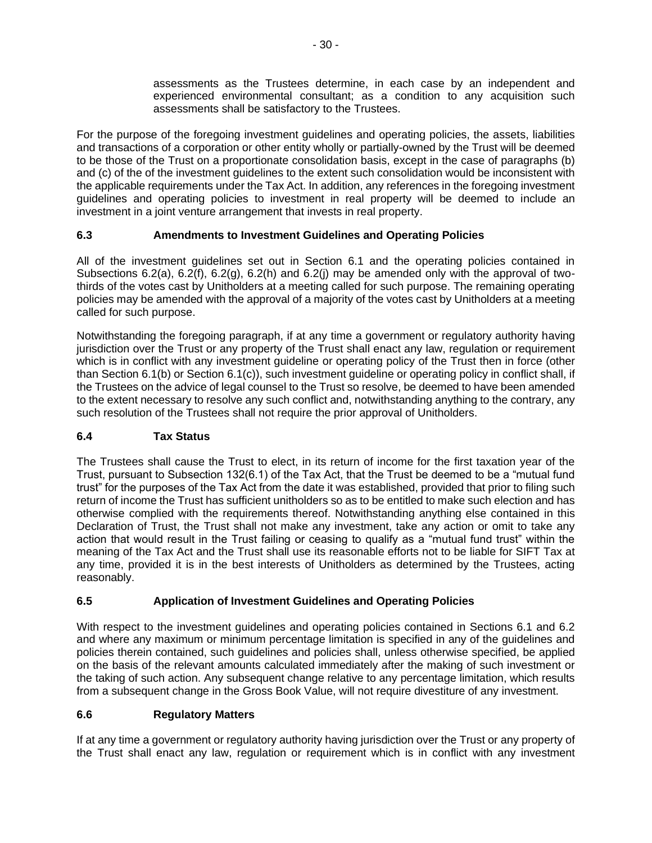assessments as the Trustees determine, in each case by an independent and experienced environmental consultant; as a condition to any acquisition such assessments shall be satisfactory to the Trustees.

For the purpose of the foregoing investment guidelines and operating policies, the assets, liabilities and transactions of a corporation or other entity wholly or partially-owned by the Trust will be deemed to be those of the Trust on a proportionate consolidation basis, except in the case of paragraphs (b) and (c) of the of the investment guidelines to the extent such consolidation would be inconsistent with the applicable requirements under the Tax Act. In addition, any references in the foregoing investment guidelines and operating policies to investment in real property will be deemed to include an investment in a joint venture arrangement that invests in real property.

# **6.3 Amendments to Investment Guidelines and Operating Policies**

All of the investment guidelines set out in Section 6.1 and the operating policies contained in Subsections 6.2(a), 6.2(f), 6.2(g), 6.2(h) and 6.2(j) may be amended only with the approval of twothirds of the votes cast by Unitholders at a meeting called for such purpose. The remaining operating policies may be amended with the approval of a majority of the votes cast by Unitholders at a meeting called for such purpose.

Notwithstanding the foregoing paragraph, if at any time a government or regulatory authority having jurisdiction over the Trust or any property of the Trust shall enact any law, regulation or requirement which is in conflict with any investment guideline or operating policy of the Trust then in force (other than Section 6.1(b) or Section 6.1(c)), such investment guideline or operating policy in conflict shall, if the Trustees on the advice of legal counsel to the Trust so resolve, be deemed to have been amended to the extent necessary to resolve any such conflict and, notwithstanding anything to the contrary, any such resolution of the Trustees shall not require the prior approval of Unitholders.

# **6.4 Tax Status**

The Trustees shall cause the Trust to elect, in its return of income for the first taxation year of the Trust, pursuant to Subsection 132(6.1) of the Tax Act, that the Trust be deemed to be a "mutual fund trust" for the purposes of the Tax Act from the date it was established, provided that prior to filing such return of income the Trust has sufficient unitholders so as to be entitled to make such election and has otherwise complied with the requirements thereof. Notwithstanding anything else contained in this Declaration of Trust, the Trust shall not make any investment, take any action or omit to take any action that would result in the Trust failing or ceasing to qualify as a "mutual fund trust" within the meaning of the Tax Act and the Trust shall use its reasonable efforts not to be liable for SIFT Tax at any time, provided it is in the best interests of Unitholders as determined by the Trustees, acting reasonably.

# **6.5 Application of Investment Guidelines and Operating Policies**

With respect to the investment guidelines and operating policies contained in Sections 6.1 and 6.2 and where any maximum or minimum percentage limitation is specified in any of the guidelines and policies therein contained, such guidelines and policies shall, unless otherwise specified, be applied on the basis of the relevant amounts calculated immediately after the making of such investment or the taking of such action. Any subsequent change relative to any percentage limitation, which results from a subsequent change in the Gross Book Value, will not require divestiture of any investment.

# **6.6 Regulatory Matters**

If at any time a government or regulatory authority having jurisdiction over the Trust or any property of the Trust shall enact any law, regulation or requirement which is in conflict with any investment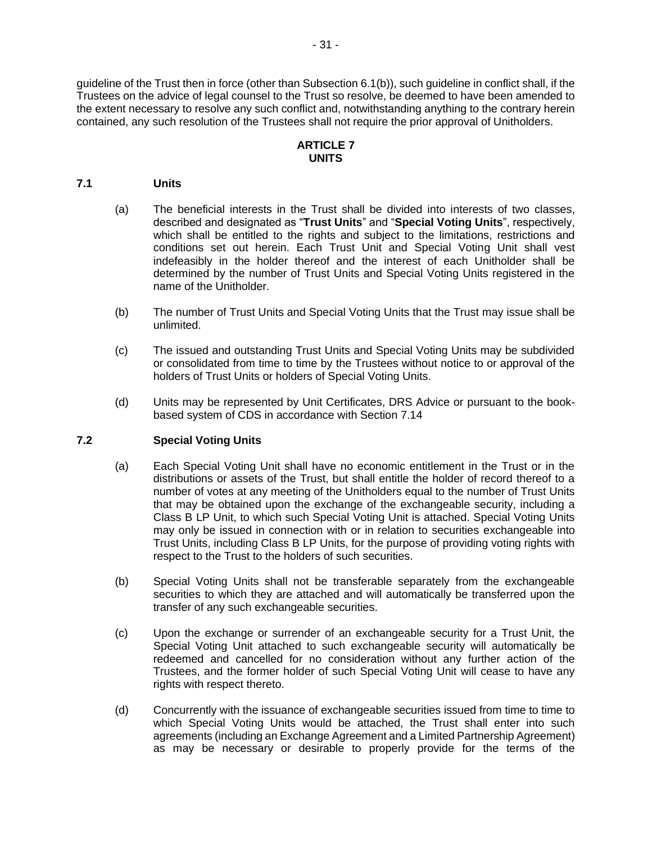guideline of the Trust then in force (other than Subsection 6.1(b)), such guideline in conflict shall, if the Trustees on the advice of legal counsel to the Trust so resolve, be deemed to have been amended to the extent necessary to resolve any such conflict and, notwithstanding anything to the contrary herein contained, any such resolution of the Trustees shall not require the prior approval of Unitholders.

### **ARTICLE 7 UNITS**

#### **7.1 Units**

- (a) The beneficial interests in the Trust shall be divided into interests of two classes, described and designated as "**Trust Units**" and "**Special Voting Units**", respectively, which shall be entitled to the rights and subject to the limitations, restrictions and conditions set out herein. Each Trust Unit and Special Voting Unit shall vest indefeasibly in the holder thereof and the interest of each Unitholder shall be determined by the number of Trust Units and Special Voting Units registered in the name of the Unitholder.
- (b) The number of Trust Units and Special Voting Units that the Trust may issue shall be unlimited.
- (c) The issued and outstanding Trust Units and Special Voting Units may be subdivided or consolidated from time to time by the Trustees without notice to or approval of the holders of Trust Units or holders of Special Voting Units.
- (d) Units may be represented by Unit Certificates, DRS Advice or pursuant to the bookbased system of CDS in accordance with Section [7.14](#page-40-0)

#### **7.2 Special Voting Units**

- (a) Each Special Voting Unit shall have no economic entitlement in the Trust or in the distributions or assets of the Trust, but shall entitle the holder of record thereof to a number of votes at any meeting of the Unitholders equal to the number of Trust Units that may be obtained upon the exchange of the exchangeable security, including a Class B LP Unit, to which such Special Voting Unit is attached. Special Voting Units may only be issued in connection with or in relation to securities exchangeable into Trust Units, including Class B LP Units, for the purpose of providing voting rights with respect to the Trust to the holders of such securities.
- (b) Special Voting Units shall not be transferable separately from the exchangeable securities to which they are attached and will automatically be transferred upon the transfer of any such exchangeable securities.
- (c) Upon the exchange or surrender of an exchangeable security for a Trust Unit, the Special Voting Unit attached to such exchangeable security will automatically be redeemed and cancelled for no consideration without any further action of the Trustees, and the former holder of such Special Voting Unit will cease to have any rights with respect thereto.
- (d) Concurrently with the issuance of exchangeable securities issued from time to time to which Special Voting Units would be attached, the Trust shall enter into such agreements (including an Exchange Agreement and a Limited Partnership Agreement) as may be necessary or desirable to properly provide for the terms of the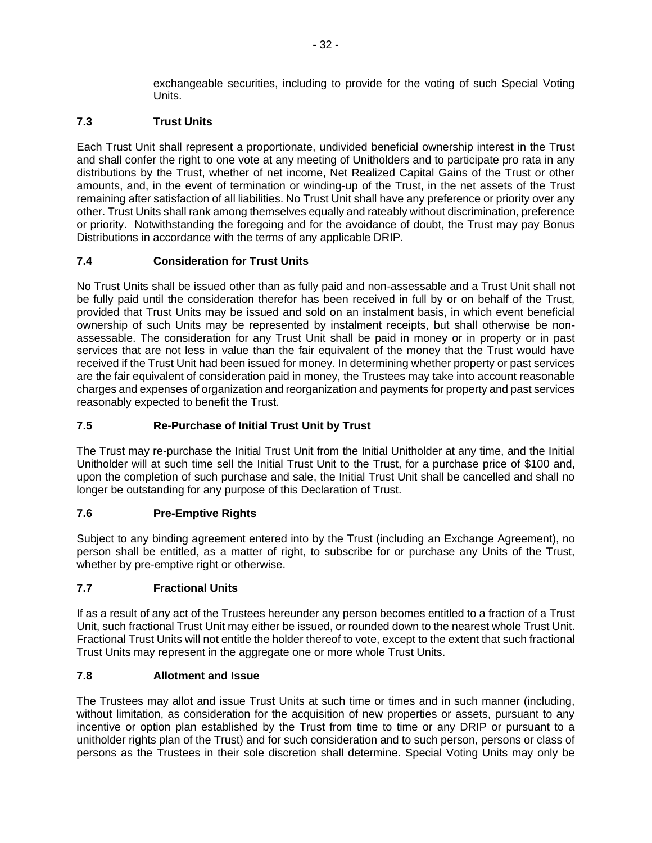exchangeable securities, including to provide for the voting of such Special Voting **Units** 

## **7.3 Trust Units**

Each Trust Unit shall represent a proportionate, undivided beneficial ownership interest in the Trust and shall confer the right to one vote at any meeting of Unitholders and to participate pro rata in any distributions by the Trust, whether of net income, Net Realized Capital Gains of the Trust or other amounts, and, in the event of termination or winding-up of the Trust, in the net assets of the Trust remaining after satisfaction of all liabilities. No Trust Unit shall have any preference or priority over any other. Trust Units shall rank among themselves equally and rateably without discrimination, preference or priority. Notwithstanding the foregoing and for the avoidance of doubt, the Trust may pay Bonus Distributions in accordance with the terms of any applicable DRIP.

## **7.4 Consideration for Trust Units**

No Trust Units shall be issued other than as fully paid and non-assessable and a Trust Unit shall not be fully paid until the consideration therefor has been received in full by or on behalf of the Trust, provided that Trust Units may be issued and sold on an instalment basis, in which event beneficial ownership of such Units may be represented by instalment receipts, but shall otherwise be nonassessable. The consideration for any Trust Unit shall be paid in money or in property or in past services that are not less in value than the fair equivalent of the money that the Trust would have received if the Trust Unit had been issued for money. In determining whether property or past services are the fair equivalent of consideration paid in money, the Trustees may take into account reasonable charges and expenses of organization and reorganization and payments for property and past services reasonably expected to benefit the Trust.

## **7.5 Re-Purchase of Initial Trust Unit by Trust**

The Trust may re-purchase the Initial Trust Unit from the Initial Unitholder at any time, and the Initial Unitholder will at such time sell the Initial Trust Unit to the Trust, for a purchase price of \$100 and, upon the completion of such purchase and sale, the Initial Trust Unit shall be cancelled and shall no longer be outstanding for any purpose of this Declaration of Trust.

## **7.6 Pre-Emptive Rights**

Subject to any binding agreement entered into by the Trust (including an Exchange Agreement), no person shall be entitled, as a matter of right, to subscribe for or purchase any Units of the Trust, whether by pre-emptive right or otherwise.

## **7.7 Fractional Units**

If as a result of any act of the Trustees hereunder any person becomes entitled to a fraction of a Trust Unit, such fractional Trust Unit may either be issued, or rounded down to the nearest whole Trust Unit. Fractional Trust Units will not entitle the holder thereof to vote, except to the extent that such fractional Trust Units may represent in the aggregate one or more whole Trust Units.

## **7.8 Allotment and Issue**

The Trustees may allot and issue Trust Units at such time or times and in such manner (including, without limitation, as consideration for the acquisition of new properties or assets, pursuant to any incentive or option plan established by the Trust from time to time or any DRIP or pursuant to a unitholder rights plan of the Trust) and for such consideration and to such person, persons or class of persons as the Trustees in their sole discretion shall determine. Special Voting Units may only be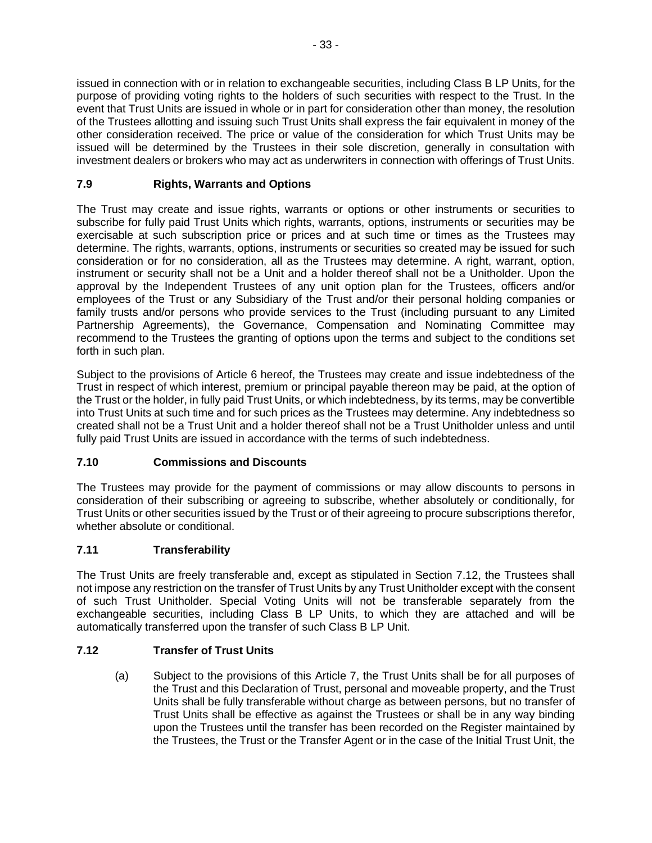issued in connection with or in relation to exchangeable securities, including Class B LP Units, for the purpose of providing voting rights to the holders of such securities with respect to the Trust. In the event that Trust Units are issued in whole or in part for consideration other than money, the resolution of the Trustees allotting and issuing such Trust Units shall express the fair equivalent in money of the other consideration received. The price or value of the consideration for which Trust Units may be issued will be determined by the Trustees in their sole discretion, generally in consultation with investment dealers or brokers who may act as underwriters in connection with offerings of Trust Units.

## **7.9 Rights, Warrants and Options**

The Trust may create and issue rights, warrants or options or other instruments or securities to subscribe for fully paid Trust Units which rights, warrants, options, instruments or securities may be exercisable at such subscription price or prices and at such time or times as the Trustees may determine. The rights, warrants, options, instruments or securities so created may be issued for such consideration or for no consideration, all as the Trustees may determine. A right, warrant, option, instrument or security shall not be a Unit and a holder thereof shall not be a Unitholder. Upon the approval by the Independent Trustees of any unit option plan for the Trustees, officers and/or employees of the Trust or any Subsidiary of the Trust and/or their personal holding companies or family trusts and/or persons who provide services to the Trust (including pursuant to any Limited Partnership Agreements), the Governance, Compensation and Nominating Committee may recommend to the Trustees the granting of options upon the terms and subject to the conditions set forth in such plan.

Subject to the provisions of Article 6 hereof, the Trustees may create and issue indebtedness of the Trust in respect of which interest, premium or principal payable thereon may be paid, at the option of the Trust or the holder, in fully paid Trust Units, or which indebtedness, by its terms, may be convertible into Trust Units at such time and for such prices as the Trustees may determine. Any indebtedness so created shall not be a Trust Unit and a holder thereof shall not be a Trust Unitholder unless and until fully paid Trust Units are issued in accordance with the terms of such indebtedness.

## **7.10 Commissions and Discounts**

The Trustees may provide for the payment of commissions or may allow discounts to persons in consideration of their subscribing or agreeing to subscribe, whether absolutely or conditionally, for Trust Units or other securities issued by the Trust or of their agreeing to procure subscriptions therefor, whether absolute or conditional.

## **7.11 Transferability**

The Trust Units are freely transferable and, except as stipulated in Section 7.12, the Trustees shall not impose any restriction on the transfer of Trust Units by any Trust Unitholder except with the consent of such Trust Unitholder. Special Voting Units will not be transferable separately from the exchangeable securities, including Class B LP Units, to which they are attached and will be automatically transferred upon the transfer of such Class B LP Unit.

## **7.12 Transfer of Trust Units**

(a) Subject to the provisions of this Article 7, the Trust Units shall be for all purposes of the Trust and this Declaration of Trust, personal and moveable property, and the Trust Units shall be fully transferable without charge as between persons, but no transfer of Trust Units shall be effective as against the Trustees or shall be in any way binding upon the Trustees until the transfer has been recorded on the Register maintained by the Trustees, the Trust or the Transfer Agent or in the case of the Initial Trust Unit, the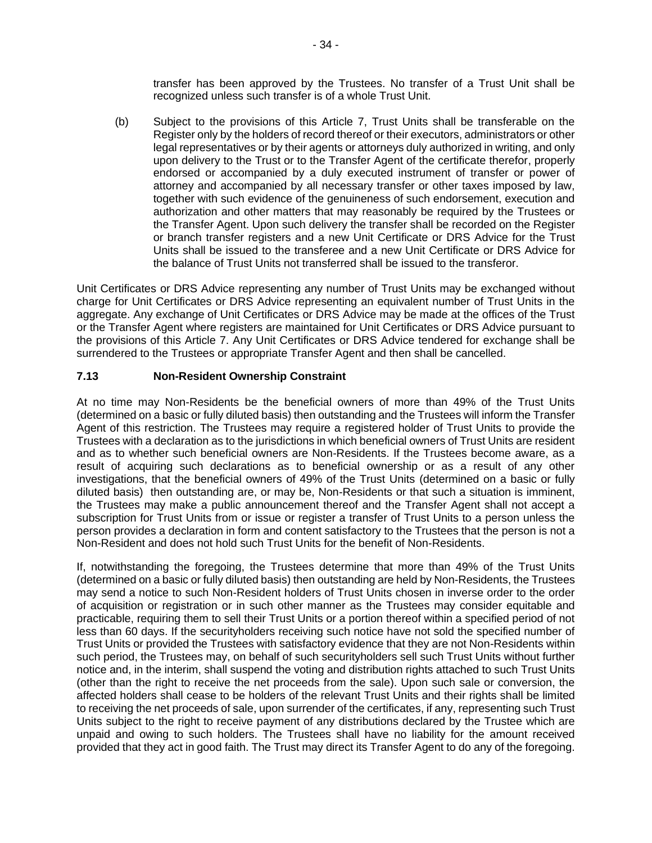transfer has been approved by the Trustees. No transfer of a Trust Unit shall be recognized unless such transfer is of a whole Trust Unit.

(b) Subject to the provisions of this Article 7, Trust Units shall be transferable on the Register only by the holders of record thereof or their executors, administrators or other legal representatives or by their agents or attorneys duly authorized in writing, and only upon delivery to the Trust or to the Transfer Agent of the certificate therefor, properly endorsed or accompanied by a duly executed instrument of transfer or power of attorney and accompanied by all necessary transfer or other taxes imposed by law, together with such evidence of the genuineness of such endorsement, execution and authorization and other matters that may reasonably be required by the Trustees or the Transfer Agent. Upon such delivery the transfer shall be recorded on the Register or branch transfer registers and a new Unit Certificate or DRS Advice for the Trust Units shall be issued to the transferee and a new Unit Certificate or DRS Advice for the balance of Trust Units not transferred shall be issued to the transferor.

Unit Certificates or DRS Advice representing any number of Trust Units may be exchanged without charge for Unit Certificates or DRS Advice representing an equivalent number of Trust Units in the aggregate. Any exchange of Unit Certificates or DRS Advice may be made at the offices of the Trust or the Transfer Agent where registers are maintained for Unit Certificates or DRS Advice pursuant to the provisions of this Article 7. Any Unit Certificates or DRS Advice tendered for exchange shall be surrendered to the Trustees or appropriate Transfer Agent and then shall be cancelled.

## **7.13 Non-Resident Ownership Constraint**

At no time may Non-Residents be the beneficial owners of more than 49% of the Trust Units (determined on a basic or fully diluted basis) then outstanding and the Trustees will inform the Transfer Agent of this restriction. The Trustees may require a registered holder of Trust Units to provide the Trustees with a declaration as to the jurisdictions in which beneficial owners of Trust Units are resident and as to whether such beneficial owners are Non-Residents. If the Trustees become aware, as a result of acquiring such declarations as to beneficial ownership or as a result of any other investigations, that the beneficial owners of 49% of the Trust Units (determined on a basic or fully diluted basis) then outstanding are, or may be, Non-Residents or that such a situation is imminent, the Trustees may make a public announcement thereof and the Transfer Agent shall not accept a subscription for Trust Units from or issue or register a transfer of Trust Units to a person unless the person provides a declaration in form and content satisfactory to the Trustees that the person is not a Non-Resident and does not hold such Trust Units for the benefit of Non-Residents.

If, notwithstanding the foregoing, the Trustees determine that more than 49% of the Trust Units (determined on a basic or fully diluted basis) then outstanding are held by Non-Residents, the Trustees may send a notice to such Non-Resident holders of Trust Units chosen in inverse order to the order of acquisition or registration or in such other manner as the Trustees may consider equitable and practicable, requiring them to sell their Trust Units or a portion thereof within a specified period of not less than 60 days. If the securityholders receiving such notice have not sold the specified number of Trust Units or provided the Trustees with satisfactory evidence that they are not Non-Residents within such period, the Trustees may, on behalf of such securityholders sell such Trust Units without further notice and, in the interim, shall suspend the voting and distribution rights attached to such Trust Units (other than the right to receive the net proceeds from the sale). Upon such sale or conversion, the affected holders shall cease to be holders of the relevant Trust Units and their rights shall be limited to receiving the net proceeds of sale, upon surrender of the certificates, if any, representing such Trust Units subject to the right to receive payment of any distributions declared by the Trustee which are unpaid and owing to such holders. The Trustees shall have no liability for the amount received provided that they act in good faith. The Trust may direct its Transfer Agent to do any of the foregoing.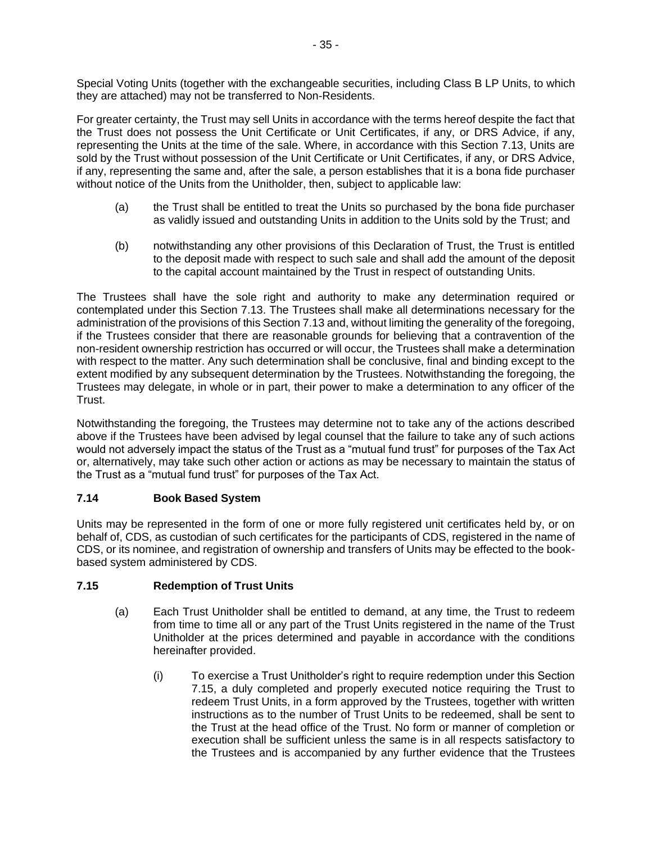Special Voting Units (together with the exchangeable securities, including Class B LP Units, to which they are attached) may not be transferred to Non-Residents.

For greater certainty, the Trust may sell Units in accordance with the terms hereof despite the fact that the Trust does not possess the Unit Certificate or Unit Certificates, if any, or DRS Advice, if any, representing the Units at the time of the sale. Where, in accordance with this Section 7.13, Units are sold by the Trust without possession of the Unit Certificate or Unit Certificates, if any, or DRS Advice, if any, representing the same and, after the sale, a person establishes that it is a bona fide purchaser without notice of the Units from the Unitholder, then, subject to applicable law:

- (a) the Trust shall be entitled to treat the Units so purchased by the bona fide purchaser as validly issued and outstanding Units in addition to the Units sold by the Trust; and
- (b) notwithstanding any other provisions of this Declaration of Trust, the Trust is entitled to the deposit made with respect to such sale and shall add the amount of the deposit to the capital account maintained by the Trust in respect of outstanding Units.

The Trustees shall have the sole right and authority to make any determination required or contemplated under this Section 7.13. The Trustees shall make all determinations necessary for the administration of the provisions of this Section 7.13 and, without limiting the generality of the foregoing, if the Trustees consider that there are reasonable grounds for believing that a contravention of the non-resident ownership restriction has occurred or will occur, the Trustees shall make a determination with respect to the matter. Any such determination shall be conclusive, final and binding except to the extent modified by any subsequent determination by the Trustees. Notwithstanding the foregoing, the Trustees may delegate, in whole or in part, their power to make a determination to any officer of the Trust.

Notwithstanding the foregoing, the Trustees may determine not to take any of the actions described above if the Trustees have been advised by legal counsel that the failure to take any of such actions would not adversely impact the status of the Trust as a "mutual fund trust" for purposes of the Tax Act or, alternatively, may take such other action or actions as may be necessary to maintain the status of the Trust as a "mutual fund trust" for purposes of the Tax Act.

## <span id="page-40-0"></span>**7.14 Book Based System**

Units may be represented in the form of one or more fully registered unit certificates held by, or on behalf of, CDS, as custodian of such certificates for the participants of CDS, registered in the name of CDS, or its nominee, and registration of ownership and transfers of Units may be effected to the bookbased system administered by CDS.

## **7.15 Redemption of Trust Units**

- (a) Each Trust Unitholder shall be entitled to demand, at any time, the Trust to redeem from time to time all or any part of the Trust Units registered in the name of the Trust Unitholder at the prices determined and payable in accordance with the conditions hereinafter provided.
	- (i) To exercise a Trust Unitholder's right to require redemption under this Section 7.15, a duly completed and properly executed notice requiring the Trust to redeem Trust Units, in a form approved by the Trustees, together with written instructions as to the number of Trust Units to be redeemed, shall be sent to the Trust at the head office of the Trust. No form or manner of completion or execution shall be sufficient unless the same is in all respects satisfactory to the Trustees and is accompanied by any further evidence that the Trustees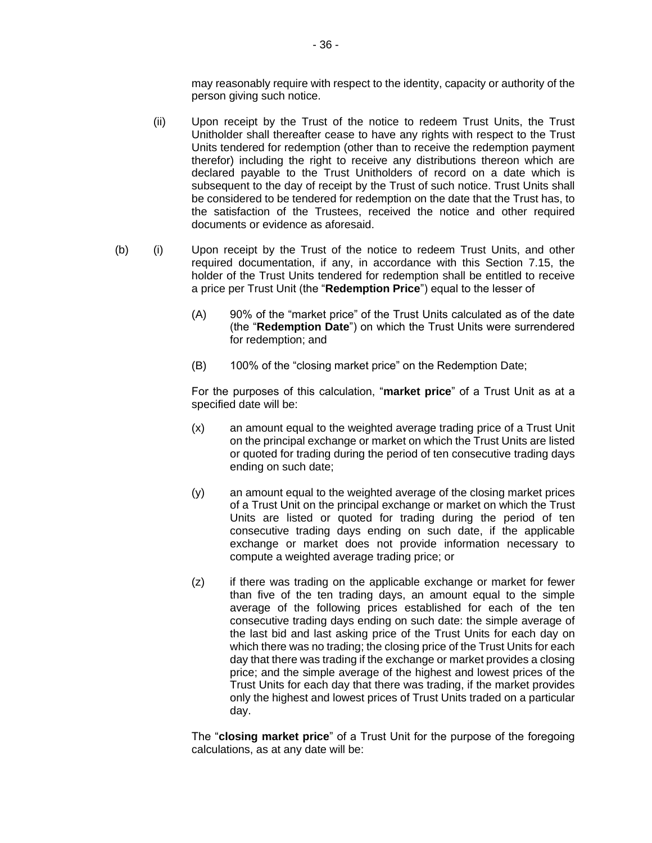may reasonably require with respect to the identity, capacity or authority of the person giving such notice.

- (ii) Upon receipt by the Trust of the notice to redeem Trust Units, the Trust Unitholder shall thereafter cease to have any rights with respect to the Trust Units tendered for redemption (other than to receive the redemption payment therefor) including the right to receive any distributions thereon which are declared payable to the Trust Unitholders of record on a date which is subsequent to the day of receipt by the Trust of such notice. Trust Units shall be considered to be tendered for redemption on the date that the Trust has, to the satisfaction of the Trustees, received the notice and other required documents or evidence as aforesaid.
- (b) (i) Upon receipt by the Trust of the notice to redeem Trust Units, and other required documentation, if any, in accordance with this Section 7.15, the holder of the Trust Units tendered for redemption shall be entitled to receive a price per Trust Unit (the "**Redemption Price**") equal to the lesser of
	- (A) 90% of the "market price" of the Trust Units calculated as of the date (the "**Redemption Date**") on which the Trust Units were surrendered for redemption; and
	- (B) 100% of the "closing market price" on the Redemption Date;

For the purposes of this calculation, "**market price**" of a Trust Unit as at a specified date will be:

- (x) an amount equal to the weighted average trading price of a Trust Unit on the principal exchange or market on which the Trust Units are listed or quoted for trading during the period of ten consecutive trading days ending on such date;
- (y) an amount equal to the weighted average of the closing market prices of a Trust Unit on the principal exchange or market on which the Trust Units are listed or quoted for trading during the period of ten consecutive trading days ending on such date, if the applicable exchange or market does not provide information necessary to compute a weighted average trading price; or
- (z) if there was trading on the applicable exchange or market for fewer than five of the ten trading days, an amount equal to the simple average of the following prices established for each of the ten consecutive trading days ending on such date: the simple average of the last bid and last asking price of the Trust Units for each day on which there was no trading; the closing price of the Trust Units for each day that there was trading if the exchange or market provides a closing price; and the simple average of the highest and lowest prices of the Trust Units for each day that there was trading, if the market provides only the highest and lowest prices of Trust Units traded on a particular day.

The "**closing market price**" of a Trust Unit for the purpose of the foregoing calculations, as at any date will be: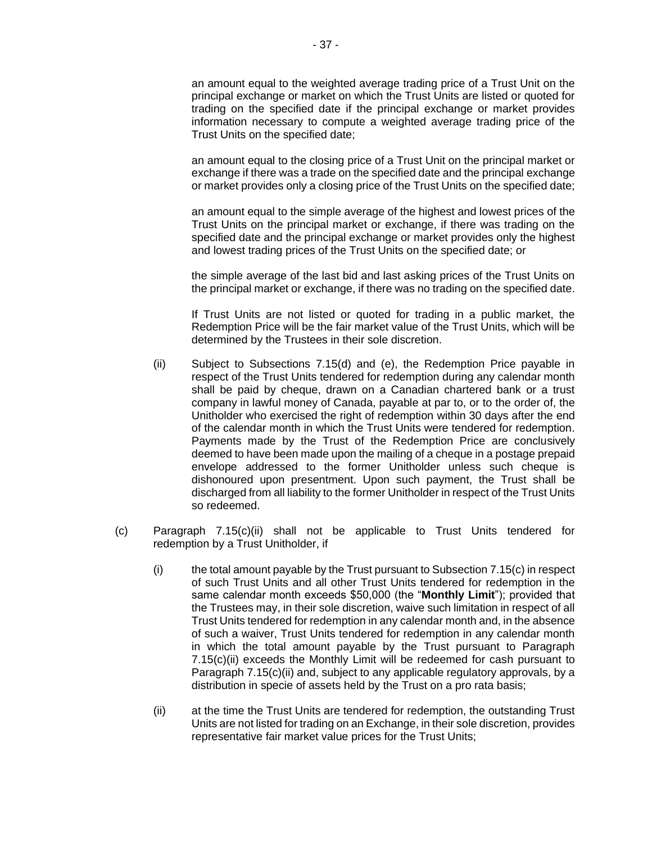an amount equal to the weighted average trading price of a Trust Unit on the principal exchange or market on which the Trust Units are listed or quoted for trading on the specified date if the principal exchange or market provides information necessary to compute a weighted average trading price of the Trust Units on the specified date;

an amount equal to the closing price of a Trust Unit on the principal market or exchange if there was a trade on the specified date and the principal exchange or market provides only a closing price of the Trust Units on the specified date;

an amount equal to the simple average of the highest and lowest prices of the Trust Units on the principal market or exchange, if there was trading on the specified date and the principal exchange or market provides only the highest and lowest trading prices of the Trust Units on the specified date; or

the simple average of the last bid and last asking prices of the Trust Units on the principal market or exchange, if there was no trading on the specified date.

If Trust Units are not listed or quoted for trading in a public market, the Redemption Price will be the fair market value of the Trust Units, which will be determined by the Trustees in their sole discretion.

- (ii) Subject to Subsections 7.15(d) and (e), the Redemption Price payable in respect of the Trust Units tendered for redemption during any calendar month shall be paid by cheque, drawn on a Canadian chartered bank or a trust company in lawful money of Canada, payable at par to, or to the order of, the Unitholder who exercised the right of redemption within 30 days after the end of the calendar month in which the Trust Units were tendered for redemption. Payments made by the Trust of the Redemption Price are conclusively deemed to have been made upon the mailing of a cheque in a postage prepaid envelope addressed to the former Unitholder unless such cheque is dishonoured upon presentment. Upon such payment, the Trust shall be discharged from all liability to the former Unitholder in respect of the Trust Units so redeemed.
- (c) Paragraph 7.15(c)(ii) shall not be applicable to Trust Units tendered for redemption by a Trust Unitholder, if
	- $(i)$  the total amount payable by the Trust pursuant to Subsection 7.15(c) in respect of such Trust Units and all other Trust Units tendered for redemption in the same calendar month exceeds \$50,000 (the "**Monthly Limit**"); provided that the Trustees may, in their sole discretion, waive such limitation in respect of all Trust Units tendered for redemption in any calendar month and, in the absence of such a waiver, Trust Units tendered for redemption in any calendar month in which the total amount payable by the Trust pursuant to Paragraph 7.15(c)(ii) exceeds the Monthly Limit will be redeemed for cash pursuant to Paragraph 7.15(c)(ii) and, subject to any applicable regulatory approvals, by a distribution in specie of assets held by the Trust on a pro rata basis;
	- (ii) at the time the Trust Units are tendered for redemption, the outstanding Trust Units are not listed for trading on an Exchange, in their sole discretion, provides representative fair market value prices for the Trust Units;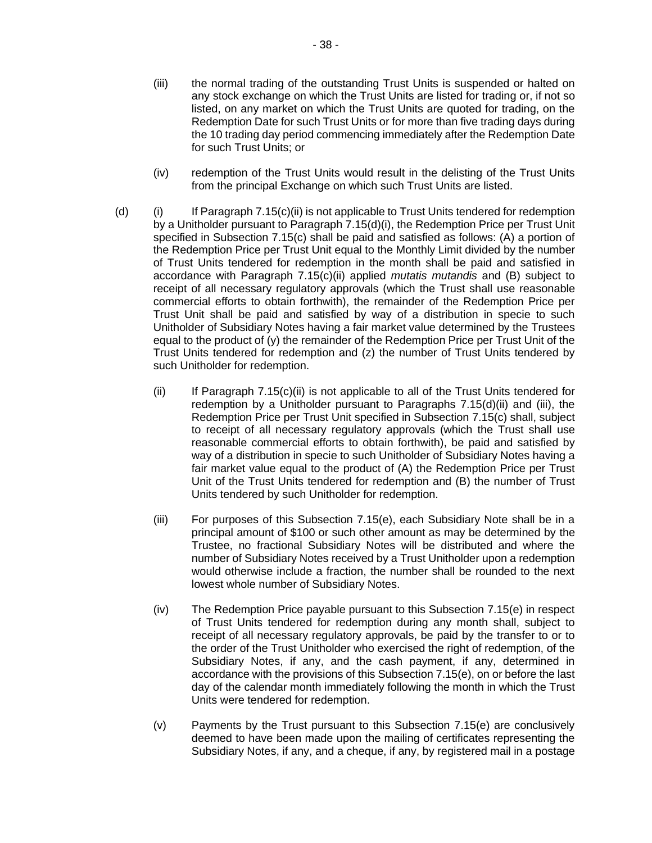- (iii) the normal trading of the outstanding Trust Units is suspended or halted on any stock exchange on which the Trust Units are listed for trading or, if not so listed, on any market on which the Trust Units are quoted for trading, on the Redemption Date for such Trust Units or for more than five trading days during the 10 trading day period commencing immediately after the Redemption Date for such Trust Units; or
- (iv) redemption of the Trust Units would result in the delisting of the Trust Units from the principal Exchange on which such Trust Units are listed.
- (d) (i) If Paragraph 7.15(c)(ii) is not applicable to Trust Units tendered for redemption by a Unitholder pursuant to Paragraph 7.15(d)(i), the Redemption Price per Trust Unit specified in Subsection 7.15(c) shall be paid and satisfied as follows: (A) a portion of the Redemption Price per Trust Unit equal to the Monthly Limit divided by the number of Trust Units tendered for redemption in the month shall be paid and satisfied in accordance with Paragraph 7.15(c)(ii) applied *mutatis mutandis* and (B) subject to receipt of all necessary regulatory approvals (which the Trust shall use reasonable commercial efforts to obtain forthwith), the remainder of the Redemption Price per Trust Unit shall be paid and satisfied by way of a distribution in specie to such Unitholder of Subsidiary Notes having a fair market value determined by the Trustees equal to the product of (y) the remainder of the Redemption Price per Trust Unit of the Trust Units tendered for redemption and (z) the number of Trust Units tendered by such Unitholder for redemption.
	- $(ii)$  If Paragraph 7.15 $(c)$ (ii) is not applicable to all of the Trust Units tendered for redemption by a Unitholder pursuant to Paragraphs 7.15(d)(ii) and (iii), the Redemption Price per Trust Unit specified in Subsection 7.15(c) shall, subject to receipt of all necessary regulatory approvals (which the Trust shall use reasonable commercial efforts to obtain forthwith), be paid and satisfied by way of a distribution in specie to such Unitholder of Subsidiary Notes having a fair market value equal to the product of (A) the Redemption Price per Trust Unit of the Trust Units tendered for redemption and (B) the number of Trust Units tendered by such Unitholder for redemption.
	- (iii) For purposes of this Subsection 7.15(e), each Subsidiary Note shall be in a principal amount of \$100 or such other amount as may be determined by the Trustee, no fractional Subsidiary Notes will be distributed and where the number of Subsidiary Notes received by a Trust Unitholder upon a redemption would otherwise include a fraction, the number shall be rounded to the next lowest whole number of Subsidiary Notes.
	- (iv) The Redemption Price payable pursuant to this Subsection 7.15(e) in respect of Trust Units tendered for redemption during any month shall, subject to receipt of all necessary regulatory approvals, be paid by the transfer to or to the order of the Trust Unitholder who exercised the right of redemption, of the Subsidiary Notes, if any, and the cash payment, if any, determined in accordance with the provisions of this Subsection 7.15(e), on or before the last day of the calendar month immediately following the month in which the Trust Units were tendered for redemption.
	- (v) Payments by the Trust pursuant to this Subsection 7.15(e) are conclusively deemed to have been made upon the mailing of certificates representing the Subsidiary Notes, if any, and a cheque, if any, by registered mail in a postage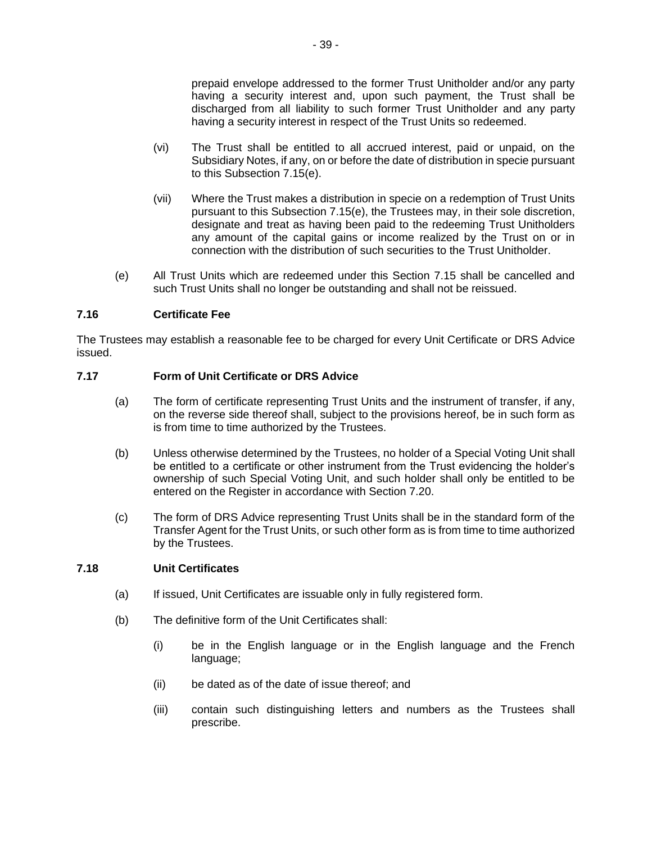prepaid envelope addressed to the former Trust Unitholder and/or any party having a security interest and, upon such payment, the Trust shall be discharged from all liability to such former Trust Unitholder and any party having a security interest in respect of the Trust Units so redeemed.

- (vi) The Trust shall be entitled to all accrued interest, paid or unpaid, on the Subsidiary Notes, if any, on or before the date of distribution in specie pursuant to this Subsection 7.15(e).
- (vii) Where the Trust makes a distribution in specie on a redemption of Trust Units pursuant to this Subsection 7.15(e), the Trustees may, in their sole discretion, designate and treat as having been paid to the redeeming Trust Unitholders any amount of the capital gains or income realized by the Trust on or in connection with the distribution of such securities to the Trust Unitholder.
- (e) All Trust Units which are redeemed under this Section 7.15 shall be cancelled and such Trust Units shall no longer be outstanding and shall not be reissued.

#### **7.16 Certificate Fee**

The Trustees may establish a reasonable fee to be charged for every Unit Certificate or DRS Advice issued.

### **7.17 Form of Unit Certificate or DRS Advice**

- (a) The form of certificate representing Trust Units and the instrument of transfer, if any, on the reverse side thereof shall, subject to the provisions hereof, be in such form as is from time to time authorized by the Trustees.
- (b) Unless otherwise determined by the Trustees, no holder of a Special Voting Unit shall be entitled to a certificate or other instrument from the Trust evidencing the holder's ownership of such Special Voting Unit, and such holder shall only be entitled to be entered on the Register in accordance with Section 7.20.
- (c) The form of DRS Advice representing Trust Units shall be in the standard form of the Transfer Agent for the Trust Units, or such other form as is from time to time authorized by the Trustees.

#### **7.18 Unit Certificates**

- (a) If issued, Unit Certificates are issuable only in fully registered form.
- (b) The definitive form of the Unit Certificates shall:
	- (i) be in the English language or in the English language and the French language;
	- (ii) be dated as of the date of issue thereof; and
	- (iii) contain such distinguishing letters and numbers as the Trustees shall prescribe.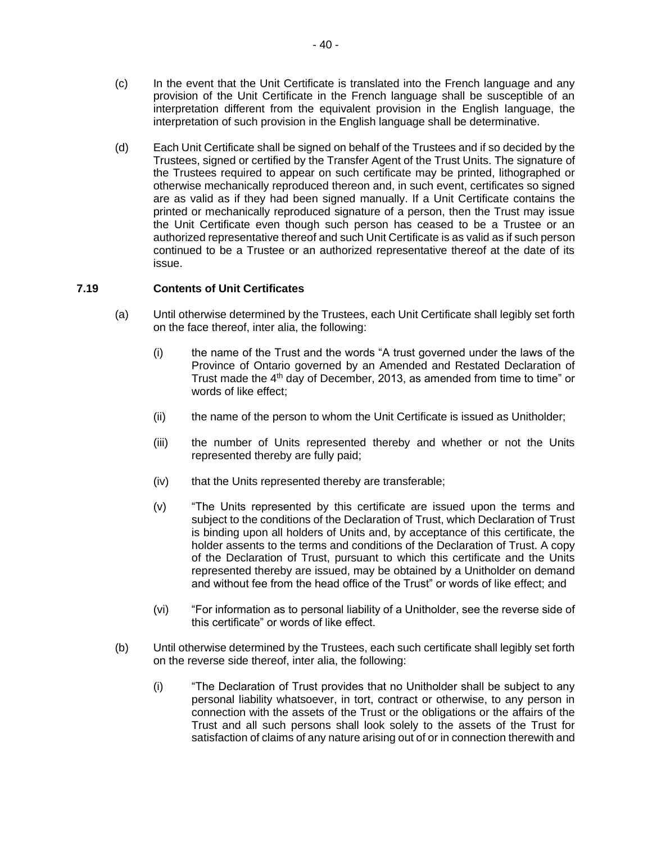- (c) In the event that the Unit Certificate is translated into the French language and any provision of the Unit Certificate in the French language shall be susceptible of an interpretation different from the equivalent provision in the English language, the interpretation of such provision in the English language shall be determinative.
- (d) Each Unit Certificate shall be signed on behalf of the Trustees and if so decided by the Trustees, signed or certified by the Transfer Agent of the Trust Units. The signature of the Trustees required to appear on such certificate may be printed, lithographed or otherwise mechanically reproduced thereon and, in such event, certificates so signed are as valid as if they had been signed manually. If a Unit Certificate contains the printed or mechanically reproduced signature of a person, then the Trust may issue the Unit Certificate even though such person has ceased to be a Trustee or an authorized representative thereof and such Unit Certificate is as valid as if such person continued to be a Trustee or an authorized representative thereof at the date of its issue.

### **7.19 Contents of Unit Certificates**

- (a) Until otherwise determined by the Trustees, each Unit Certificate shall legibly set forth on the face thereof, inter alia, the following:
	- (i) the name of the Trust and the words "A trust governed under the laws of the Province of Ontario governed by an Amended and Restated Declaration of Trust made the 4<sup>th</sup> day of December, 2013, as amended from time to time" or words of like effect;
	- (ii) the name of the person to whom the Unit Certificate is issued as Unitholder;
	- (iii) the number of Units represented thereby and whether or not the Units represented thereby are fully paid;
	- (iv) that the Units represented thereby are transferable;
	- (v) "The Units represented by this certificate are issued upon the terms and subject to the conditions of the Declaration of Trust, which Declaration of Trust is binding upon all holders of Units and, by acceptance of this certificate, the holder assents to the terms and conditions of the Declaration of Trust. A copy of the Declaration of Trust, pursuant to which this certificate and the Units represented thereby are issued, may be obtained by a Unitholder on demand and without fee from the head office of the Trust" or words of like effect; and
	- (vi) "For information as to personal liability of a Unitholder, see the reverse side of this certificate" or words of like effect.
- (b) Until otherwise determined by the Trustees, each such certificate shall legibly set forth on the reverse side thereof, inter alia, the following:
	- (i) "The Declaration of Trust provides that no Unitholder shall be subject to any personal liability whatsoever, in tort, contract or otherwise, to any person in connection with the assets of the Trust or the obligations or the affairs of the Trust and all such persons shall look solely to the assets of the Trust for satisfaction of claims of any nature arising out of or in connection therewith and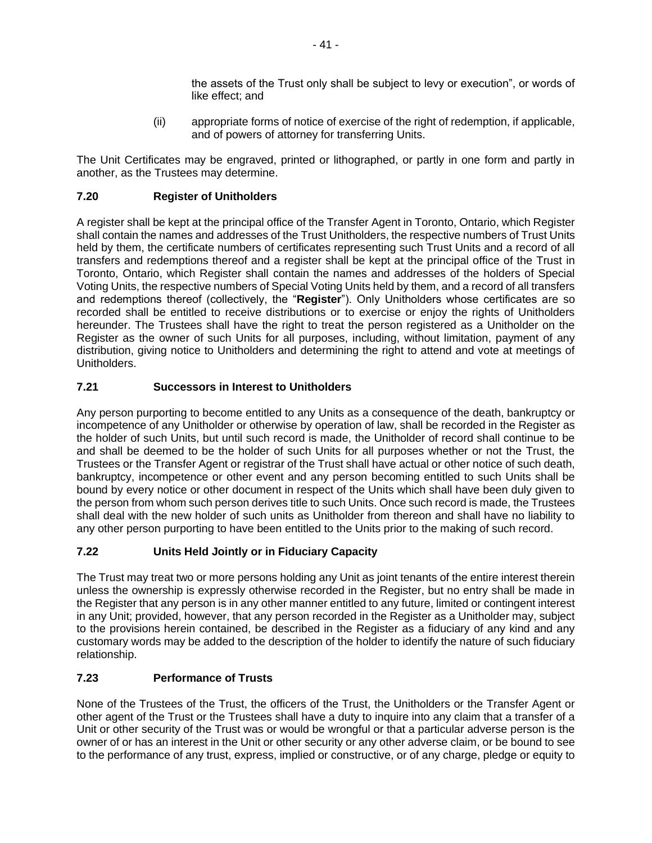the assets of the Trust only shall be subject to levy or execution", or words of like effect; and

(ii) appropriate forms of notice of exercise of the right of redemption, if applicable, and of powers of attorney for transferring Units.

The Unit Certificates may be engraved, printed or lithographed, or partly in one form and partly in another, as the Trustees may determine.

## **7.20 Register of Unitholders**

A register shall be kept at the principal office of the Transfer Agent in Toronto, Ontario, which Register shall contain the names and addresses of the Trust Unitholders, the respective numbers of Trust Units held by them, the certificate numbers of certificates representing such Trust Units and a record of all transfers and redemptions thereof and a register shall be kept at the principal office of the Trust in Toronto, Ontario, which Register shall contain the names and addresses of the holders of Special Voting Units, the respective numbers of Special Voting Units held by them, and a record of all transfers and redemptions thereof (collectively, the "**Register**"). Only Unitholders whose certificates are so recorded shall be entitled to receive distributions or to exercise or enjoy the rights of Unitholders hereunder. The Trustees shall have the right to treat the person registered as a Unitholder on the Register as the owner of such Units for all purposes, including, without limitation, payment of any distribution, giving notice to Unitholders and determining the right to attend and vote at meetings of Unitholders.

## **7.21 Successors in Interest to Unitholders**

Any person purporting to become entitled to any Units as a consequence of the death, bankruptcy or incompetence of any Unitholder or otherwise by operation of law, shall be recorded in the Register as the holder of such Units, but until such record is made, the Unitholder of record shall continue to be and shall be deemed to be the holder of such Units for all purposes whether or not the Trust, the Trustees or the Transfer Agent or registrar of the Trust shall have actual or other notice of such death, bankruptcy, incompetence or other event and any person becoming entitled to such Units shall be bound by every notice or other document in respect of the Units which shall have been duly given to the person from whom such person derives title to such Units. Once such record is made, the Trustees shall deal with the new holder of such units as Unitholder from thereon and shall have no liability to any other person purporting to have been entitled to the Units prior to the making of such record.

## **7.22 Units Held Jointly or in Fiduciary Capacity**

The Trust may treat two or more persons holding any Unit as joint tenants of the entire interest therein unless the ownership is expressly otherwise recorded in the Register, but no entry shall be made in the Register that any person is in any other manner entitled to any future, limited or contingent interest in any Unit; provided, however, that any person recorded in the Register as a Unitholder may, subject to the provisions herein contained, be described in the Register as a fiduciary of any kind and any customary words may be added to the description of the holder to identify the nature of such fiduciary relationship.

## **7.23 Performance of Trusts**

None of the Trustees of the Trust, the officers of the Trust, the Unitholders or the Transfer Agent or other agent of the Trust or the Trustees shall have a duty to inquire into any claim that a transfer of a Unit or other security of the Trust was or would be wrongful or that a particular adverse person is the owner of or has an interest in the Unit or other security or any other adverse claim, or be bound to see to the performance of any trust, express, implied or constructive, or of any charge, pledge or equity to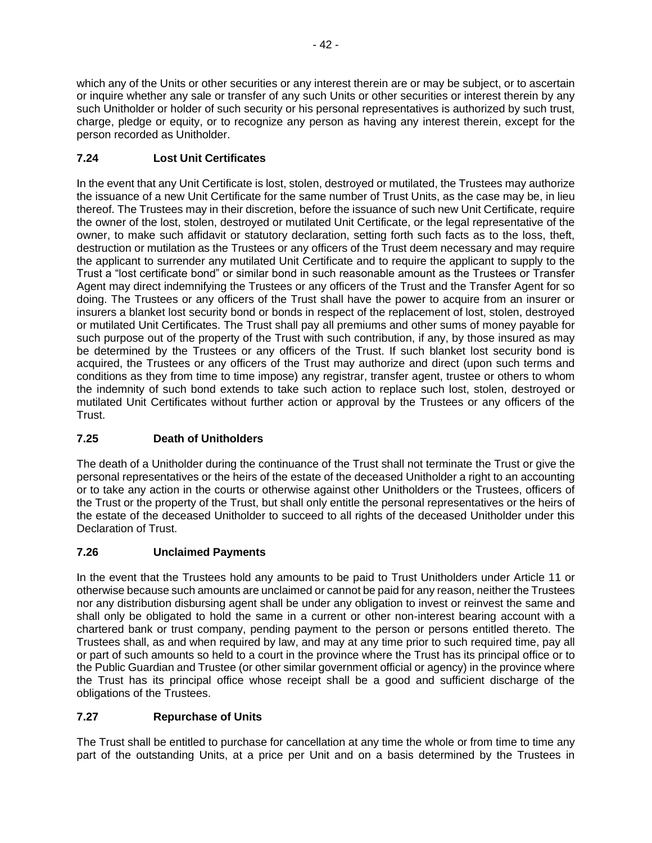which any of the Units or other securities or any interest therein are or may be subject, or to ascertain or inquire whether any sale or transfer of any such Units or other securities or interest therein by any such Unitholder or holder of such security or his personal representatives is authorized by such trust, charge, pledge or equity, or to recognize any person as having any interest therein, except for the person recorded as Unitholder.

# **7.24 Lost Unit Certificates**

In the event that any Unit Certificate is lost, stolen, destroyed or mutilated, the Trustees may authorize the issuance of a new Unit Certificate for the same number of Trust Units, as the case may be, in lieu thereof. The Trustees may in their discretion, before the issuance of such new Unit Certificate, require the owner of the lost, stolen, destroyed or mutilated Unit Certificate, or the legal representative of the owner, to make such affidavit or statutory declaration, setting forth such facts as to the loss, theft, destruction or mutilation as the Trustees or any officers of the Trust deem necessary and may require the applicant to surrender any mutilated Unit Certificate and to require the applicant to supply to the Trust a "lost certificate bond" or similar bond in such reasonable amount as the Trustees or Transfer Agent may direct indemnifying the Trustees or any officers of the Trust and the Transfer Agent for so doing. The Trustees or any officers of the Trust shall have the power to acquire from an insurer or insurers a blanket lost security bond or bonds in respect of the replacement of lost, stolen, destroyed or mutilated Unit Certificates. The Trust shall pay all premiums and other sums of money payable for such purpose out of the property of the Trust with such contribution, if any, by those insured as may be determined by the Trustees or any officers of the Trust. If such blanket lost security bond is acquired, the Trustees or any officers of the Trust may authorize and direct (upon such terms and conditions as they from time to time impose) any registrar, transfer agent, trustee or others to whom the indemnity of such bond extends to take such action to replace such lost, stolen, destroyed or mutilated Unit Certificates without further action or approval by the Trustees or any officers of the Trust.

# **7.25 Death of Unitholders**

The death of a Unitholder during the continuance of the Trust shall not terminate the Trust or give the personal representatives or the heirs of the estate of the deceased Unitholder a right to an accounting or to take any action in the courts or otherwise against other Unitholders or the Trustees, officers of the Trust or the property of the Trust, but shall only entitle the personal representatives or the heirs of the estate of the deceased Unitholder to succeed to all rights of the deceased Unitholder under this Declaration of Trust.

# **7.26 Unclaimed Payments**

In the event that the Trustees hold any amounts to be paid to Trust Unitholders under Article 11 or otherwise because such amounts are unclaimed or cannot be paid for any reason, neither the Trustees nor any distribution disbursing agent shall be under any obligation to invest or reinvest the same and shall only be obligated to hold the same in a current or other non-interest bearing account with a chartered bank or trust company, pending payment to the person or persons entitled thereto. The Trustees shall, as and when required by law, and may at any time prior to such required time, pay all or part of such amounts so held to a court in the province where the Trust has its principal office or to the Public Guardian and Trustee (or other similar government official or agency) in the province where the Trust has its principal office whose receipt shall be a good and sufficient discharge of the obligations of the Trustees.

# **7.27 Repurchase of Units**

The Trust shall be entitled to purchase for cancellation at any time the whole or from time to time any part of the outstanding Units, at a price per Unit and on a basis determined by the Trustees in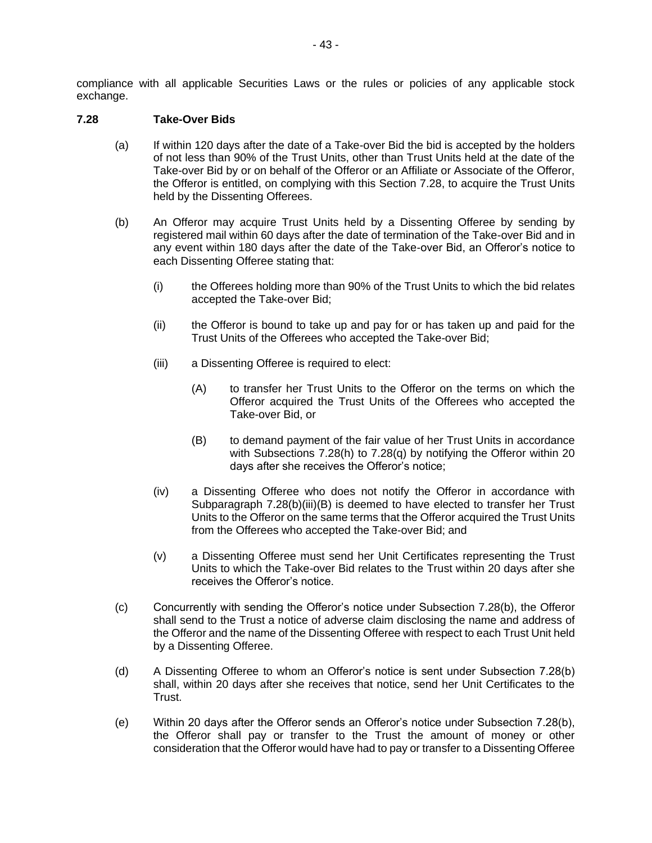compliance with all applicable Securities Laws or the rules or policies of any applicable stock exchange.

#### **7.28 Take-Over Bids**

- (a) If within 120 days after the date of a Take-over Bid the bid is accepted by the holders of not less than 90% of the Trust Units, other than Trust Units held at the date of the Take-over Bid by or on behalf of the Offeror or an Affiliate or Associate of the Offeror, the Offeror is entitled, on complying with this Section 7.28, to acquire the Trust Units held by the Dissenting Offerees.
- (b) An Offeror may acquire Trust Units held by a Dissenting Offeree by sending by registered mail within 60 days after the date of termination of the Take-over Bid and in any event within 180 days after the date of the Take-over Bid, an Offeror's notice to each Dissenting Offeree stating that:
	- (i) the Offerees holding more than 90% of the Trust Units to which the bid relates accepted the Take-over Bid;
	- (ii) the Offeror is bound to take up and pay for or has taken up and paid for the Trust Units of the Offerees who accepted the Take-over Bid;
	- (iii) a Dissenting Offeree is required to elect:
		- (A) to transfer her Trust Units to the Offeror on the terms on which the Offeror acquired the Trust Units of the Offerees who accepted the Take-over Bid, or
		- (B) to demand payment of the fair value of her Trust Units in accordance with Subsections 7.28(h) to 7.28(q) by notifying the Offeror within 20 days after she receives the Offeror's notice;
	- (iv) a Dissenting Offeree who does not notify the Offeror in accordance with Subparagraph 7.28(b)(iii)(B) is deemed to have elected to transfer her Trust Units to the Offeror on the same terms that the Offeror acquired the Trust Units from the Offerees who accepted the Take-over Bid; and
	- (v) a Dissenting Offeree must send her Unit Certificates representing the Trust Units to which the Take-over Bid relates to the Trust within 20 days after she receives the Offeror's notice.
- (c) Concurrently with sending the Offeror's notice under Subsection 7.28(b), the Offeror shall send to the Trust a notice of adverse claim disclosing the name and address of the Offeror and the name of the Dissenting Offeree with respect to each Trust Unit held by a Dissenting Offeree.
- (d) A Dissenting Offeree to whom an Offeror's notice is sent under Subsection 7.28(b) shall, within 20 days after she receives that notice, send her Unit Certificates to the Trust.
- (e) Within 20 days after the Offeror sends an Offeror's notice under Subsection 7.28(b), the Offeror shall pay or transfer to the Trust the amount of money or other consideration that the Offeror would have had to pay or transfer to a Dissenting Offeree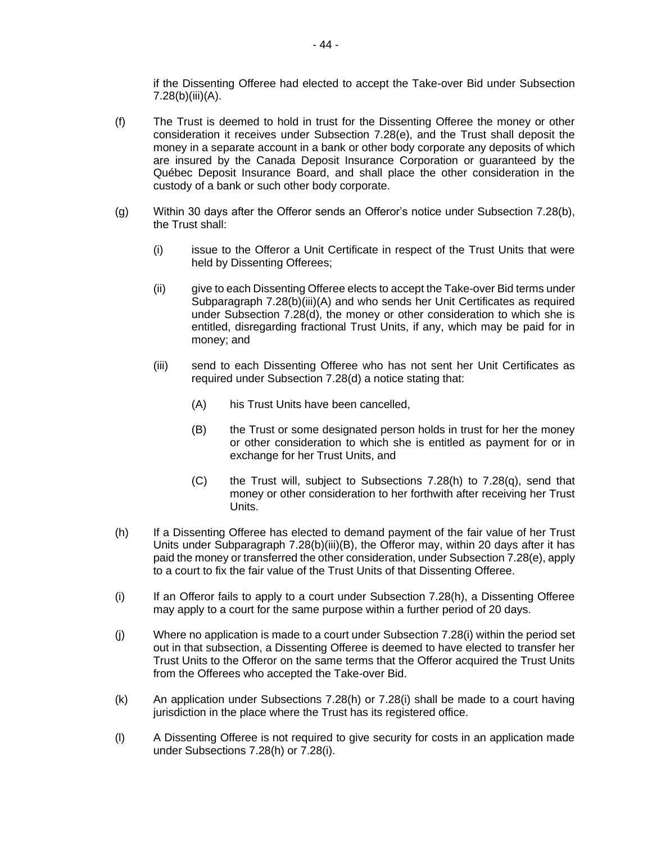if the Dissenting Offeree had elected to accept the Take-over Bid under Subsection 7.28(b)(iii)(A).

- (f) The Trust is deemed to hold in trust for the Dissenting Offeree the money or other consideration it receives under Subsection 7.28(e), and the Trust shall deposit the money in a separate account in a bank or other body corporate any deposits of which are insured by the Canada Deposit Insurance Corporation or guaranteed by the Québec Deposit Insurance Board, and shall place the other consideration in the custody of a bank or such other body corporate.
- (g) Within 30 days after the Offeror sends an Offeror's notice under Subsection 7.28(b), the Trust shall:
	- (i) issue to the Offeror a Unit Certificate in respect of the Trust Units that were held by Dissenting Offerees;
	- (ii) give to each Dissenting Offeree elects to accept the Take-over Bid terms under Subparagraph 7.28(b)(iii)(A) and who sends her Unit Certificates as required under Subsection 7.28(d), the money or other consideration to which she is entitled, disregarding fractional Trust Units, if any, which may be paid for in money; and
	- (iii) send to each Dissenting Offeree who has not sent her Unit Certificates as required under Subsection 7.28(d) a notice stating that:
		- (A) his Trust Units have been cancelled,
		- (B) the Trust or some designated person holds in trust for her the money or other consideration to which she is entitled as payment for or in exchange for her Trust Units, and
		- $(C)$  the Trust will, subject to Subsections 7.28(h) to 7.28(q), send that money or other consideration to her forthwith after receiving her Trust Units.
- (h) If a Dissenting Offeree has elected to demand payment of the fair value of her Trust Units under Subparagraph 7.28(b)(iii)(B), the Offeror may, within 20 days after it has paid the money or transferred the other consideration, under Subsection 7.28(e), apply to a court to fix the fair value of the Trust Units of that Dissenting Offeree.
- (i) If an Offeror fails to apply to a court under Subsection 7.28(h), a Dissenting Offeree may apply to a court for the same purpose within a further period of 20 days.
- (j) Where no application is made to a court under Subsection 7.28(i) within the period set out in that subsection, a Dissenting Offeree is deemed to have elected to transfer her Trust Units to the Offeror on the same terms that the Offeror acquired the Trust Units from the Offerees who accepted the Take-over Bid.
- (k) An application under Subsections 7.28(h) or 7.28(i) shall be made to a court having jurisdiction in the place where the Trust has its registered office.
- (l) A Dissenting Offeree is not required to give security for costs in an application made under Subsections 7.28(h) or 7.28(i).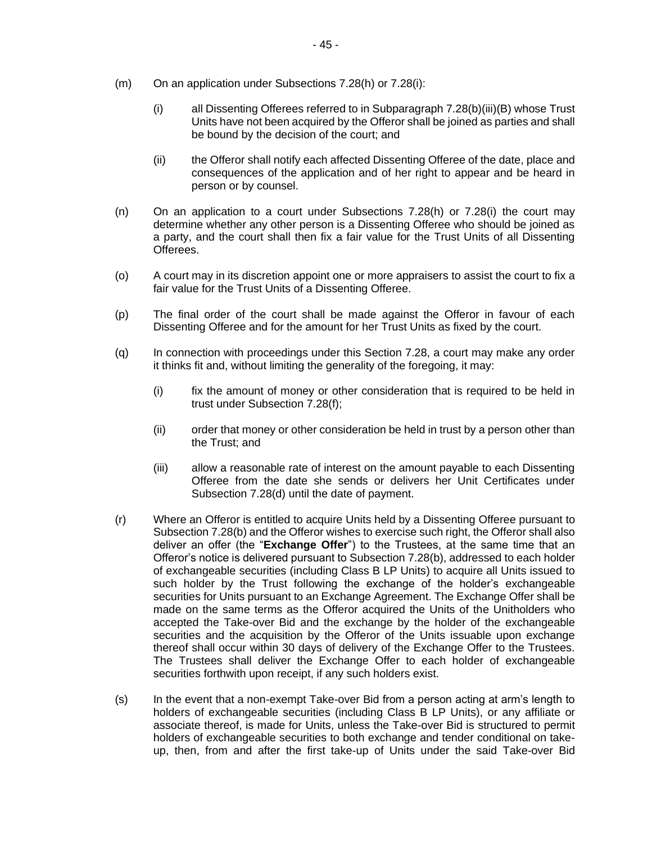- (m) On an application under Subsections 7.28(h) or 7.28(i):
	- (i) all Dissenting Offerees referred to in Subparagraph 7.28(b)(iii)(B) whose Trust Units have not been acquired by the Offeror shall be joined as parties and shall be bound by the decision of the court; and
	- (ii) the Offeror shall notify each affected Dissenting Offeree of the date, place and consequences of the application and of her right to appear and be heard in person or by counsel.
- (n) On an application to a court under Subsections 7.28(h) or 7.28(i) the court may determine whether any other person is a Dissenting Offeree who should be joined as a party, and the court shall then fix a fair value for the Trust Units of all Dissenting Offerees.
- (o) A court may in its discretion appoint one or more appraisers to assist the court to fix a fair value for the Trust Units of a Dissenting Offeree.
- (p) The final order of the court shall be made against the Offeror in favour of each Dissenting Offeree and for the amount for her Trust Units as fixed by the court.
- (q) In connection with proceedings under this Section 7.28, a court may make any order it thinks fit and, without limiting the generality of the foregoing, it may:
	- (i) fix the amount of money or other consideration that is required to be held in trust under Subsection 7.28(f);
	- (ii) order that money or other consideration be held in trust by a person other than the Trust; and
	- (iii) allow a reasonable rate of interest on the amount payable to each Dissenting Offeree from the date she sends or delivers her Unit Certificates under Subsection 7.28(d) until the date of payment.
- (r) Where an Offeror is entitled to acquire Units held by a Dissenting Offeree pursuant to Subsection 7.28(b) and the Offeror wishes to exercise such right, the Offeror shall also deliver an offer (the "**Exchange Offer**") to the Trustees, at the same time that an Offeror's notice is delivered pursuant to Subsection 7.28(b), addressed to each holder of exchangeable securities (including Class B LP Units) to acquire all Units issued to such holder by the Trust following the exchange of the holder's exchangeable securities for Units pursuant to an Exchange Agreement. The Exchange Offer shall be made on the same terms as the Offeror acquired the Units of the Unitholders who accepted the Take-over Bid and the exchange by the holder of the exchangeable securities and the acquisition by the Offeror of the Units issuable upon exchange thereof shall occur within 30 days of delivery of the Exchange Offer to the Trustees. The Trustees shall deliver the Exchange Offer to each holder of exchangeable securities forthwith upon receipt, if any such holders exist.
- (s) In the event that a non-exempt Take-over Bid from a person acting at arm's length to holders of exchangeable securities (including Class B LP Units), or any affiliate or associate thereof, is made for Units, unless the Take-over Bid is structured to permit holders of exchangeable securities to both exchange and tender conditional on takeup, then, from and after the first take-up of Units under the said Take-over Bid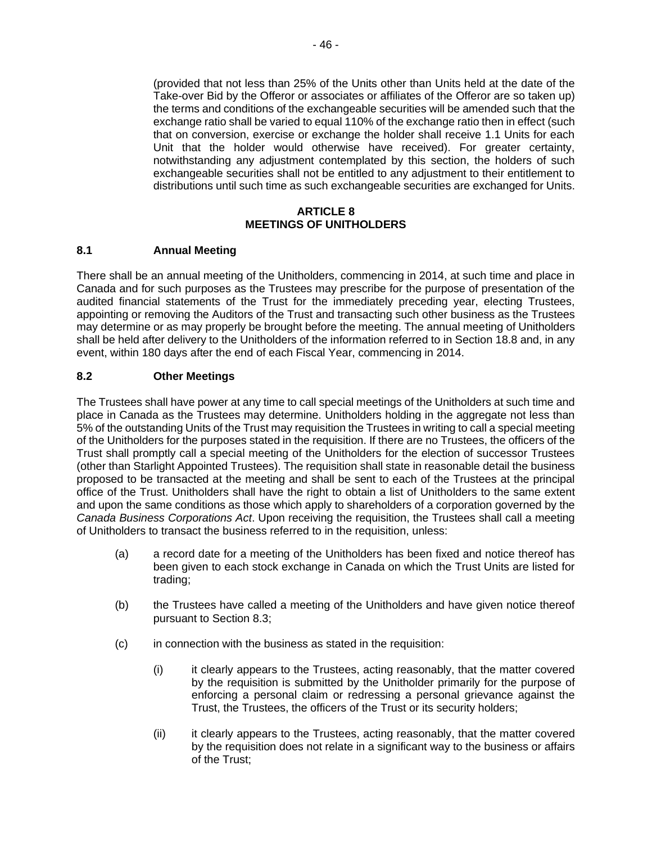(provided that not less than 25% of the Units other than Units held at the date of the Take-over Bid by the Offeror or associates or affiliates of the Offeror are so taken up) the terms and conditions of the exchangeable securities will be amended such that the exchange ratio shall be varied to equal 110% of the exchange ratio then in effect (such that on conversion, exercise or exchange the holder shall receive 1.1 Units for each Unit that the holder would otherwise have received). For greater certainty, notwithstanding any adjustment contemplated by this section, the holders of such exchangeable securities shall not be entitled to any adjustment to their entitlement to distributions until such time as such exchangeable securities are exchanged for Units.

#### **ARTICLE 8 MEETINGS OF UNITHOLDERS**

### **8.1 Annual Meeting**

There shall be an annual meeting of the Unitholders, commencing in 2014, at such time and place in Canada and for such purposes as the Trustees may prescribe for the purpose of presentation of the audited financial statements of the Trust for the immediately preceding year, electing Trustees, appointing or removing the Auditors of the Trust and transacting such other business as the Trustees may determine or as may properly be brought before the meeting. The annual meeting of Unitholders shall be held after delivery to the Unitholders of the information referred to in Section 18.8 and, in any event, within 180 days after the end of each Fiscal Year, commencing in 2014.

### **8.2 Other Meetings**

The Trustees shall have power at any time to call special meetings of the Unitholders at such time and place in Canada as the Trustees may determine. Unitholders holding in the aggregate not less than 5% of the outstanding Units of the Trust may requisition the Trustees in writing to call a special meeting of the Unitholders for the purposes stated in the requisition. If there are no Trustees, the officers of the Trust shall promptly call a special meeting of the Unitholders for the election of successor Trustees (other than Starlight Appointed Trustees). The requisition shall state in reasonable detail the business proposed to be transacted at the meeting and shall be sent to each of the Trustees at the principal office of the Trust. Unitholders shall have the right to obtain a list of Unitholders to the same extent and upon the same conditions as those which apply to shareholders of a corporation governed by the *Canada Business Corporations Act*. Upon receiving the requisition, the Trustees shall call a meeting of Unitholders to transact the business referred to in the requisition, unless:

- (a) a record date for a meeting of the Unitholders has been fixed and notice thereof has been given to each stock exchange in Canada on which the Trust Units are listed for trading;
- (b) the Trustees have called a meeting of the Unitholders and have given notice thereof pursuant to Section 8.3;
- (c) in connection with the business as stated in the requisition:
	- (i) it clearly appears to the Trustees, acting reasonably, that the matter covered by the requisition is submitted by the Unitholder primarily for the purpose of enforcing a personal claim or redressing a personal grievance against the Trust, the Trustees, the officers of the Trust or its security holders;
	- (ii) it clearly appears to the Trustees, acting reasonably, that the matter covered by the requisition does not relate in a significant way to the business or affairs of the Trust;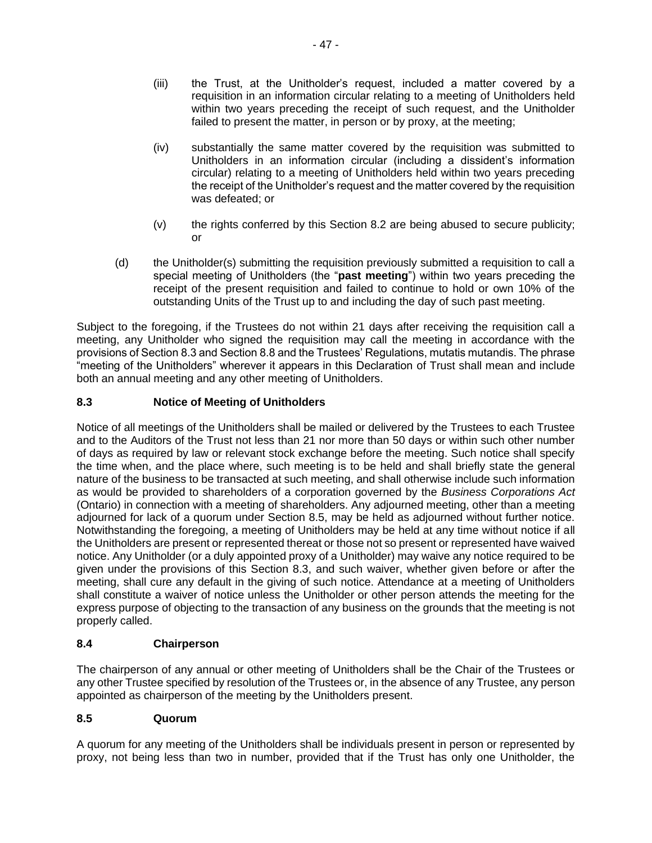- (iii) the Trust, at the Unitholder's request, included a matter covered by a requisition in an information circular relating to a meeting of Unitholders held within two years preceding the receipt of such request, and the Unitholder failed to present the matter, in person or by proxy, at the meeting;
- (iv) substantially the same matter covered by the requisition was submitted to Unitholders in an information circular (including a dissident's information circular) relating to a meeting of Unitholders held within two years preceding the receipt of the Unitholder's request and the matter covered by the requisition was defeated; or
- (v) the rights conferred by this Section 8.2 are being abused to secure publicity; or
- (d) the Unitholder(s) submitting the requisition previously submitted a requisition to call a special meeting of Unitholders (the "**past meeting**") within two years preceding the receipt of the present requisition and failed to continue to hold or own 10% of the outstanding Units of the Trust up to and including the day of such past meeting.

Subject to the foregoing, if the Trustees do not within 21 days after receiving the requisition call a meeting, any Unitholder who signed the requisition may call the meeting in accordance with the provisions of Section 8.3 and Section 8.8 and the Trustees' Regulations, mutatis mutandis. The phrase "meeting of the Unitholders" wherever it appears in this Declaration of Trust shall mean and include both an annual meeting and any other meeting of Unitholders.

## **8.3 Notice of Meeting of Unitholders**

Notice of all meetings of the Unitholders shall be mailed or delivered by the Trustees to each Trustee and to the Auditors of the Trust not less than 21 nor more than 50 days or within such other number of days as required by law or relevant stock exchange before the meeting. Such notice shall specify the time when, and the place where, such meeting is to be held and shall briefly state the general nature of the business to be transacted at such meeting, and shall otherwise include such information as would be provided to shareholders of a corporation governed by the *Business Corporations Act* (Ontario) in connection with a meeting of shareholders. Any adjourned meeting, other than a meeting adjourned for lack of a quorum under Section 8.5, may be held as adjourned without further notice. Notwithstanding the foregoing, a meeting of Unitholders may be held at any time without notice if all the Unitholders are present or represented thereat or those not so present or represented have waived notice. Any Unitholder (or a duly appointed proxy of a Unitholder) may waive any notice required to be given under the provisions of this Section 8.3, and such waiver, whether given before or after the meeting, shall cure any default in the giving of such notice. Attendance at a meeting of Unitholders shall constitute a waiver of notice unless the Unitholder or other person attends the meeting for the express purpose of objecting to the transaction of any business on the grounds that the meeting is not properly called.

## **8.4 Chairperson**

The chairperson of any annual or other meeting of Unitholders shall be the Chair of the Trustees or any other Trustee specified by resolution of the Trustees or, in the absence of any Trustee, any person appointed as chairperson of the meeting by the Unitholders present.

## **8.5 Quorum**

A quorum for any meeting of the Unitholders shall be individuals present in person or represented by proxy, not being less than two in number, provided that if the Trust has only one Unitholder, the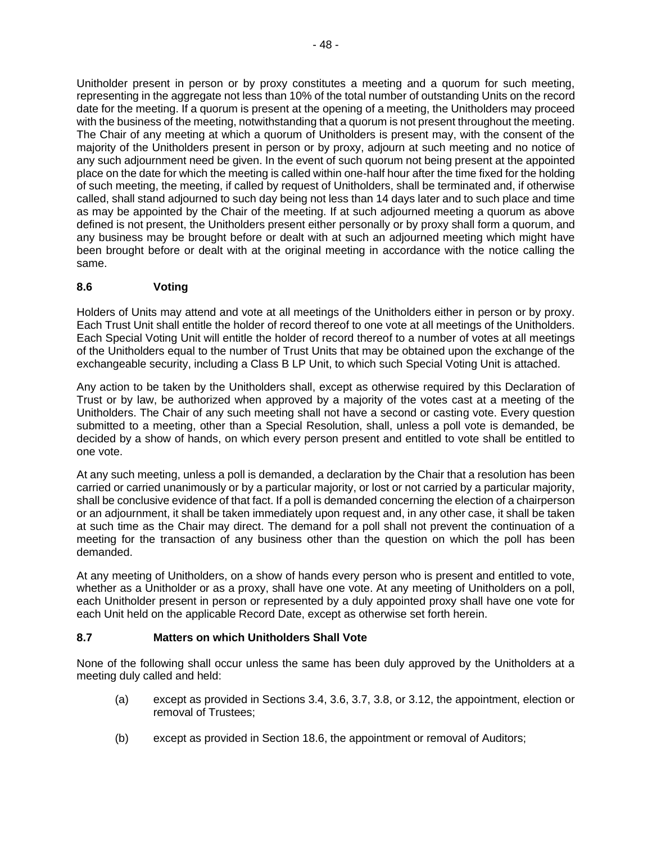Unitholder present in person or by proxy constitutes a meeting and a quorum for such meeting, representing in the aggregate not less than 10% of the total number of outstanding Units on the record date for the meeting. If a quorum is present at the opening of a meeting, the Unitholders may proceed with the business of the meeting, notwithstanding that a quorum is not present throughout the meeting. The Chair of any meeting at which a quorum of Unitholders is present may, with the consent of the majority of the Unitholders present in person or by proxy, adjourn at such meeting and no notice of any such adjournment need be given. In the event of such quorum not being present at the appointed place on the date for which the meeting is called within one-half hour after the time fixed for the holding of such meeting, the meeting, if called by request of Unitholders, shall be terminated and, if otherwise called, shall stand adjourned to such day being not less than 14 days later and to such place and time as may be appointed by the Chair of the meeting. If at such adjourned meeting a quorum as above defined is not present, the Unitholders present either personally or by proxy shall form a quorum, and any business may be brought before or dealt with at such an adjourned meeting which might have been brought before or dealt with at the original meeting in accordance with the notice calling the same.

## **8.6 Voting**

Holders of Units may attend and vote at all meetings of the Unitholders either in person or by proxy. Each Trust Unit shall entitle the holder of record thereof to one vote at all meetings of the Unitholders. Each Special Voting Unit will entitle the holder of record thereof to a number of votes at all meetings of the Unitholders equal to the number of Trust Units that may be obtained upon the exchange of the exchangeable security, including a Class B LP Unit, to which such Special Voting Unit is attached.

Any action to be taken by the Unitholders shall, except as otherwise required by this Declaration of Trust or by law, be authorized when approved by a majority of the votes cast at a meeting of the Unitholders. The Chair of any such meeting shall not have a second or casting vote. Every question submitted to a meeting, other than a Special Resolution, shall, unless a poll vote is demanded, be decided by a show of hands, on which every person present and entitled to vote shall be entitled to one vote.

At any such meeting, unless a poll is demanded, a declaration by the Chair that a resolution has been carried or carried unanimously or by a particular majority, or lost or not carried by a particular majority, shall be conclusive evidence of that fact. If a poll is demanded concerning the election of a chairperson or an adjournment, it shall be taken immediately upon request and, in any other case, it shall be taken at such time as the Chair may direct. The demand for a poll shall not prevent the continuation of a meeting for the transaction of any business other than the question on which the poll has been demanded.

At any meeting of Unitholders, on a show of hands every person who is present and entitled to vote, whether as a Unitholder or as a proxy, shall have one vote. At any meeting of Unitholders on a poll, each Unitholder present in person or represented by a duly appointed proxy shall have one vote for each Unit held on the applicable Record Date, except as otherwise set forth herein.

## **8.7 Matters on which Unitholders Shall Vote**

None of the following shall occur unless the same has been duly approved by the Unitholders at a meeting duly called and held:

- (a) except as provided in Sections 3.4, 3.6, 3.7, 3.8, or 3.12, the appointment, election or removal of Trustees;
- (b) except as provided in Section 18.6, the appointment or removal of Auditors;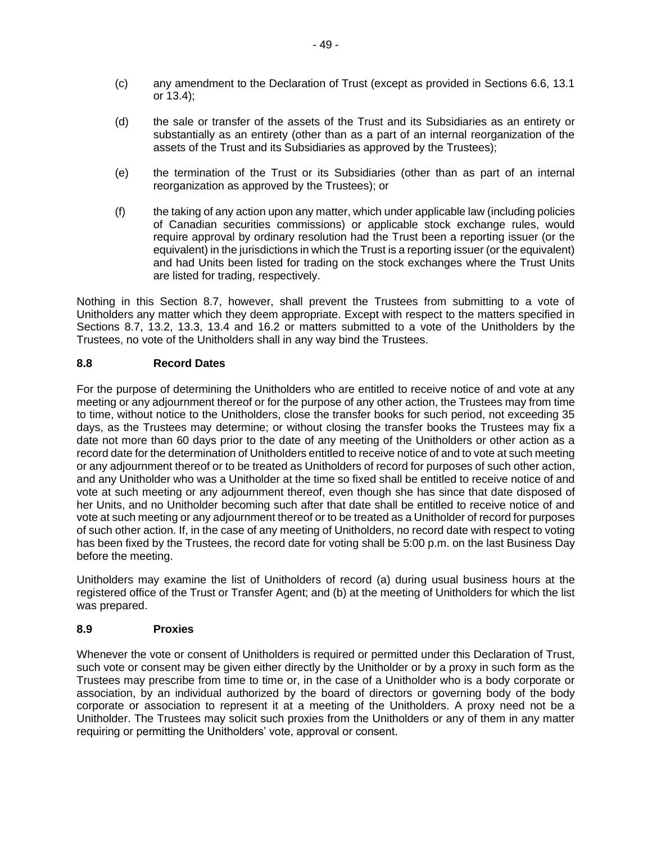- (c) any amendment to the Declaration of Trust (except as provided in Sections 6.6, 13.1 or 13.4);
- (d) the sale or transfer of the assets of the Trust and its Subsidiaries as an entirety or substantially as an entirety (other than as a part of an internal reorganization of the assets of the Trust and its Subsidiaries as approved by the Trustees);
- (e) the termination of the Trust or its Subsidiaries (other than as part of an internal reorganization as approved by the Trustees); or
- (f) the taking of any action upon any matter, which under applicable law (including policies of Canadian securities commissions) or applicable stock exchange rules, would require approval by ordinary resolution had the Trust been a reporting issuer (or the equivalent) in the jurisdictions in which the Trust is a reporting issuer (or the equivalent) and had Units been listed for trading on the stock exchanges where the Trust Units are listed for trading, respectively.

Nothing in this Section 8.7, however, shall prevent the Trustees from submitting to a vote of Unitholders any matter which they deem appropriate. Except with respect to the matters specified in Sections 8.7, 13.2, 13.3, 13.4 and 16.2 or matters submitted to a vote of the Unitholders by the Trustees, no vote of the Unitholders shall in any way bind the Trustees.

### **8.8 Record Dates**

For the purpose of determining the Unitholders who are entitled to receive notice of and vote at any meeting or any adjournment thereof or for the purpose of any other action, the Trustees may from time to time, without notice to the Unitholders, close the transfer books for such period, not exceeding 35 days, as the Trustees may determine; or without closing the transfer books the Trustees may fix a date not more than 60 days prior to the date of any meeting of the Unitholders or other action as a record date for the determination of Unitholders entitled to receive notice of and to vote at such meeting or any adjournment thereof or to be treated as Unitholders of record for purposes of such other action, and any Unitholder who was a Unitholder at the time so fixed shall be entitled to receive notice of and vote at such meeting or any adjournment thereof, even though she has since that date disposed of her Units, and no Unitholder becoming such after that date shall be entitled to receive notice of and vote at such meeting or any adjournment thereof or to be treated as a Unitholder of record for purposes of such other action. If, in the case of any meeting of Unitholders, no record date with respect to voting has been fixed by the Trustees, the record date for voting shall be 5:00 p.m. on the last Business Day before the meeting.

Unitholders may examine the list of Unitholders of record (a) during usual business hours at the registered office of the Trust or Transfer Agent; and (b) at the meeting of Unitholders for which the list was prepared.

#### **8.9 Proxies**

Whenever the vote or consent of Unitholders is required or permitted under this Declaration of Trust, such vote or consent may be given either directly by the Unitholder or by a proxy in such form as the Trustees may prescribe from time to time or, in the case of a Unitholder who is a body corporate or association, by an individual authorized by the board of directors or governing body of the body corporate or association to represent it at a meeting of the Unitholders. A proxy need not be a Unitholder. The Trustees may solicit such proxies from the Unitholders or any of them in any matter requiring or permitting the Unitholders' vote, approval or consent.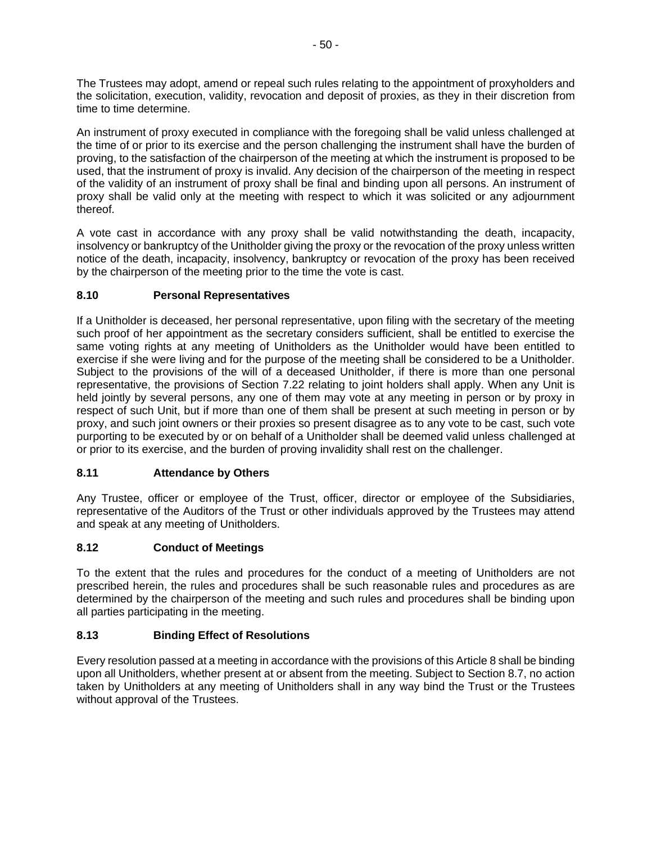The Trustees may adopt, amend or repeal such rules relating to the appointment of proxyholders and the solicitation, execution, validity, revocation and deposit of proxies, as they in their discretion from time to time determine.

An instrument of proxy executed in compliance with the foregoing shall be valid unless challenged at the time of or prior to its exercise and the person challenging the instrument shall have the burden of proving, to the satisfaction of the chairperson of the meeting at which the instrument is proposed to be used, that the instrument of proxy is invalid. Any decision of the chairperson of the meeting in respect of the validity of an instrument of proxy shall be final and binding upon all persons. An instrument of proxy shall be valid only at the meeting with respect to which it was solicited or any adjournment thereof.

A vote cast in accordance with any proxy shall be valid notwithstanding the death, incapacity, insolvency or bankruptcy of the Unitholder giving the proxy or the revocation of the proxy unless written notice of the death, incapacity, insolvency, bankruptcy or revocation of the proxy has been received by the chairperson of the meeting prior to the time the vote is cast.

## **8.10 Personal Representatives**

If a Unitholder is deceased, her personal representative, upon filing with the secretary of the meeting such proof of her appointment as the secretary considers sufficient, shall be entitled to exercise the same voting rights at any meeting of Unitholders as the Unitholder would have been entitled to exercise if she were living and for the purpose of the meeting shall be considered to be a Unitholder. Subject to the provisions of the will of a deceased Unitholder, if there is more than one personal representative, the provisions of Section 7.22 relating to joint holders shall apply. When any Unit is held jointly by several persons, any one of them may vote at any meeting in person or by proxy in respect of such Unit, but if more than one of them shall be present at such meeting in person or by proxy, and such joint owners or their proxies so present disagree as to any vote to be cast, such vote purporting to be executed by or on behalf of a Unitholder shall be deemed valid unless challenged at or prior to its exercise, and the burden of proving invalidity shall rest on the challenger.

## **8.11 Attendance by Others**

Any Trustee, officer or employee of the Trust, officer, director or employee of the Subsidiaries, representative of the Auditors of the Trust or other individuals approved by the Trustees may attend and speak at any meeting of Unitholders.

## **8.12 Conduct of Meetings**

To the extent that the rules and procedures for the conduct of a meeting of Unitholders are not prescribed herein, the rules and procedures shall be such reasonable rules and procedures as are determined by the chairperson of the meeting and such rules and procedures shall be binding upon all parties participating in the meeting.

## **8.13 Binding Effect of Resolutions**

Every resolution passed at a meeting in accordance with the provisions of this Article 8 shall be binding upon all Unitholders, whether present at or absent from the meeting. Subject to Section 8.7, no action taken by Unitholders at any meeting of Unitholders shall in any way bind the Trust or the Trustees without approval of the Trustees.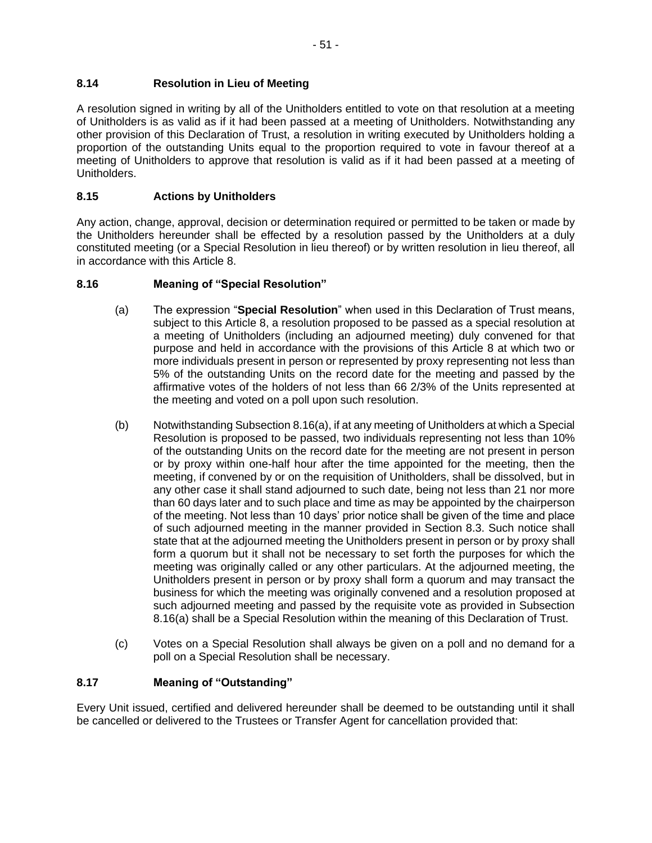A resolution signed in writing by all of the Unitholders entitled to vote on that resolution at a meeting of Unitholders is as valid as if it had been passed at a meeting of Unitholders. Notwithstanding any other provision of this Declaration of Trust, a resolution in writing executed by Unitholders holding a proportion of the outstanding Units equal to the proportion required to vote in favour thereof at a meeting of Unitholders to approve that resolution is valid as if it had been passed at a meeting of Unitholders.

## **8.15 Actions by Unitholders**

Any action, change, approval, decision or determination required or permitted to be taken or made by the Unitholders hereunder shall be effected by a resolution passed by the Unitholders at a duly constituted meeting (or a Special Resolution in lieu thereof) or by written resolution in lieu thereof, all in accordance with this Article 8.

## **8.16 Meaning of "Special Resolution"**

- (a) The expression "**Special Resolution**" when used in this Declaration of Trust means, subject to this Article 8, a resolution proposed to be passed as a special resolution at a meeting of Unitholders (including an adjourned meeting) duly convened for that purpose and held in accordance with the provisions of this Article 8 at which two or more individuals present in person or represented by proxy representing not less than 5% of the outstanding Units on the record date for the meeting and passed by the affirmative votes of the holders of not less than 66 2/3% of the Units represented at the meeting and voted on a poll upon such resolution.
- (b) Notwithstanding Subsection 8.16(a), if at any meeting of Unitholders at which a Special Resolution is proposed to be passed, two individuals representing not less than 10% of the outstanding Units on the record date for the meeting are not present in person or by proxy within one-half hour after the time appointed for the meeting, then the meeting, if convened by or on the requisition of Unitholders, shall be dissolved, but in any other case it shall stand adjourned to such date, being not less than 21 nor more than 60 days later and to such place and time as may be appointed by the chairperson of the meeting. Not less than 10 days' prior notice shall be given of the time and place of such adjourned meeting in the manner provided in Section 8.3. Such notice shall state that at the adjourned meeting the Unitholders present in person or by proxy shall form a quorum but it shall not be necessary to set forth the purposes for which the meeting was originally called or any other particulars. At the adjourned meeting, the Unitholders present in person or by proxy shall form a quorum and may transact the business for which the meeting was originally convened and a resolution proposed at such adjourned meeting and passed by the requisite vote as provided in Subsection 8.16(a) shall be a Special Resolution within the meaning of this Declaration of Trust.
- (c) Votes on a Special Resolution shall always be given on a poll and no demand for a poll on a Special Resolution shall be necessary.

## **8.17 Meaning of "Outstanding"**

Every Unit issued, certified and delivered hereunder shall be deemed to be outstanding until it shall be cancelled or delivered to the Trustees or Transfer Agent for cancellation provided that: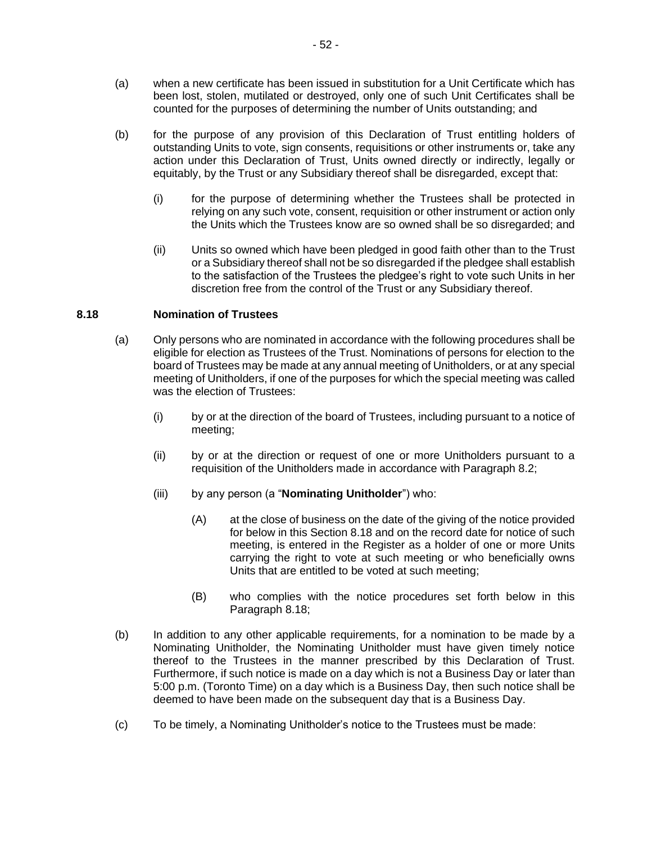- (a) when a new certificate has been issued in substitution for a Unit Certificate which has been lost, stolen, mutilated or destroyed, only one of such Unit Certificates shall be counted for the purposes of determining the number of Units outstanding; and
- (b) for the purpose of any provision of this Declaration of Trust entitling holders of outstanding Units to vote, sign consents, requisitions or other instruments or, take any action under this Declaration of Trust, Units owned directly or indirectly, legally or equitably, by the Trust or any Subsidiary thereof shall be disregarded, except that:
	- (i) for the purpose of determining whether the Trustees shall be protected in relying on any such vote, consent, requisition or other instrument or action only the Units which the Trustees know are so owned shall be so disregarded; and
	- (ii) Units so owned which have been pledged in good faith other than to the Trust or a Subsidiary thereof shall not be so disregarded if the pledgee shall establish to the satisfaction of the Trustees the pledgee's right to vote such Units in her discretion free from the control of the Trust or any Subsidiary thereof.

#### **8.18 Nomination of Trustees**

- (a) Only persons who are nominated in accordance with the following procedures shall be eligible for election as Trustees of the Trust. Nominations of persons for election to the board of Trustees may be made at any annual meeting of Unitholders, or at any special meeting of Unitholders, if one of the purposes for which the special meeting was called was the election of Trustees:
	- (i) by or at the direction of the board of Trustees, including pursuant to a notice of meeting;
	- (ii) by or at the direction or request of one or more Unitholders pursuant to a requisition of the Unitholders made in accordance with Paragraph 8.2;
	- (iii) by any person (a "**Nominating Unitholder**") who:
		- (A) at the close of business on the date of the giving of the notice provided for below in this Section 8.18 and on the record date for notice of such meeting, is entered in the Register as a holder of one or more Units carrying the right to vote at such meeting or who beneficially owns Units that are entitled to be voted at such meeting;
		- (B) who complies with the notice procedures set forth below in this Paragraph 8.18;
- (b) In addition to any other applicable requirements, for a nomination to be made by a Nominating Unitholder, the Nominating Unitholder must have given timely notice thereof to the Trustees in the manner prescribed by this Declaration of Trust. Furthermore, if such notice is made on a day which is not a Business Day or later than 5:00 p.m. (Toronto Time) on a day which is a Business Day, then such notice shall be deemed to have been made on the subsequent day that is a Business Day.
- (c) To be timely, a Nominating Unitholder's notice to the Trustees must be made: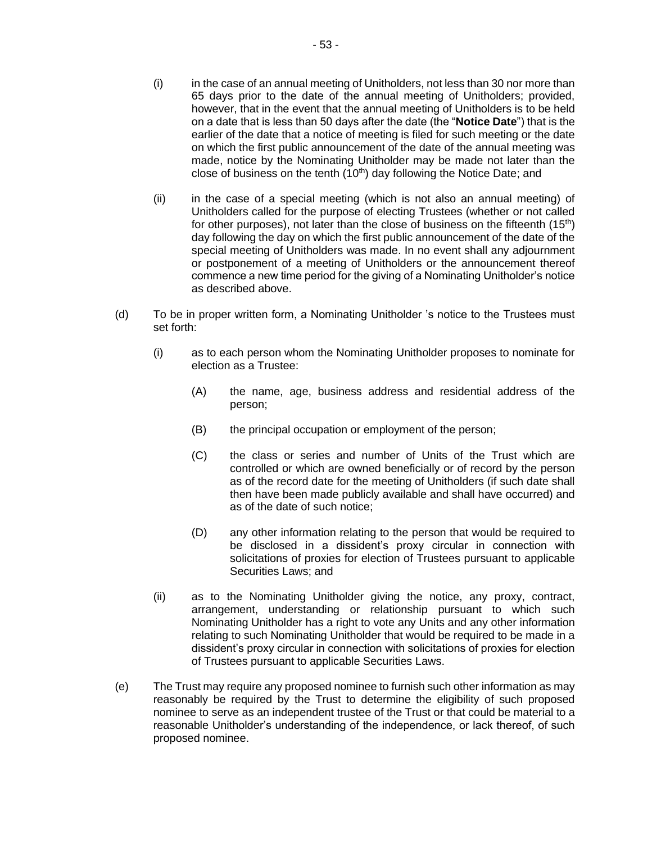- (i) in the case of an annual meeting of Unitholders, not less than 30 nor more than 65 days prior to the date of the annual meeting of Unitholders; provided, however, that in the event that the annual meeting of Unitholders is to be held on a date that is less than 50 days after the date (the "**Notice Date**") that is the earlier of the date that a notice of meeting is filed for such meeting or the date on which the first public announcement of the date of the annual meeting was made, notice by the Nominating Unitholder may be made not later than the close of business on the tenth  $(10<sup>th</sup>)$  day following the Notice Date; and
- (ii) in the case of a special meeting (which is not also an annual meeting) of Unitholders called for the purpose of electing Trustees (whether or not called for other purposes), not later than the close of business on the fifteenth  $(15<sup>th</sup>)$ day following the day on which the first public announcement of the date of the special meeting of Unitholders was made. In no event shall any adjournment or postponement of a meeting of Unitholders or the announcement thereof commence a new time period for the giving of a Nominating Unitholder's notice as described above.
- (d) To be in proper written form, a Nominating Unitholder 's notice to the Trustees must set forth:
	- (i) as to each person whom the Nominating Unitholder proposes to nominate for election as a Trustee:
		- (A) the name, age, business address and residential address of the person;
		- (B) the principal occupation or employment of the person;
		- (C) the class or series and number of Units of the Trust which are controlled or which are owned beneficially or of record by the person as of the record date for the meeting of Unitholders (if such date shall then have been made publicly available and shall have occurred) and as of the date of such notice;
		- (D) any other information relating to the person that would be required to be disclosed in a dissident's proxy circular in connection with solicitations of proxies for election of Trustees pursuant to applicable Securities Laws; and
	- (ii) as to the Nominating Unitholder giving the notice, any proxy, contract, arrangement, understanding or relationship pursuant to which such Nominating Unitholder has a right to vote any Units and any other information relating to such Nominating Unitholder that would be required to be made in a dissident's proxy circular in connection with solicitations of proxies for election of Trustees pursuant to applicable Securities Laws.
- (e) The Trust may require any proposed nominee to furnish such other information as may reasonably be required by the Trust to determine the eligibility of such proposed nominee to serve as an independent trustee of the Trust or that could be material to a reasonable Unitholder's understanding of the independence, or lack thereof, of such proposed nominee.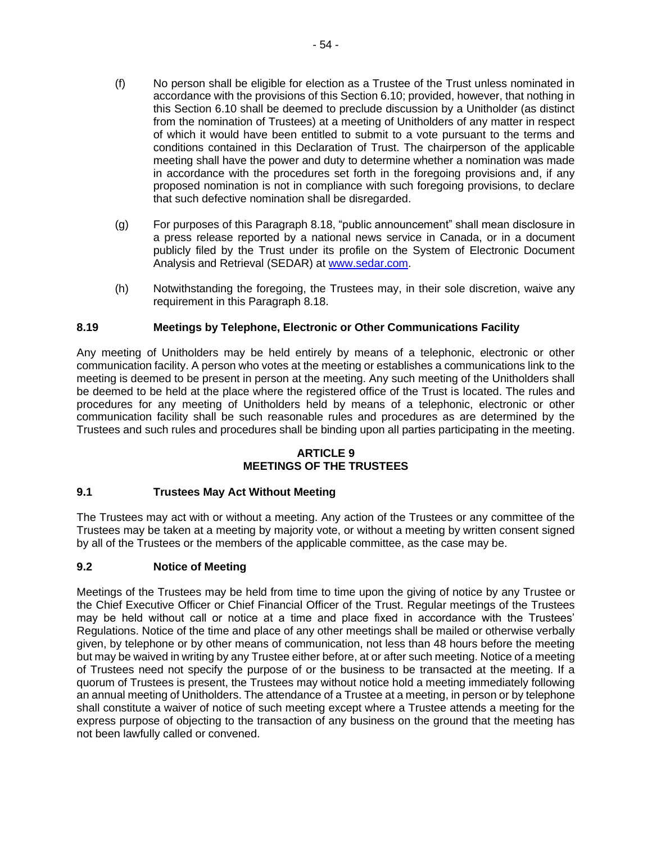- (f) No person shall be eligible for election as a Trustee of the Trust unless nominated in accordance with the provisions of this Section 6.10; provided, however, that nothing in this Section 6.10 shall be deemed to preclude discussion by a Unitholder (as distinct from the nomination of Trustees) at a meeting of Unitholders of any matter in respect of which it would have been entitled to submit to a vote pursuant to the terms and conditions contained in this Declaration of Trust. The chairperson of the applicable meeting shall have the power and duty to determine whether a nomination was made in accordance with the procedures set forth in the foregoing provisions and, if any proposed nomination is not in compliance with such foregoing provisions, to declare that such defective nomination shall be disregarded.
- (g) For purposes of this Paragraph 8.18, "public announcement" shall mean disclosure in a press release reported by a national news service in Canada, or in a document publicly filed by the Trust under its profile on the System of Electronic Document Analysis and Retrieval (SEDAR) at [www.sedar.com.](http://www.sedar.com/)
- (h) Notwithstanding the foregoing, the Trustees may, in their sole discretion, waive any requirement in this Paragraph 8.18.

### **8.19 Meetings by Telephone, Electronic or Other Communications Facility**

Any meeting of Unitholders may be held entirely by means of a telephonic, electronic or other communication facility. A person who votes at the meeting or establishes a communications link to the meeting is deemed to be present in person at the meeting. Any such meeting of the Unitholders shall be deemed to be held at the place where the registered office of the Trust is located. The rules and procedures for any meeting of Unitholders held by means of a telephonic, electronic or other communication facility shall be such reasonable rules and procedures as are determined by the Trustees and such rules and procedures shall be binding upon all parties participating in the meeting.

#### **ARTICLE 9 MEETINGS OF THE TRUSTEES**

#### **9.1 Trustees May Act Without Meeting**

The Trustees may act with or without a meeting. Any action of the Trustees or any committee of the Trustees may be taken at a meeting by majority vote, or without a meeting by written consent signed by all of the Trustees or the members of the applicable committee, as the case may be.

#### **9.2 Notice of Meeting**

Meetings of the Trustees may be held from time to time upon the giving of notice by any Trustee or the Chief Executive Officer or Chief Financial Officer of the Trust. Regular meetings of the Trustees may be held without call or notice at a time and place fixed in accordance with the Trustees' Regulations. Notice of the time and place of any other meetings shall be mailed or otherwise verbally given, by telephone or by other means of communication, not less than 48 hours before the meeting but may be waived in writing by any Trustee either before, at or after such meeting. Notice of a meeting of Trustees need not specify the purpose of or the business to be transacted at the meeting. If a quorum of Trustees is present, the Trustees may without notice hold a meeting immediately following an annual meeting of Unitholders. The attendance of a Trustee at a meeting, in person or by telephone shall constitute a waiver of notice of such meeting except where a Trustee attends a meeting for the express purpose of objecting to the transaction of any business on the ground that the meeting has not been lawfully called or convened.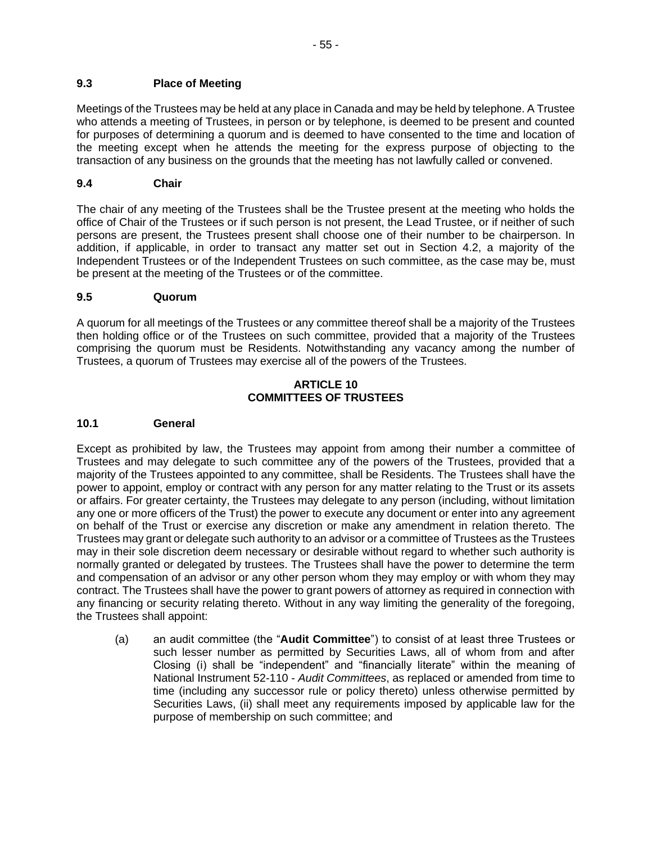### **9.3 Place of Meeting**

Meetings of the Trustees may be held at any place in Canada and may be held by telephone. A Trustee who attends a meeting of Trustees, in person or by telephone, is deemed to be present and counted for purposes of determining a quorum and is deemed to have consented to the time and location of the meeting except when he attends the meeting for the express purpose of objecting to the transaction of any business on the grounds that the meeting has not lawfully called or convened.

### **9.4 Chair**

The chair of any meeting of the Trustees shall be the Trustee present at the meeting who holds the office of Chair of the Trustees or if such person is not present, the Lead Trustee, or if neither of such persons are present, the Trustees present shall choose one of their number to be chairperson. In addition, if applicable, in order to transact any matter set out in Section 4.2, a majority of the Independent Trustees or of the Independent Trustees on such committee, as the case may be, must be present at the meeting of the Trustees or of the committee.

### **9.5 Quorum**

A quorum for all meetings of the Trustees or any committee thereof shall be a majority of the Trustees then holding office or of the Trustees on such committee, provided that a majority of the Trustees comprising the quorum must be Residents. Notwithstanding any vacancy among the number of Trustees, a quorum of Trustees may exercise all of the powers of the Trustees.

#### **ARTICLE 10 COMMITTEES OF TRUSTEES**

#### **10.1 General**

Except as prohibited by law, the Trustees may appoint from among their number a committee of Trustees and may delegate to such committee any of the powers of the Trustees, provided that a majority of the Trustees appointed to any committee, shall be Residents. The Trustees shall have the power to appoint, employ or contract with any person for any matter relating to the Trust or its assets or affairs. For greater certainty, the Trustees may delegate to any person (including, without limitation any one or more officers of the Trust) the power to execute any document or enter into any agreement on behalf of the Trust or exercise any discretion or make any amendment in relation thereto. The Trustees may grant or delegate such authority to an advisor or a committee of Trustees as the Trustees may in their sole discretion deem necessary or desirable without regard to whether such authority is normally granted or delegated by trustees. The Trustees shall have the power to determine the term and compensation of an advisor or any other person whom they may employ or with whom they may contract. The Trustees shall have the power to grant powers of attorney as required in connection with any financing or security relating thereto. Without in any way limiting the generality of the foregoing, the Trustees shall appoint:

(a) an audit committee (the "**Audit Committee**") to consist of at least three Trustees or such lesser number as permitted by Securities Laws, all of whom from and after Closing (i) shall be "independent" and "financially literate" within the meaning of National Instrument 52-110 - *Audit Committees*, as replaced or amended from time to time (including any successor rule or policy thereto) unless otherwise permitted by Securities Laws, (ii) shall meet any requirements imposed by applicable law for the purpose of membership on such committee; and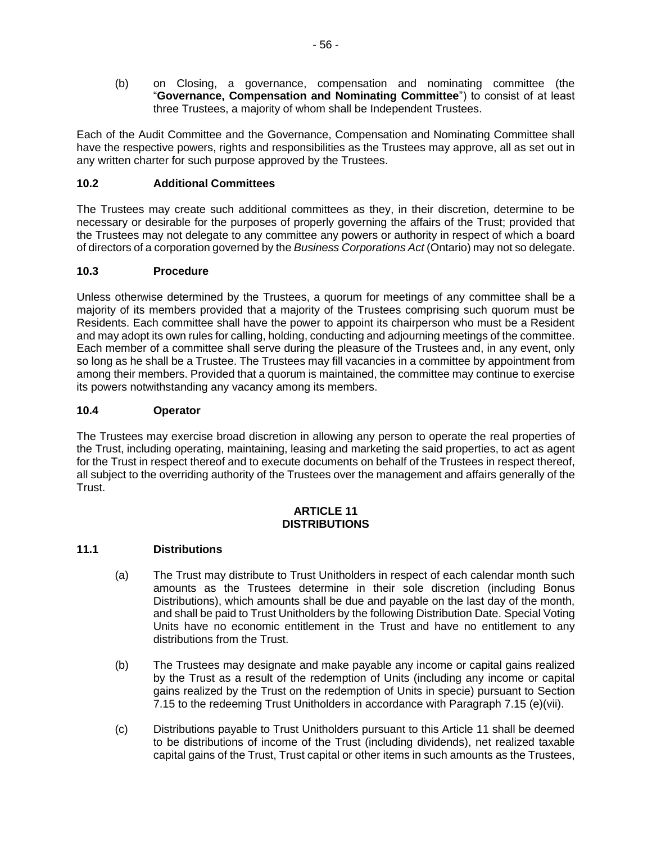(b) on Closing, a governance, compensation and nominating committee (the "**Governance, Compensation and Nominating Committee**") to consist of at least three Trustees, a majority of whom shall be Independent Trustees.

Each of the Audit Committee and the Governance, Compensation and Nominating Committee shall have the respective powers, rights and responsibilities as the Trustees may approve, all as set out in any written charter for such purpose approved by the Trustees.

## **10.2 Additional Committees**

The Trustees may create such additional committees as they, in their discretion, determine to be necessary or desirable for the purposes of properly governing the affairs of the Trust; provided that the Trustees may not delegate to any committee any powers or authority in respect of which a board of directors of a corporation governed by the *Business Corporations Act* (Ontario) may not so delegate.

## **10.3 Procedure**

Unless otherwise determined by the Trustees, a quorum for meetings of any committee shall be a majority of its members provided that a majority of the Trustees comprising such quorum must be Residents. Each committee shall have the power to appoint its chairperson who must be a Resident and may adopt its own rules for calling, holding, conducting and adjourning meetings of the committee. Each member of a committee shall serve during the pleasure of the Trustees and, in any event, only so long as he shall be a Trustee. The Trustees may fill vacancies in a committee by appointment from among their members. Provided that a quorum is maintained, the committee may continue to exercise its powers notwithstanding any vacancy among its members.

## **10.4 Operator**

The Trustees may exercise broad discretion in allowing any person to operate the real properties of the Trust, including operating, maintaining, leasing and marketing the said properties, to act as agent for the Trust in respect thereof and to execute documents on behalf of the Trustees in respect thereof, all subject to the overriding authority of the Trustees over the management and affairs generally of the Trust.

#### **ARTICLE 11 DISTRIBUTIONS**

## **11.1 Distributions**

- (a) The Trust may distribute to Trust Unitholders in respect of each calendar month such amounts as the Trustees determine in their sole discretion (including Bonus Distributions), which amounts shall be due and payable on the last day of the month, and shall be paid to Trust Unitholders by the following Distribution Date. Special Voting Units have no economic entitlement in the Trust and have no entitlement to any distributions from the Trust.
- (b) The Trustees may designate and make payable any income or capital gains realized by the Trust as a result of the redemption of Units (including any income or capital gains realized by the Trust on the redemption of Units in specie) pursuant to Section 7.15 to the redeeming Trust Unitholders in accordance with Paragraph 7.15 (e)(vii).
- (c) Distributions payable to Trust Unitholders pursuant to this Article 11 shall be deemed to be distributions of income of the Trust (including dividends), net realized taxable capital gains of the Trust, Trust capital or other items in such amounts as the Trustees,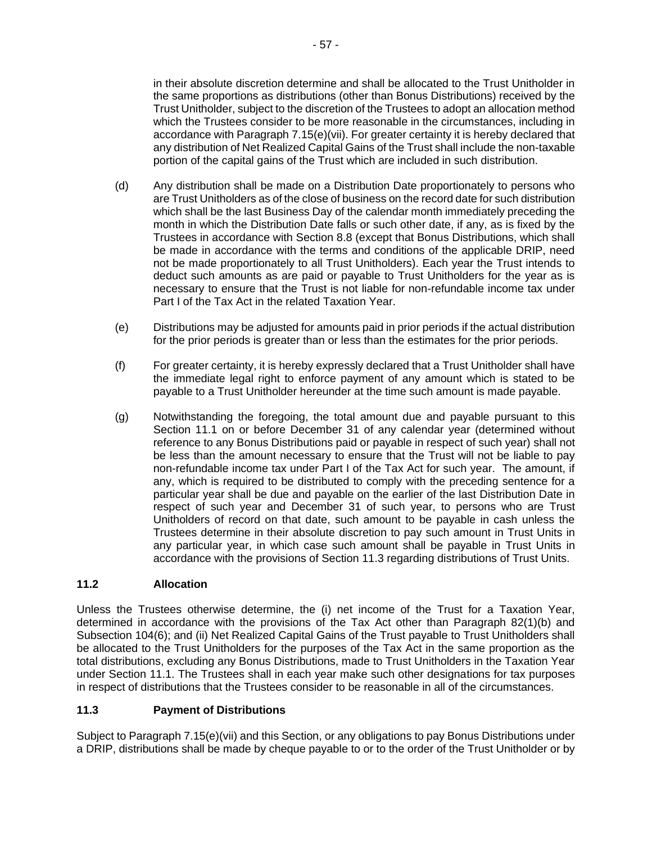in their absolute discretion determine and shall be allocated to the Trust Unitholder in the same proportions as distributions (other than Bonus Distributions) received by the Trust Unitholder, subject to the discretion of the Trustees to adopt an allocation method which the Trustees consider to be more reasonable in the circumstances, including in accordance with Paragraph 7.15(e)(vii). For greater certainty it is hereby declared that any distribution of Net Realized Capital Gains of the Trust shall include the non-taxable portion of the capital gains of the Trust which are included in such distribution.

- (d) Any distribution shall be made on a Distribution Date proportionately to persons who are Trust Unitholders as of the close of business on the record date for such distribution which shall be the last Business Day of the calendar month immediately preceding the month in which the Distribution Date falls or such other date, if any, as is fixed by the Trustees in accordance with Section 8.8 (except that Bonus Distributions, which shall be made in accordance with the terms and conditions of the applicable DRIP, need not be made proportionately to all Trust Unitholders). Each year the Trust intends to deduct such amounts as are paid or payable to Trust Unitholders for the year as is necessary to ensure that the Trust is not liable for non-refundable income tax under Part I of the Tax Act in the related Taxation Year.
- (e) Distributions may be adjusted for amounts paid in prior periods if the actual distribution for the prior periods is greater than or less than the estimates for the prior periods.
- (f) For greater certainty, it is hereby expressly declared that a Trust Unitholder shall have the immediate legal right to enforce payment of any amount which is stated to be payable to a Trust Unitholder hereunder at the time such amount is made payable.
- (g) Notwithstanding the foregoing, the total amount due and payable pursuant to this Section 11.1 on or before December 31 of any calendar year (determined without reference to any Bonus Distributions paid or payable in respect of such year) shall not be less than the amount necessary to ensure that the Trust will not be liable to pay non-refundable income tax under Part I of the Tax Act for such year. The amount, if any, which is required to be distributed to comply with the preceding sentence for a particular year shall be due and payable on the earlier of the last Distribution Date in respect of such year and December 31 of such year, to persons who are Trust Unitholders of record on that date, such amount to be payable in cash unless the Trustees determine in their absolute discretion to pay such amount in Trust Units in any particular year, in which case such amount shall be payable in Trust Units in accordance with the provisions of Section 11.3 regarding distributions of Trust Units.

#### **11.2 Allocation**

Unless the Trustees otherwise determine, the (i) net income of the Trust for a Taxation Year, determined in accordance with the provisions of the Tax Act other than Paragraph 82(1)(b) and Subsection 104(6); and (ii) Net Realized Capital Gains of the Trust payable to Trust Unitholders shall be allocated to the Trust Unitholders for the purposes of the Tax Act in the same proportion as the total distributions, excluding any Bonus Distributions, made to Trust Unitholders in the Taxation Year under Section 11.1. The Trustees shall in each year make such other designations for tax purposes in respect of distributions that the Trustees consider to be reasonable in all of the circumstances.

## **11.3 Payment of Distributions**

Subject to Paragraph 7.15(e)(vii) and this Section, or any obligations to pay Bonus Distributions under a DRIP, distributions shall be made by cheque payable to or to the order of the Trust Unitholder or by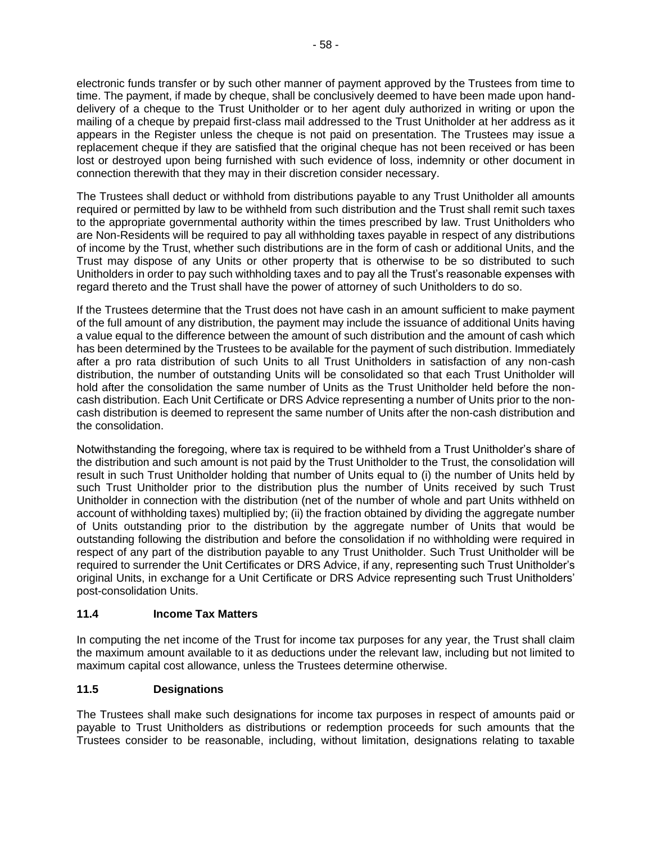electronic funds transfer or by such other manner of payment approved by the Trustees from time to time. The payment, if made by cheque, shall be conclusively deemed to have been made upon handdelivery of a cheque to the Trust Unitholder or to her agent duly authorized in writing or upon the mailing of a cheque by prepaid first-class mail addressed to the Trust Unitholder at her address as it appears in the Register unless the cheque is not paid on presentation. The Trustees may issue a replacement cheque if they are satisfied that the original cheque has not been received or has been lost or destroyed upon being furnished with such evidence of loss, indemnity or other document in connection therewith that they may in their discretion consider necessary.

The Trustees shall deduct or withhold from distributions payable to any Trust Unitholder all amounts required or permitted by law to be withheld from such distribution and the Trust shall remit such taxes to the appropriate governmental authority within the times prescribed by law. Trust Unitholders who are Non-Residents will be required to pay all withholding taxes payable in respect of any distributions of income by the Trust, whether such distributions are in the form of cash or additional Units, and the Trust may dispose of any Units or other property that is otherwise to be so distributed to such Unitholders in order to pay such withholding taxes and to pay all the Trust's reasonable expenses with regard thereto and the Trust shall have the power of attorney of such Unitholders to do so.

If the Trustees determine that the Trust does not have cash in an amount sufficient to make payment of the full amount of any distribution, the payment may include the issuance of additional Units having a value equal to the difference between the amount of such distribution and the amount of cash which has been determined by the Trustees to be available for the payment of such distribution. Immediately after a pro rata distribution of such Units to all Trust Unitholders in satisfaction of any non-cash distribution, the number of outstanding Units will be consolidated so that each Trust Unitholder will hold after the consolidation the same number of Units as the Trust Unitholder held before the noncash distribution. Each Unit Certificate or DRS Advice representing a number of Units prior to the noncash distribution is deemed to represent the same number of Units after the non-cash distribution and the consolidation.

Notwithstanding the foregoing, where tax is required to be withheld from a Trust Unitholder's share of the distribution and such amount is not paid by the Trust Unitholder to the Trust, the consolidation will result in such Trust Unitholder holding that number of Units equal to (i) the number of Units held by such Trust Unitholder prior to the distribution plus the number of Units received by such Trust Unitholder in connection with the distribution (net of the number of whole and part Units withheld on account of withholding taxes) multiplied by; (ii) the fraction obtained by dividing the aggregate number of Units outstanding prior to the distribution by the aggregate number of Units that would be outstanding following the distribution and before the consolidation if no withholding were required in respect of any part of the distribution payable to any Trust Unitholder. Such Trust Unitholder will be required to surrender the Unit Certificates or DRS Advice, if any, representing such Trust Unitholder's original Units, in exchange for a Unit Certificate or DRS Advice representing such Trust Unitholders' post-consolidation Units.

## **11.4 Income Tax Matters**

In computing the net income of the Trust for income tax purposes for any year, the Trust shall claim the maximum amount available to it as deductions under the relevant law, including but not limited to maximum capital cost allowance, unless the Trustees determine otherwise.

## **11.5 Designations**

The Trustees shall make such designations for income tax purposes in respect of amounts paid or payable to Trust Unitholders as distributions or redemption proceeds for such amounts that the Trustees consider to be reasonable, including, without limitation, designations relating to taxable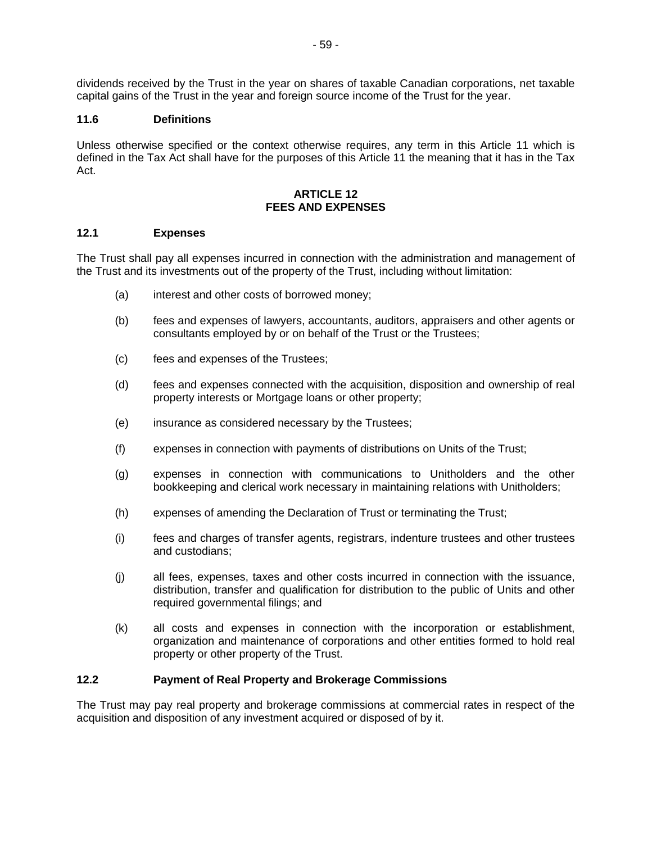dividends received by the Trust in the year on shares of taxable Canadian corporations, net taxable capital gains of the Trust in the year and foreign source income of the Trust for the year.

### **11.6 Definitions**

Unless otherwise specified or the context otherwise requires, any term in this Article 11 which is defined in the Tax Act shall have for the purposes of this Article 11 the meaning that it has in the Tax Act.

### **ARTICLE 12 FEES AND EXPENSES**

#### **12.1 Expenses**

The Trust shall pay all expenses incurred in connection with the administration and management of the Trust and its investments out of the property of the Trust, including without limitation:

- (a) interest and other costs of borrowed money;
- (b) fees and expenses of lawyers, accountants, auditors, appraisers and other agents or consultants employed by or on behalf of the Trust or the Trustees;
- (c) fees and expenses of the Trustees;
- (d) fees and expenses connected with the acquisition, disposition and ownership of real property interests or Mortgage loans or other property;
- (e) insurance as considered necessary by the Trustees;
- (f) expenses in connection with payments of distributions on Units of the Trust;
- (g) expenses in connection with communications to Unitholders and the other bookkeeping and clerical work necessary in maintaining relations with Unitholders;
- (h) expenses of amending the Declaration of Trust or terminating the Trust;
- (i) fees and charges of transfer agents, registrars, indenture trustees and other trustees and custodians;
- (j) all fees, expenses, taxes and other costs incurred in connection with the issuance, distribution, transfer and qualification for distribution to the public of Units and other required governmental filings; and
- (k) all costs and expenses in connection with the incorporation or establishment, organization and maintenance of corporations and other entities formed to hold real property or other property of the Trust.

### **12.2 Payment of Real Property and Brokerage Commissions**

The Trust may pay real property and brokerage commissions at commercial rates in respect of the acquisition and disposition of any investment acquired or disposed of by it.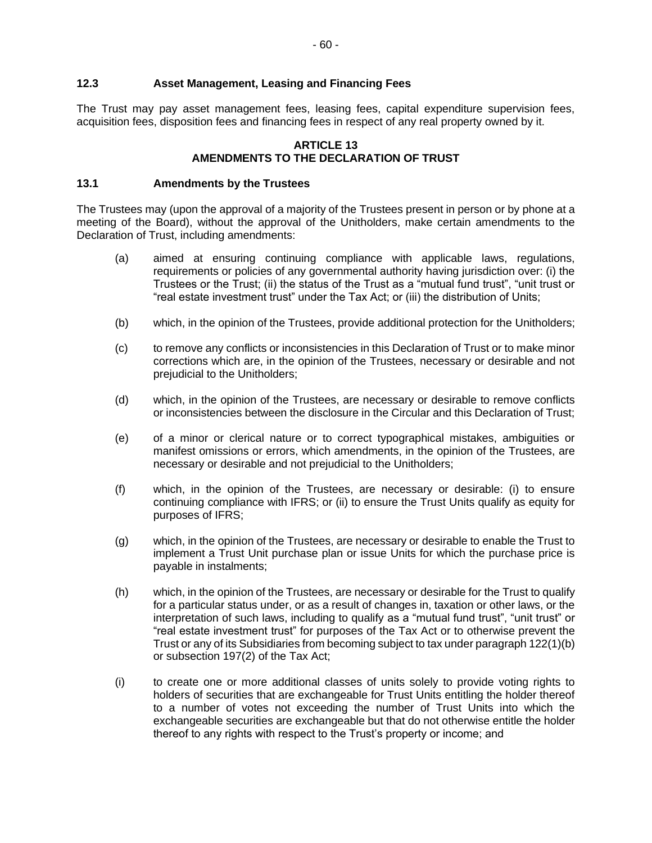#### **12.3 Asset Management, Leasing and Financing Fees**

The Trust may pay asset management fees, leasing fees, capital expenditure supervision fees, acquisition fees, disposition fees and financing fees in respect of any real property owned by it.

#### **ARTICLE 13 AMENDMENTS TO THE DECLARATION OF TRUST**

#### **13.1 Amendments by the Trustees**

The Trustees may (upon the approval of a majority of the Trustees present in person or by phone at a meeting of the Board), without the approval of the Unitholders, make certain amendments to the Declaration of Trust, including amendments:

- (a) aimed at ensuring continuing compliance with applicable laws, regulations, requirements or policies of any governmental authority having jurisdiction over: (i) the Trustees or the Trust; (ii) the status of the Trust as a "mutual fund trust", "unit trust or "real estate investment trust" under the Tax Act; or (iii) the distribution of Units;
- (b) which, in the opinion of the Trustees, provide additional protection for the Unitholders;
- (c) to remove any conflicts or inconsistencies in this Declaration of Trust or to make minor corrections which are, in the opinion of the Trustees, necessary or desirable and not prejudicial to the Unitholders;
- (d) which, in the opinion of the Trustees, are necessary or desirable to remove conflicts or inconsistencies between the disclosure in the Circular and this Declaration of Trust;
- (e) of a minor or clerical nature or to correct typographical mistakes, ambiguities or manifest omissions or errors, which amendments, in the opinion of the Trustees, are necessary or desirable and not prejudicial to the Unitholders;
- (f) which, in the opinion of the Trustees, are necessary or desirable: (i) to ensure continuing compliance with IFRS; or (ii) to ensure the Trust Units qualify as equity for purposes of IFRS;
- (g) which, in the opinion of the Trustees, are necessary or desirable to enable the Trust to implement a Trust Unit purchase plan or issue Units for which the purchase price is payable in instalments;
- (h) which, in the opinion of the Trustees, are necessary or desirable for the Trust to qualify for a particular status under, or as a result of changes in, taxation or other laws, or the interpretation of such laws, including to qualify as a "mutual fund trust", "unit trust" or "real estate investment trust" for purposes of the Tax Act or to otherwise prevent the Trust or any of its Subsidiaries from becoming subject to tax under paragraph 122(1)(b) or subsection 197(2) of the Tax Act;
- (i) to create one or more additional classes of units solely to provide voting rights to holders of securities that are exchangeable for Trust Units entitling the holder thereof to a number of votes not exceeding the number of Trust Units into which the exchangeable securities are exchangeable but that do not otherwise entitle the holder thereof to any rights with respect to the Trust's property or income; and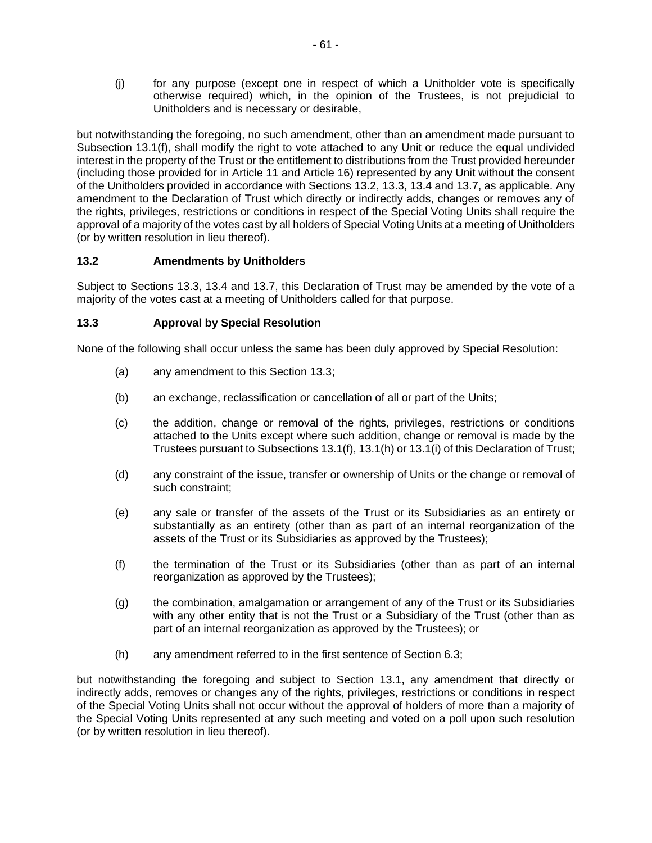(j) for any purpose (except one in respect of which a Unitholder vote is specifically otherwise required) which, in the opinion of the Trustees, is not prejudicial to Unitholders and is necessary or desirable,

but notwithstanding the foregoing, no such amendment, other than an amendment made pursuant to Subsection 13.1(f), shall modify the right to vote attached to any Unit or reduce the equal undivided interest in the property of the Trust or the entitlement to distributions from the Trust provided hereunder (including those provided for in Article 11 and Article 16) represented by any Unit without the consent of the Unitholders provided in accordance with Sections 13.2, 13.3, 13.4 and 13.7, as applicable. Any amendment to the Declaration of Trust which directly or indirectly adds, changes or removes any of the rights, privileges, restrictions or conditions in respect of the Special Voting Units shall require the approval of a majority of the votes cast by all holders of Special Voting Units at a meeting of Unitholders (or by written resolution in lieu thereof).

## **13.2 Amendments by Unitholders**

Subject to Sections 13.3, 13.4 and 13.7, this Declaration of Trust may be amended by the vote of a majority of the votes cast at a meeting of Unitholders called for that purpose.

## **13.3 Approval by Special Resolution**

None of the following shall occur unless the same has been duly approved by Special Resolution:

- (a) any amendment to this Section 13.3;
- (b) an exchange, reclassification or cancellation of all or part of the Units;
- (c) the addition, change or removal of the rights, privileges, restrictions or conditions attached to the Units except where such addition, change or removal is made by the Trustees pursuant to Subsections 13.1(f), 13.1(h) or 13.1(i) of this Declaration of Trust;
- (d) any constraint of the issue, transfer or ownership of Units or the change or removal of such constraint;
- (e) any sale or transfer of the assets of the Trust or its Subsidiaries as an entirety or substantially as an entirety (other than as part of an internal reorganization of the assets of the Trust or its Subsidiaries as approved by the Trustees);
- (f) the termination of the Trust or its Subsidiaries (other than as part of an internal reorganization as approved by the Trustees);
- (g) the combination, amalgamation or arrangement of any of the Trust or its Subsidiaries with any other entity that is not the Trust or a Subsidiary of the Trust (other than as part of an internal reorganization as approved by the Trustees); or
- (h) any amendment referred to in the first sentence of Section 6.3;

but notwithstanding the foregoing and subject to Section 13.1, any amendment that directly or indirectly adds, removes or changes any of the rights, privileges, restrictions or conditions in respect of the Special Voting Units shall not occur without the approval of holders of more than a majority of the Special Voting Units represented at any such meeting and voted on a poll upon such resolution (or by written resolution in lieu thereof).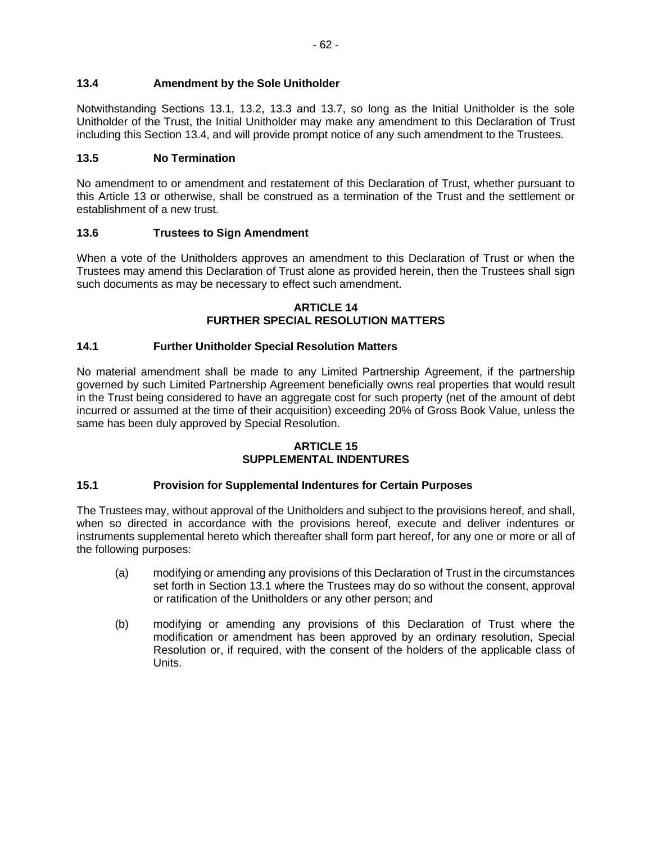Notwithstanding Sections 13.1, 13.2, 13.3 and 13.7, so long as the Initial Unitholder is the sole Unitholder of the Trust, the Initial Unitholder may make any amendment to this Declaration of Trust including this Section 13.4, and will provide prompt notice of any such amendment to the Trustees.

## **13.5 No Termination**

No amendment to or amendment and restatement of this Declaration of Trust, whether pursuant to this Article 13 or otherwise, shall be construed as a termination of the Trust and the settlement or establishment of a new trust.

## **13.6 Trustees to Sign Amendment**

When a vote of the Unitholders approves an amendment to this Declaration of Trust or when the Trustees may amend this Declaration of Trust alone as provided herein, then the Trustees shall sign such documents as may be necessary to effect such amendment.

#### **ARTICLE 14 FURTHER SPECIAL RESOLUTION MATTERS**

## **14.1 Further Unitholder Special Resolution Matters**

No material amendment shall be made to any Limited Partnership Agreement, if the partnership governed by such Limited Partnership Agreement beneficially owns real properties that would result in the Trust being considered to have an aggregate cost for such property (net of the amount of debt incurred or assumed at the time of their acquisition) exceeding 20% of Gross Book Value, unless the same has been duly approved by Special Resolution.

#### **ARTICLE 15 SUPPLEMENTAL INDENTURES**

## **15.1 Provision for Supplemental Indentures for Certain Purposes**

The Trustees may, without approval of the Unitholders and subject to the provisions hereof, and shall, when so directed in accordance with the provisions hereof, execute and deliver indentures or instruments supplemental hereto which thereafter shall form part hereof, for any one or more or all of the following purposes:

- (a) modifying or amending any provisions of this Declaration of Trust in the circumstances set forth in Section 13.1 where the Trustees may do so without the consent, approval or ratification of the Unitholders or any other person; and
- (b) modifying or amending any provisions of this Declaration of Trust where the modification or amendment has been approved by an ordinary resolution, Special Resolution or, if required, with the consent of the holders of the applicable class of Units.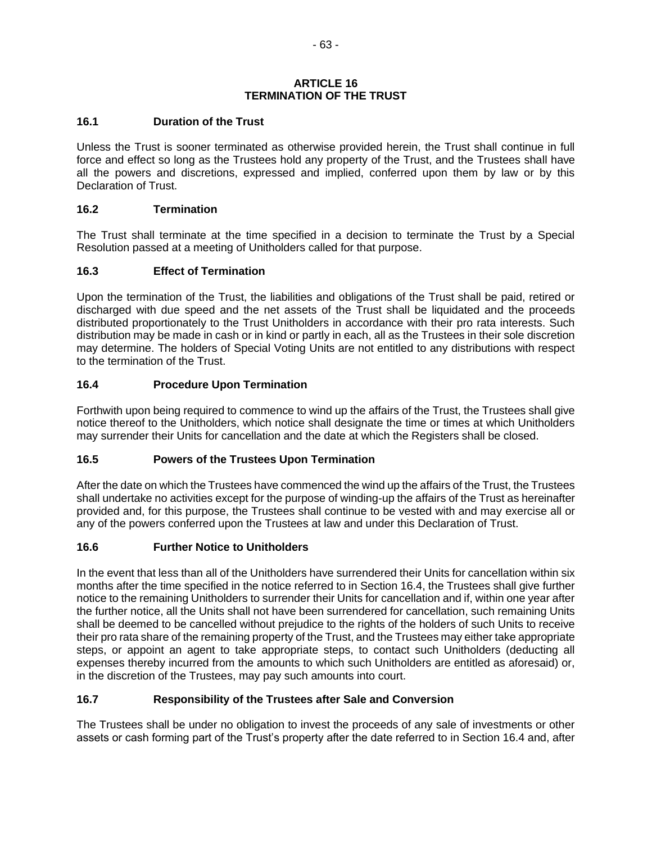#### **ARTICLE 16 TERMINATION OF THE TRUST**

### **16.1 Duration of the Trust**

Unless the Trust is sooner terminated as otherwise provided herein, the Trust shall continue in full force and effect so long as the Trustees hold any property of the Trust, and the Trustees shall have all the powers and discretions, expressed and implied, conferred upon them by law or by this Declaration of Trust.

#### **16.2 Termination**

The Trust shall terminate at the time specified in a decision to terminate the Trust by a Special Resolution passed at a meeting of Unitholders called for that purpose.

### **16.3 Effect of Termination**

Upon the termination of the Trust, the liabilities and obligations of the Trust shall be paid, retired or discharged with due speed and the net assets of the Trust shall be liquidated and the proceeds distributed proportionately to the Trust Unitholders in accordance with their pro rata interests. Such distribution may be made in cash or in kind or partly in each, all as the Trustees in their sole discretion may determine. The holders of Special Voting Units are not entitled to any distributions with respect to the termination of the Trust.

### **16.4 Procedure Upon Termination**

Forthwith upon being required to commence to wind up the affairs of the Trust, the Trustees shall give notice thereof to the Unitholders, which notice shall designate the time or times at which Unitholders may surrender their Units for cancellation and the date at which the Registers shall be closed.

## **16.5 Powers of the Trustees Upon Termination**

After the date on which the Trustees have commenced the wind up the affairs of the Trust, the Trustees shall undertake no activities except for the purpose of winding-up the affairs of the Trust as hereinafter provided and, for this purpose, the Trustees shall continue to be vested with and may exercise all or any of the powers conferred upon the Trustees at law and under this Declaration of Trust.

#### **16.6 Further Notice to Unitholders**

In the event that less than all of the Unitholders have surrendered their Units for cancellation within six months after the time specified in the notice referred to in Section 16.4, the Trustees shall give further notice to the remaining Unitholders to surrender their Units for cancellation and if, within one year after the further notice, all the Units shall not have been surrendered for cancellation, such remaining Units shall be deemed to be cancelled without prejudice to the rights of the holders of such Units to receive their pro rata share of the remaining property of the Trust, and the Trustees may either take appropriate steps, or appoint an agent to take appropriate steps, to contact such Unitholders (deducting all expenses thereby incurred from the amounts to which such Unitholders are entitled as aforesaid) or, in the discretion of the Trustees, may pay such amounts into court.

## **16.7 Responsibility of the Trustees after Sale and Conversion**

The Trustees shall be under no obligation to invest the proceeds of any sale of investments or other assets or cash forming part of the Trust's property after the date referred to in Section 16.4 and, after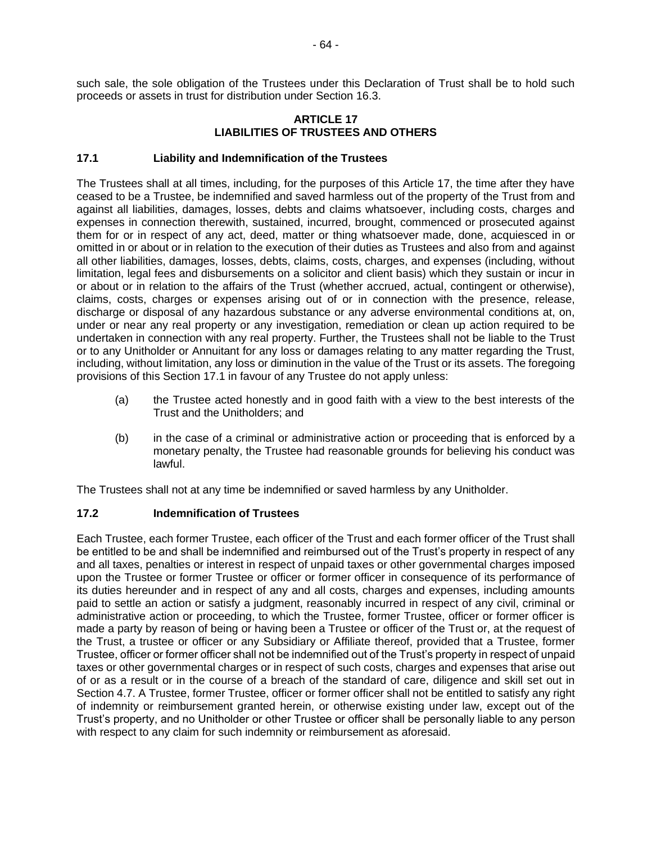such sale, the sole obligation of the Trustees under this Declaration of Trust shall be to hold such proceeds or assets in trust for distribution under Section 16.3.

#### **ARTICLE 17 LIABILITIES OF TRUSTEES AND OTHERS**

### **17.1 Liability and Indemnification of the Trustees**

The Trustees shall at all times, including, for the purposes of this Article 17, the time after they have ceased to be a Trustee, be indemnified and saved harmless out of the property of the Trust from and against all liabilities, damages, losses, debts and claims whatsoever, including costs, charges and expenses in connection therewith, sustained, incurred, brought, commenced or prosecuted against them for or in respect of any act, deed, matter or thing whatsoever made, done, acquiesced in or omitted in or about or in relation to the execution of their duties as Trustees and also from and against all other liabilities, damages, losses, debts, claims, costs, charges, and expenses (including, without limitation, legal fees and disbursements on a solicitor and client basis) which they sustain or incur in or about or in relation to the affairs of the Trust (whether accrued, actual, contingent or otherwise), claims, costs, charges or expenses arising out of or in connection with the presence, release, discharge or disposal of any hazardous substance or any adverse environmental conditions at, on, under or near any real property or any investigation, remediation or clean up action required to be undertaken in connection with any real property. Further, the Trustees shall not be liable to the Trust or to any Unitholder or Annuitant for any loss or damages relating to any matter regarding the Trust, including, without limitation, any loss or diminution in the value of the Trust or its assets. The foregoing provisions of this Section 17.1 in favour of any Trustee do not apply unless:

- (a) the Trustee acted honestly and in good faith with a view to the best interests of the Trust and the Unitholders; and
- (b) in the case of a criminal or administrative action or proceeding that is enforced by a monetary penalty, the Trustee had reasonable grounds for believing his conduct was lawful.

The Trustees shall not at any time be indemnified or saved harmless by any Unitholder.

#### **17.2 Indemnification of Trustees**

Each Trustee, each former Trustee, each officer of the Trust and each former officer of the Trust shall be entitled to be and shall be indemnified and reimbursed out of the Trust's property in respect of any and all taxes, penalties or interest in respect of unpaid taxes or other governmental charges imposed upon the Trustee or former Trustee or officer or former officer in consequence of its performance of its duties hereunder and in respect of any and all costs, charges and expenses, including amounts paid to settle an action or satisfy a judgment, reasonably incurred in respect of any civil, criminal or administrative action or proceeding, to which the Trustee, former Trustee, officer or former officer is made a party by reason of being or having been a Trustee or officer of the Trust or, at the request of the Trust, a trustee or officer or any Subsidiary or Affiliate thereof, provided that a Trustee, former Trustee, officer or former officer shall not be indemnified out of the Trust's property in respect of unpaid taxes or other governmental charges or in respect of such costs, charges and expenses that arise out of or as a result or in the course of a breach of the standard of care, diligence and skill set out in Section 4.7. A Trustee, former Trustee, officer or former officer shall not be entitled to satisfy any right of indemnity or reimbursement granted herein, or otherwise existing under law, except out of the Trust's property, and no Unitholder or other Trustee or officer shall be personally liable to any person with respect to any claim for such indemnity or reimbursement as aforesaid.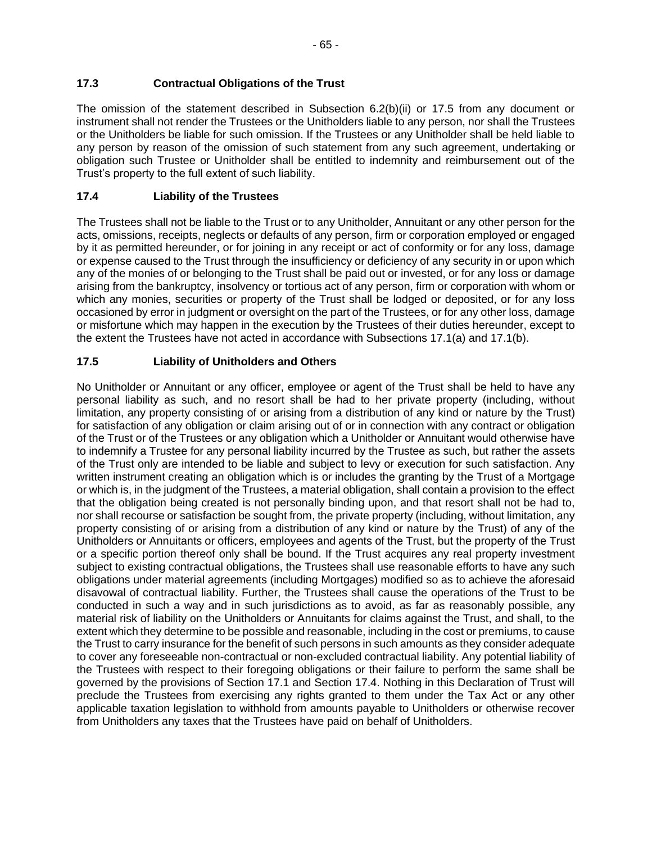### **17.3 Contractual Obligations of the Trust**

The omission of the statement described in Subsection 6.2(b)(ii) or 17.5 from any document or instrument shall not render the Trustees or the Unitholders liable to any person, nor shall the Trustees or the Unitholders be liable for such omission. If the Trustees or any Unitholder shall be held liable to any person by reason of the omission of such statement from any such agreement, undertaking or obligation such Trustee or Unitholder shall be entitled to indemnity and reimbursement out of the Trust's property to the full extent of such liability.

## **17.4 Liability of the Trustees**

The Trustees shall not be liable to the Trust or to any Unitholder, Annuitant or any other person for the acts, omissions, receipts, neglects or defaults of any person, firm or corporation employed or engaged by it as permitted hereunder, or for joining in any receipt or act of conformity or for any loss, damage or expense caused to the Trust through the insufficiency or deficiency of any security in or upon which any of the monies of or belonging to the Trust shall be paid out or invested, or for any loss or damage arising from the bankruptcy, insolvency or tortious act of any person, firm or corporation with whom or which any monies, securities or property of the Trust shall be lodged or deposited, or for any loss occasioned by error in judgment or oversight on the part of the Trustees, or for any other loss, damage or misfortune which may happen in the execution by the Trustees of their duties hereunder, except to the extent the Trustees have not acted in accordance with Subsections 17.1(a) and 17.1(b).

## **17.5 Liability of Unitholders and Others**

No Unitholder or Annuitant or any officer, employee or agent of the Trust shall be held to have any personal liability as such, and no resort shall be had to her private property (including, without limitation, any property consisting of or arising from a distribution of any kind or nature by the Trust) for satisfaction of any obligation or claim arising out of or in connection with any contract or obligation of the Trust or of the Trustees or any obligation which a Unitholder or Annuitant would otherwise have to indemnify a Trustee for any personal liability incurred by the Trustee as such, but rather the assets of the Trust only are intended to be liable and subject to levy or execution for such satisfaction. Any written instrument creating an obligation which is or includes the granting by the Trust of a Mortgage or which is, in the judgment of the Trustees, a material obligation, shall contain a provision to the effect that the obligation being created is not personally binding upon, and that resort shall not be had to, nor shall recourse or satisfaction be sought from, the private property (including, without limitation, any property consisting of or arising from a distribution of any kind or nature by the Trust) of any of the Unitholders or Annuitants or officers, employees and agents of the Trust, but the property of the Trust or a specific portion thereof only shall be bound. If the Trust acquires any real property investment subject to existing contractual obligations, the Trustees shall use reasonable efforts to have any such obligations under material agreements (including Mortgages) modified so as to achieve the aforesaid disavowal of contractual liability. Further, the Trustees shall cause the operations of the Trust to be conducted in such a way and in such jurisdictions as to avoid, as far as reasonably possible, any material risk of liability on the Unitholders or Annuitants for claims against the Trust, and shall, to the extent which they determine to be possible and reasonable, including in the cost or premiums, to cause the Trust to carry insurance for the benefit of such persons in such amounts as they consider adequate to cover any foreseeable non-contractual or non-excluded contractual liability. Any potential liability of the Trustees with respect to their foregoing obligations or their failure to perform the same shall be governed by the provisions of Section 17.1 and Section 17.4. Nothing in this Declaration of Trust will preclude the Trustees from exercising any rights granted to them under the Tax Act or any other applicable taxation legislation to withhold from amounts payable to Unitholders or otherwise recover from Unitholders any taxes that the Trustees have paid on behalf of Unitholders.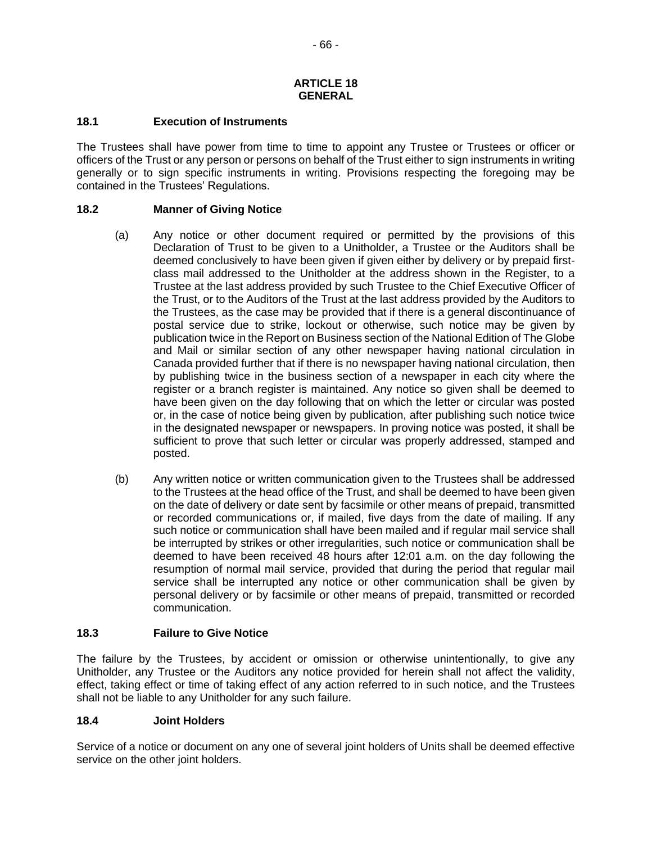#### **ARTICLE 18 GENERAL**

#### **18.1 Execution of Instruments**

The Trustees shall have power from time to time to appoint any Trustee or Trustees or officer or officers of the Trust or any person or persons on behalf of the Trust either to sign instruments in writing generally or to sign specific instruments in writing. Provisions respecting the foregoing may be contained in the Trustees' Regulations.

#### **18.2 Manner of Giving Notice**

- (a) Any notice or other document required or permitted by the provisions of this Declaration of Trust to be given to a Unitholder, a Trustee or the Auditors shall be deemed conclusively to have been given if given either by delivery or by prepaid firstclass mail addressed to the Unitholder at the address shown in the Register, to a Trustee at the last address provided by such Trustee to the Chief Executive Officer of the Trust, or to the Auditors of the Trust at the last address provided by the Auditors to the Trustees, as the case may be provided that if there is a general discontinuance of postal service due to strike, lockout or otherwise, such notice may be given by publication twice in the Report on Business section of the National Edition of The Globe and Mail or similar section of any other newspaper having national circulation in Canada provided further that if there is no newspaper having national circulation, then by publishing twice in the business section of a newspaper in each city where the register or a branch register is maintained. Any notice so given shall be deemed to have been given on the day following that on which the letter or circular was posted or, in the case of notice being given by publication, after publishing such notice twice in the designated newspaper or newspapers. In proving notice was posted, it shall be sufficient to prove that such letter or circular was properly addressed, stamped and posted.
- (b) Any written notice or written communication given to the Trustees shall be addressed to the Trustees at the head office of the Trust, and shall be deemed to have been given on the date of delivery or date sent by facsimile or other means of prepaid, transmitted or recorded communications or, if mailed, five days from the date of mailing. If any such notice or communication shall have been mailed and if regular mail service shall be interrupted by strikes or other irregularities, such notice or communication shall be deemed to have been received 48 hours after 12:01 a.m. on the day following the resumption of normal mail service, provided that during the period that regular mail service shall be interrupted any notice or other communication shall be given by personal delivery or by facsimile or other means of prepaid, transmitted or recorded communication.

#### **18.3 Failure to Give Notice**

The failure by the Trustees, by accident or omission or otherwise unintentionally, to give any Unitholder, any Trustee or the Auditors any notice provided for herein shall not affect the validity, effect, taking effect or time of taking effect of any action referred to in such notice, and the Trustees shall not be liable to any Unitholder for any such failure.

#### **18.4 Joint Holders**

Service of a notice or document on any one of several joint holders of Units shall be deemed effective service on the other joint holders.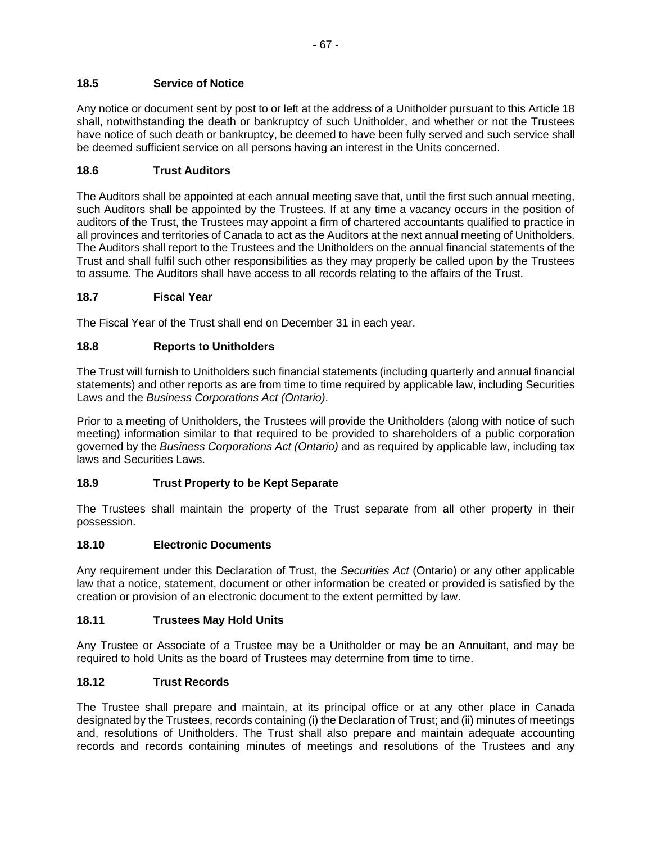Any notice or document sent by post to or left at the address of a Unitholder pursuant to this Article 18 shall, notwithstanding the death or bankruptcy of such Unitholder, and whether or not the Trustees have notice of such death or bankruptcy, be deemed to have been fully served and such service shall be deemed sufficient service on all persons having an interest in the Units concerned.

### **18.6 Trust Auditors**

The Auditors shall be appointed at each annual meeting save that, until the first such annual meeting, such Auditors shall be appointed by the Trustees. If at any time a vacancy occurs in the position of auditors of the Trust, the Trustees may appoint a firm of chartered accountants qualified to practice in all provinces and territories of Canada to act as the Auditors at the next annual meeting of Unitholders. The Auditors shall report to the Trustees and the Unitholders on the annual financial statements of the Trust and shall fulfil such other responsibilities as they may properly be called upon by the Trustees to assume. The Auditors shall have access to all records relating to the affairs of the Trust.

### **18.7 Fiscal Year**

The Fiscal Year of the Trust shall end on December 31 in each year.

### **18.8 Reports to Unitholders**

The Trust will furnish to Unitholders such financial statements (including quarterly and annual financial statements) and other reports as are from time to time required by applicable law, including Securities Laws and the *Business Corporations Act (Ontario)*.

Prior to a meeting of Unitholders, the Trustees will provide the Unitholders (along with notice of such meeting) information similar to that required to be provided to shareholders of a public corporation governed by the *Business Corporations Act (Ontario)* and as required by applicable law, including tax laws and Securities Laws.

### **18.9 Trust Property to be Kept Separate**

The Trustees shall maintain the property of the Trust separate from all other property in their possession.

### **18.10 Electronic Documents**

Any requirement under this Declaration of Trust, the *Securities Act* (Ontario) or any other applicable law that a notice, statement, document or other information be created or provided is satisfied by the creation or provision of an electronic document to the extent permitted by law.

### **18.11 Trustees May Hold Units**

Any Trustee or Associate of a Trustee may be a Unitholder or may be an Annuitant, and may be required to hold Units as the board of Trustees may determine from time to time.

### **18.12 Trust Records**

The Trustee shall prepare and maintain, at its principal office or at any other place in Canada designated by the Trustees, records containing (i) the Declaration of Trust; and (ii) minutes of meetings and, resolutions of Unitholders. The Trust shall also prepare and maintain adequate accounting records and records containing minutes of meetings and resolutions of the Trustees and any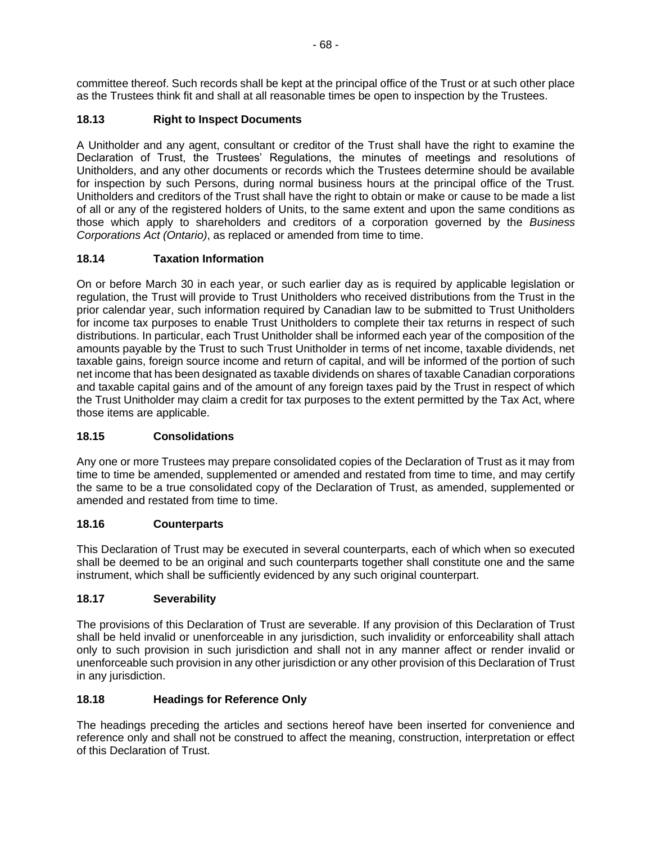committee thereof. Such records shall be kept at the principal office of the Trust or at such other place as the Trustees think fit and shall at all reasonable times be open to inspection by the Trustees.

# **18.13 Right to Inspect Documents**

A Unitholder and any agent, consultant or creditor of the Trust shall have the right to examine the Declaration of Trust, the Trustees' Regulations, the minutes of meetings and resolutions of Unitholders, and any other documents or records which the Trustees determine should be available for inspection by such Persons, during normal business hours at the principal office of the Trust. Unitholders and creditors of the Trust shall have the right to obtain or make or cause to be made a list of all or any of the registered holders of Units, to the same extent and upon the same conditions as those which apply to shareholders and creditors of a corporation governed by the *Business Corporations Act (Ontario)*, as replaced or amended from time to time.

## **18.14 Taxation Information**

On or before March 30 in each year, or such earlier day as is required by applicable legislation or regulation, the Trust will provide to Trust Unitholders who received distributions from the Trust in the prior calendar year, such information required by Canadian law to be submitted to Trust Unitholders for income tax purposes to enable Trust Unitholders to complete their tax returns in respect of such distributions. In particular, each Trust Unitholder shall be informed each year of the composition of the amounts payable by the Trust to such Trust Unitholder in terms of net income, taxable dividends, net taxable gains, foreign source income and return of capital, and will be informed of the portion of such net income that has been designated as taxable dividends on shares of taxable Canadian corporations and taxable capital gains and of the amount of any foreign taxes paid by the Trust in respect of which the Trust Unitholder may claim a credit for tax purposes to the extent permitted by the Tax Act, where those items are applicable.

## **18.15 Consolidations**

Any one or more Trustees may prepare consolidated copies of the Declaration of Trust as it may from time to time be amended, supplemented or amended and restated from time to time, and may certify the same to be a true consolidated copy of the Declaration of Trust, as amended, supplemented or amended and restated from time to time.

## **18.16 Counterparts**

This Declaration of Trust may be executed in several counterparts, each of which when so executed shall be deemed to be an original and such counterparts together shall constitute one and the same instrument, which shall be sufficiently evidenced by any such original counterpart.

## **18.17 Severability**

The provisions of this Declaration of Trust are severable. If any provision of this Declaration of Trust shall be held invalid or unenforceable in any jurisdiction, such invalidity or enforceability shall attach only to such provision in such jurisdiction and shall not in any manner affect or render invalid or unenforceable such provision in any other jurisdiction or any other provision of this Declaration of Trust in any jurisdiction.

# **18.18 Headings for Reference Only**

The headings preceding the articles and sections hereof have been inserted for convenience and reference only and shall not be construed to affect the meaning, construction, interpretation or effect of this Declaration of Trust.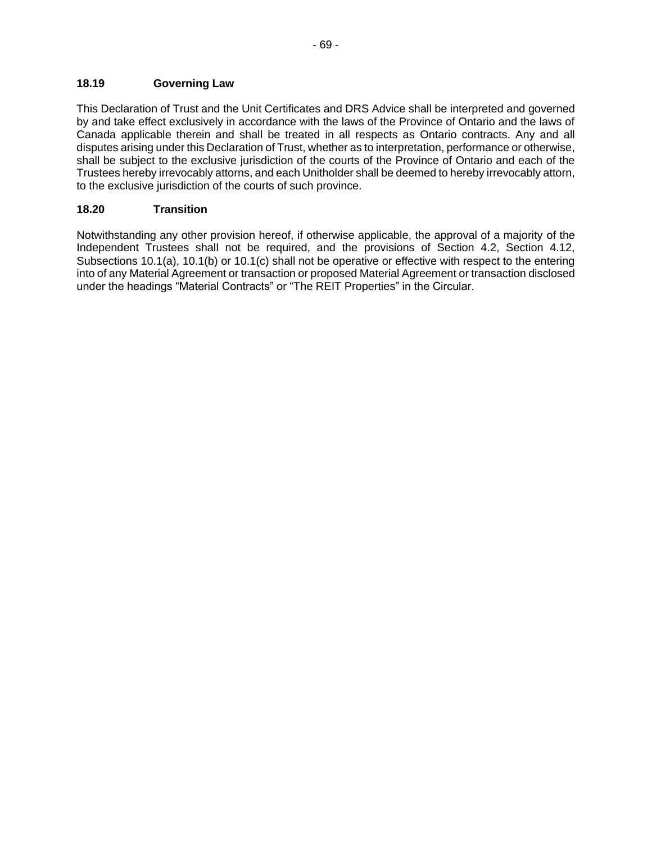This Declaration of Trust and the Unit Certificates and DRS Advice shall be interpreted and governed by and take effect exclusively in accordance with the laws of the Province of Ontario and the laws of Canada applicable therein and shall be treated in all respects as Ontario contracts. Any and all disputes arising under this Declaration of Trust, whether as to interpretation, performance or otherwise, shall be subject to the exclusive jurisdiction of the courts of the Province of Ontario and each of the Trustees hereby irrevocably attorns, and each Unitholder shall be deemed to hereby irrevocably attorn, to the exclusive jurisdiction of the courts of such province.

### **18.20 Transition**

Notwithstanding any other provision hereof, if otherwise applicable, the approval of a majority of the Independent Trustees shall not be required, and the provisions of Section 4.2, Section 4.12, Subsections 10.1(a), 10.1(b) or 10.1(c) shall not be operative or effective with respect to the entering into of any Material Agreement or transaction or proposed Material Agreement or transaction disclosed under the headings "Material Contracts" or "The REIT Properties" in the Circular.